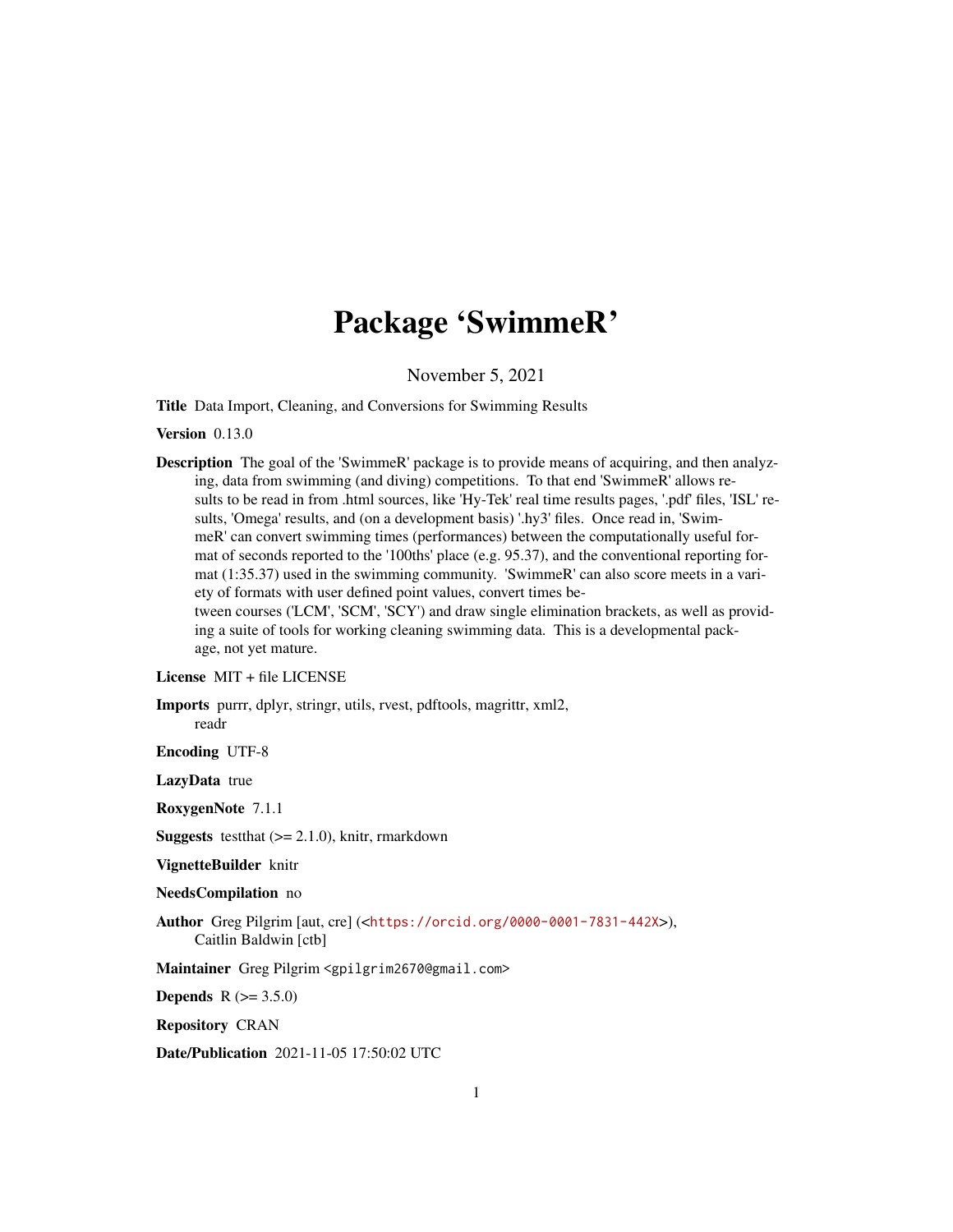# Package 'SwimmeR'

November 5, 2021

Title Data Import, Cleaning, and Conversions for Swimming Results

Version 0.13.0

Description The goal of the 'SwimmeR' package is to provide means of acquiring, and then analyzing, data from swimming (and diving) competitions. To that end 'SwimmeR' allows results to be read in from .html sources, like 'Hy-Tek' real time results pages, '.pdf' files, 'ISL' results, 'Omega' results, and (on a development basis) '.hy3' files. Once read in, 'SwimmeR' can convert swimming times (performances) between the computationally useful format of seconds reported to the '100ths' place (e.g. 95.37), and the conventional reporting format (1:35.37) used in the swimming community. 'SwimmeR' can also score meets in a variety of formats with user defined point values, convert times between courses ('LCM', 'SCM', 'SCY') and draw single elimination brackets, as well as providing a suite of tools for working cleaning swimming data. This is a developmental package, not yet mature.

License MIT + file LICENSE

Imports purrr, dplyr, stringr, utils, rvest, pdftools, magrittr, xml2, readr

Encoding UTF-8

LazyData true

RoxygenNote 7.1.1

**Suggests** test that  $(>= 2.1.0)$ , knitr, rmarkdown

VignetteBuilder knitr

NeedsCompilation no

Author Greg Pilgrim [aut, cre] (<<https://orcid.org/0000-0001-7831-442X>>), Caitlin Baldwin [ctb]

Maintainer Greg Pilgrim <gpilgrim2670@gmail.com>

**Depends** R  $(>= 3.5.0)$ 

Repository CRAN

Date/Publication 2021-11-05 17:50:02 UTC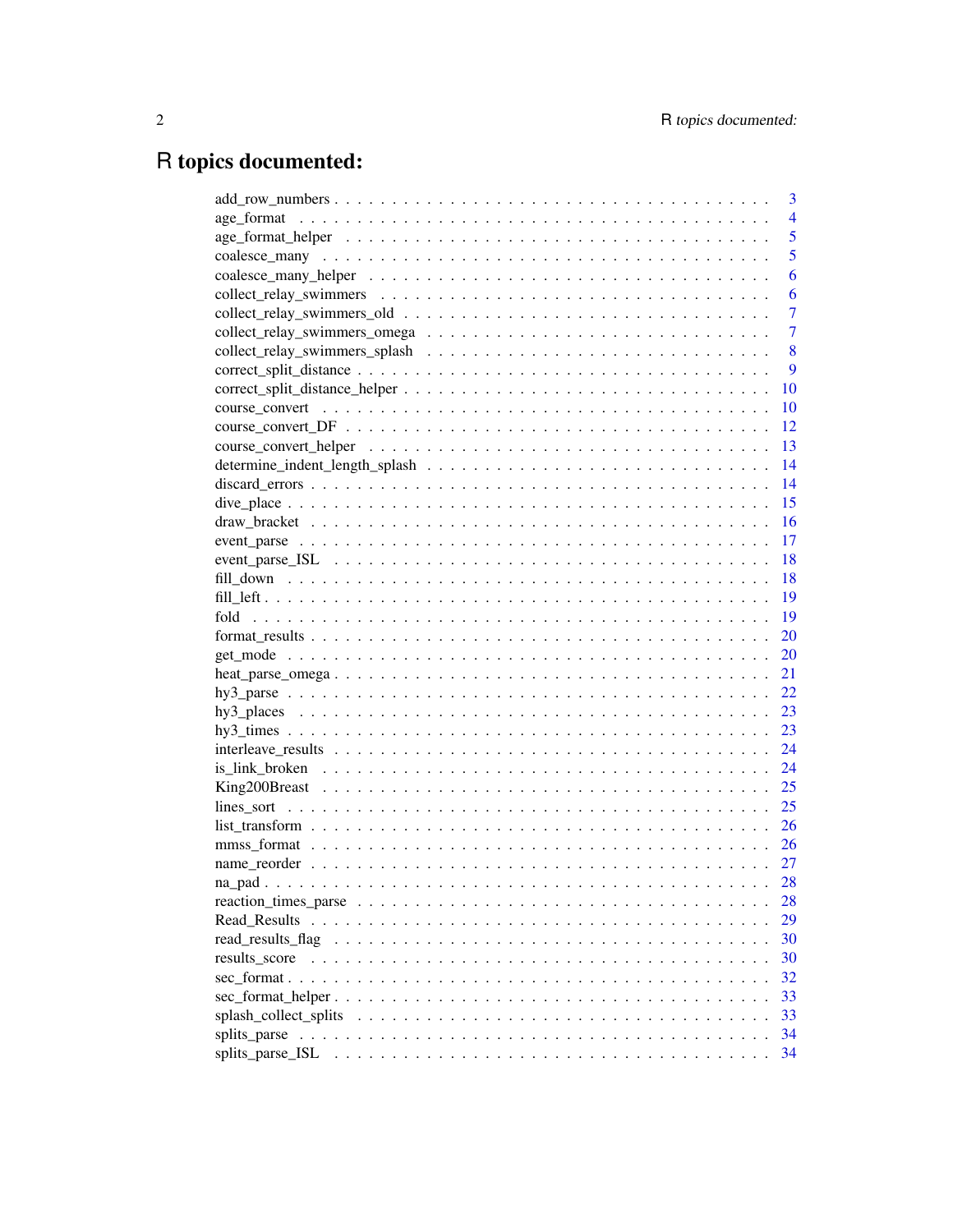# R topics documented:

|                       | 3              |
|-----------------------|----------------|
|                       | $\overline{4}$ |
|                       | 5              |
|                       | 5              |
|                       | 6              |
|                       | 6              |
|                       | $\overline{7}$ |
|                       | $\overline{7}$ |
|                       | 8              |
|                       | 9              |
|                       | 10             |
|                       | 10             |
|                       | 12             |
|                       | 13             |
|                       | 14             |
|                       | 14             |
|                       | 15             |
|                       | 16             |
|                       | 17             |
|                       | 18             |
|                       | 18             |
|                       | 19             |
|                       | 19             |
|                       | 20             |
|                       | 20             |
|                       | 21             |
|                       | 22             |
|                       | 23             |
|                       | 23             |
|                       | 24             |
|                       | 24             |
|                       | 25             |
|                       | 25             |
|                       | 26             |
|                       | 26             |
|                       | 27             |
|                       | 28             |
|                       | 28             |
| Read Results          | 29             |
|                       | 30             |
| results score         | 30             |
|                       | 32             |
|                       | 33             |
| splash_collect_splits | 33             |
|                       | 34             |
| splits_parse_ISL      | 34             |
|                       |                |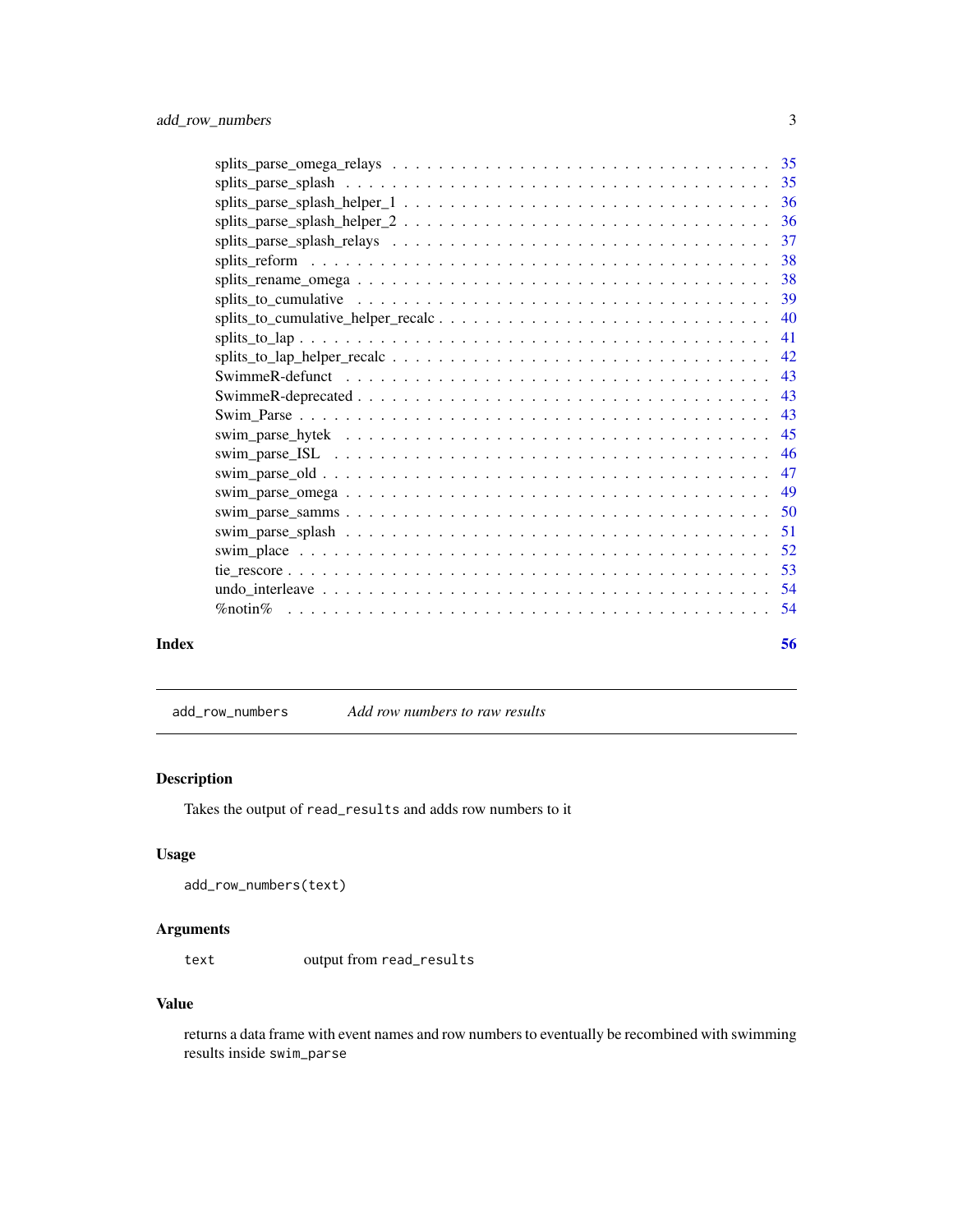<span id="page-2-0"></span>

<span id="page-2-1"></span>add\_row\_numbers *Add row numbers to raw results*

## Description

Takes the output of read\_results and adds row numbers to it

## Usage

```
add_row_numbers(text)
```
## Arguments

text output from read\_results

## Value

returns a data frame with event names and row numbers to eventually be recombined with swimming results inside swim\_parse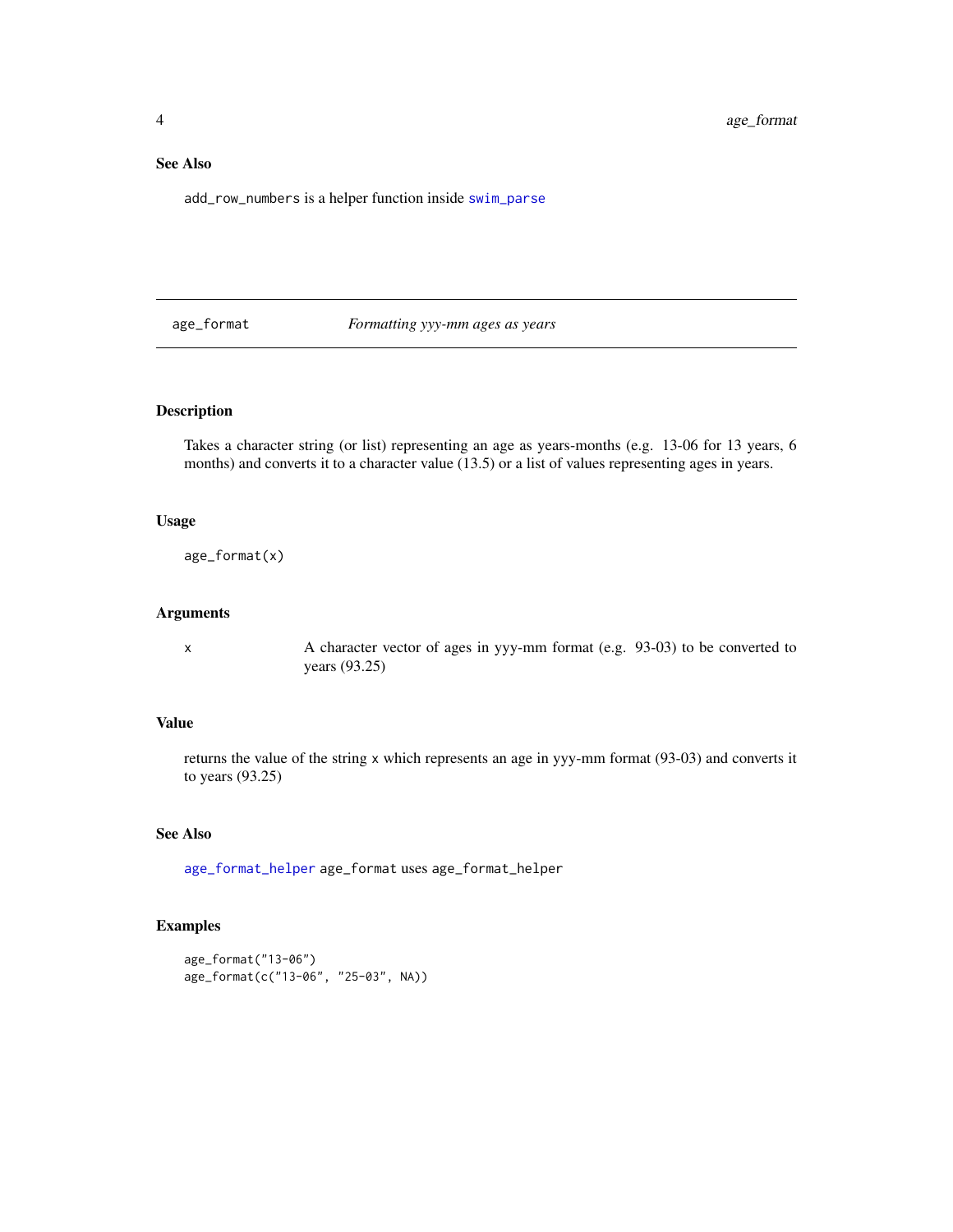## <span id="page-3-0"></span>See Also

add\_row\_numbers is a helper function inside [swim\\_parse](#page-42-1)

age\_format *Formatting yyy-mm ages as years*

## Description

Takes a character string (or list) representing an age as years-months (e.g. 13-06 for 13 years, 6 months) and converts it to a character value (13.5) or a list of values representing ages in years.

## Usage

age\_format(x)

#### Arguments

x A character vector of ages in yyy-mm format (e.g. 93-03) to be converted to years (93.25)

#### Value

returns the value of the string x which represents an age in yyy-mm format (93-03) and converts it to years (93.25)

## See Also

[age\\_format\\_helper](#page-4-1) age\_format uses age\_format\_helper

## Examples

```
age_format("13-06")
age_format(c("13-06", "25-03", NA))
```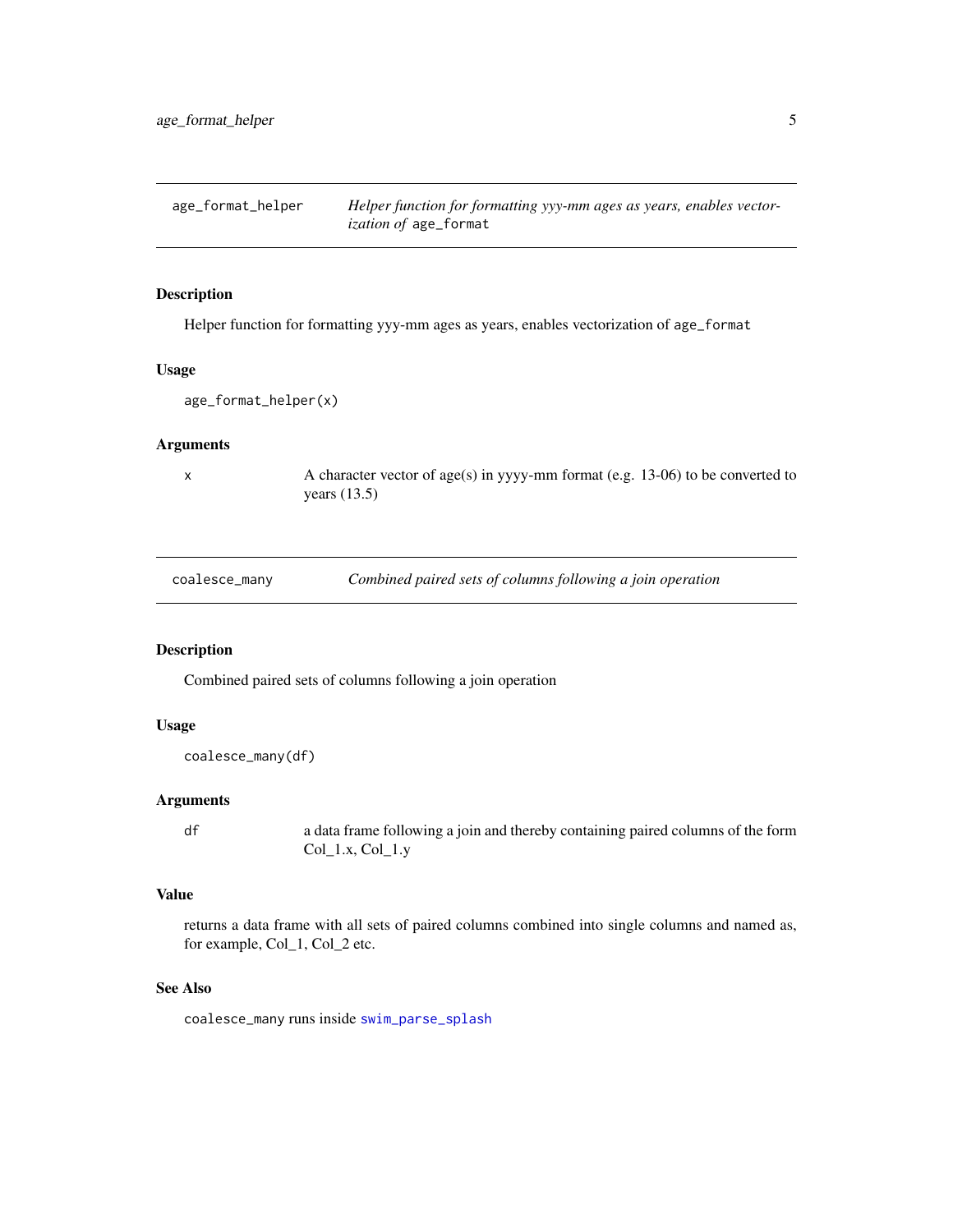<span id="page-4-1"></span><span id="page-4-0"></span>age\_format\_helper *Helper function for formatting yyy-mm ages as years, enables vectorization of* age\_format

## Description

Helper function for formatting yyy-mm ages as years, enables vectorization of age\_format

#### Usage

```
age_format_helper(x)
```
## Arguments

 $x \sim A$  character vector of age(s) in yyyy-mm format (e.g. 13-06) to be converted to years (13.5)

<span id="page-4-2"></span>

| coalesce_many | Combined paired sets of columns following a join operation |  |  |  |
|---------------|------------------------------------------------------------|--|--|--|
|---------------|------------------------------------------------------------|--|--|--|

## Description

Combined paired sets of columns following a join operation

## Usage

```
coalesce_many(df)
```
#### Arguments

df a data frame following a join and thereby containing paired columns of the form Col\_1.x, Col\_1.y

## Value

returns a data frame with all sets of paired columns combined into single columns and named as, for example, Col\_1, Col\_2 etc.

#### See Also

coalesce\_many runs inside [swim\\_parse\\_splash](#page-50-1)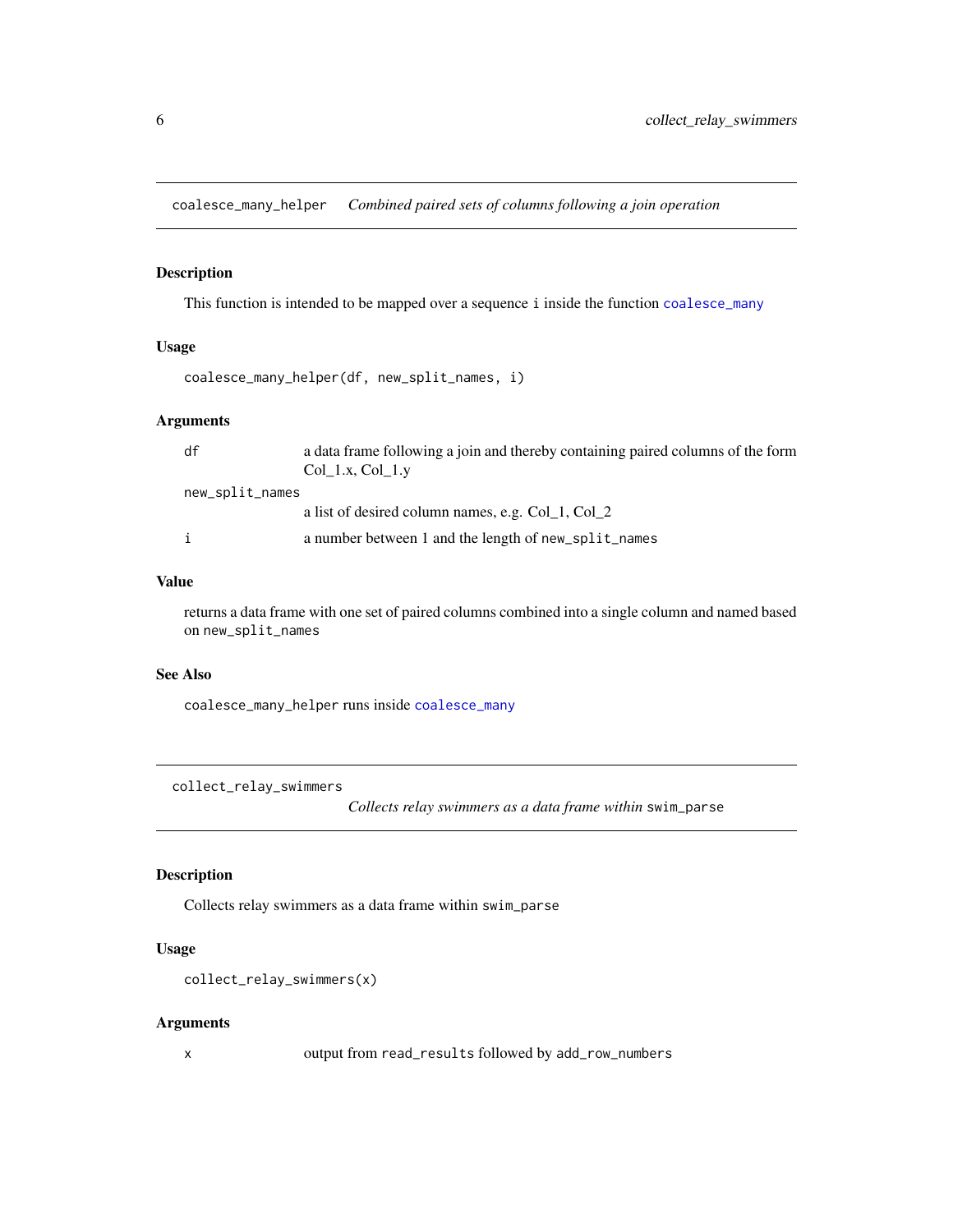<span id="page-5-0"></span>coalesce\_many\_helper *Combined paired sets of columns following a join operation*

## Description

This function is intended to be mapped over a sequence i inside the function [coalesce\\_many](#page-4-2)

#### Usage

```
coalesce_many_helper(df, new_split_names, i)
```
## Arguments

| df              | a data frame following a join and thereby containing paired columns of the form |
|-----------------|---------------------------------------------------------------------------------|
|                 | Col 1.x, Col 1.y                                                                |
| new_split_names |                                                                                 |
|                 | a list of desired column names, e.g. Col 1, Col 2                               |
| $\mathbf{i}$    | a number between 1 and the length of new_split_names                            |

## Value

returns a data frame with one set of paired columns combined into a single column and named based on new\_split\_names

### See Also

coalesce\_many\_helper runs inside [coalesce\\_many](#page-4-2)

collect\_relay\_swimmers

*Collects relay swimmers as a data frame within* swim\_parse

#### Description

Collects relay swimmers as a data frame within swim\_parse

## Usage

```
collect_relay_swimmers(x)
```
#### Arguments

x output from read\_results followed by add\_row\_numbers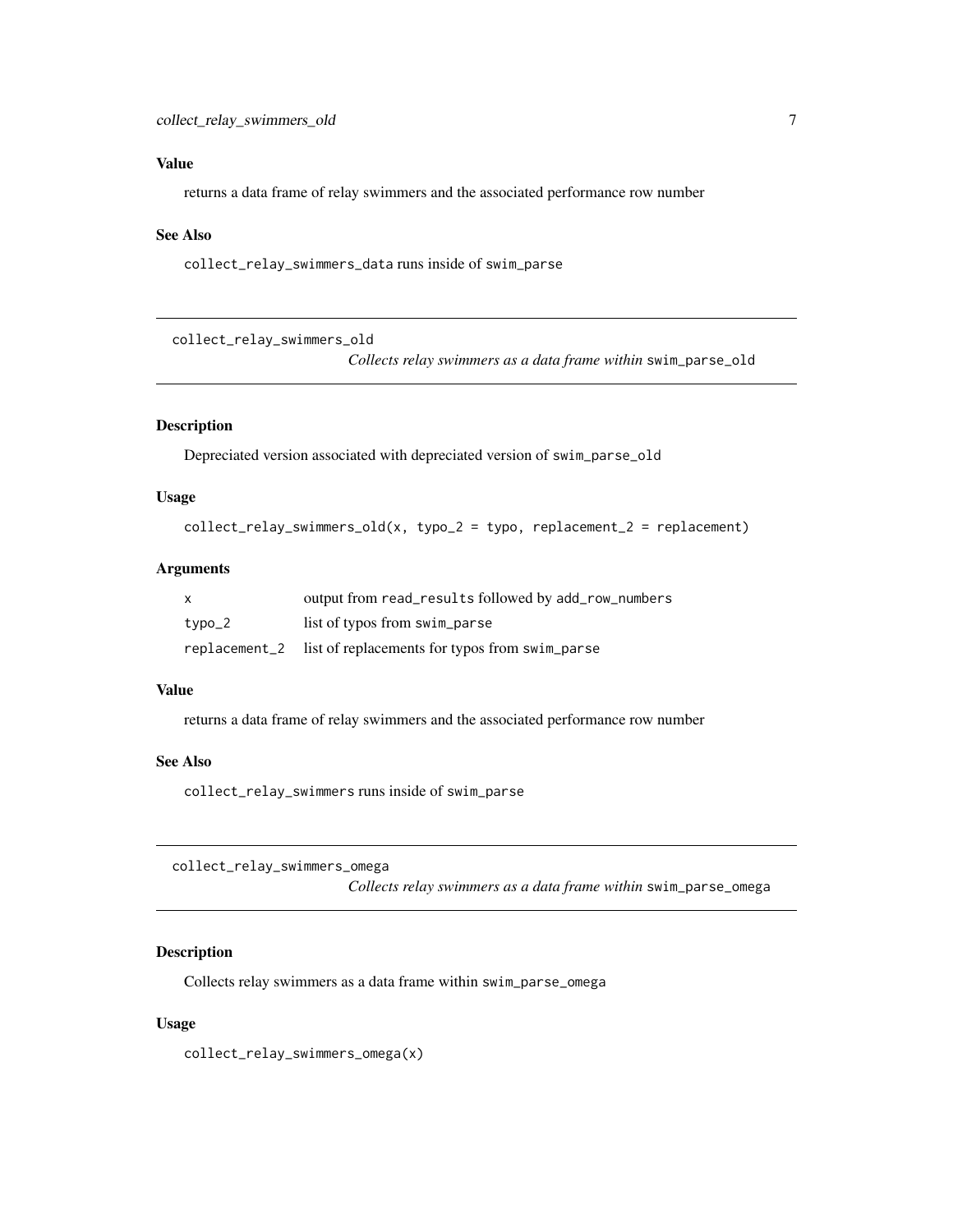## <span id="page-6-0"></span>Value

returns a data frame of relay swimmers and the associated performance row number

## See Also

collect\_relay\_swimmers\_data runs inside of swim\_parse

collect\_relay\_swimmers\_old

*Collects relay swimmers as a data frame within* swim\_parse\_old

#### Description

Depreciated version associated with depreciated version of swim\_parse\_old

## Usage

```
collect_relay_swimmers_old(x, typo_2 = typo, replacement_2 = replacement)
```
#### Arguments

| $\mathsf{x}$ | output from read_results followed by add_row_numbers         |
|--------------|--------------------------------------------------------------|
| typo_2       | list of typos from swim_parse                                |
|              | replacement_2 list of replacements for typos from swim_parse |

#### Value

returns a data frame of relay swimmers and the associated performance row number

## See Also

collect\_relay\_swimmers runs inside of swim\_parse

collect\_relay\_swimmers\_omega

*Collects relay swimmers as a data frame within* swim\_parse\_omega

## Description

Collects relay swimmers as a data frame within swim\_parse\_omega

#### Usage

collect\_relay\_swimmers\_omega(x)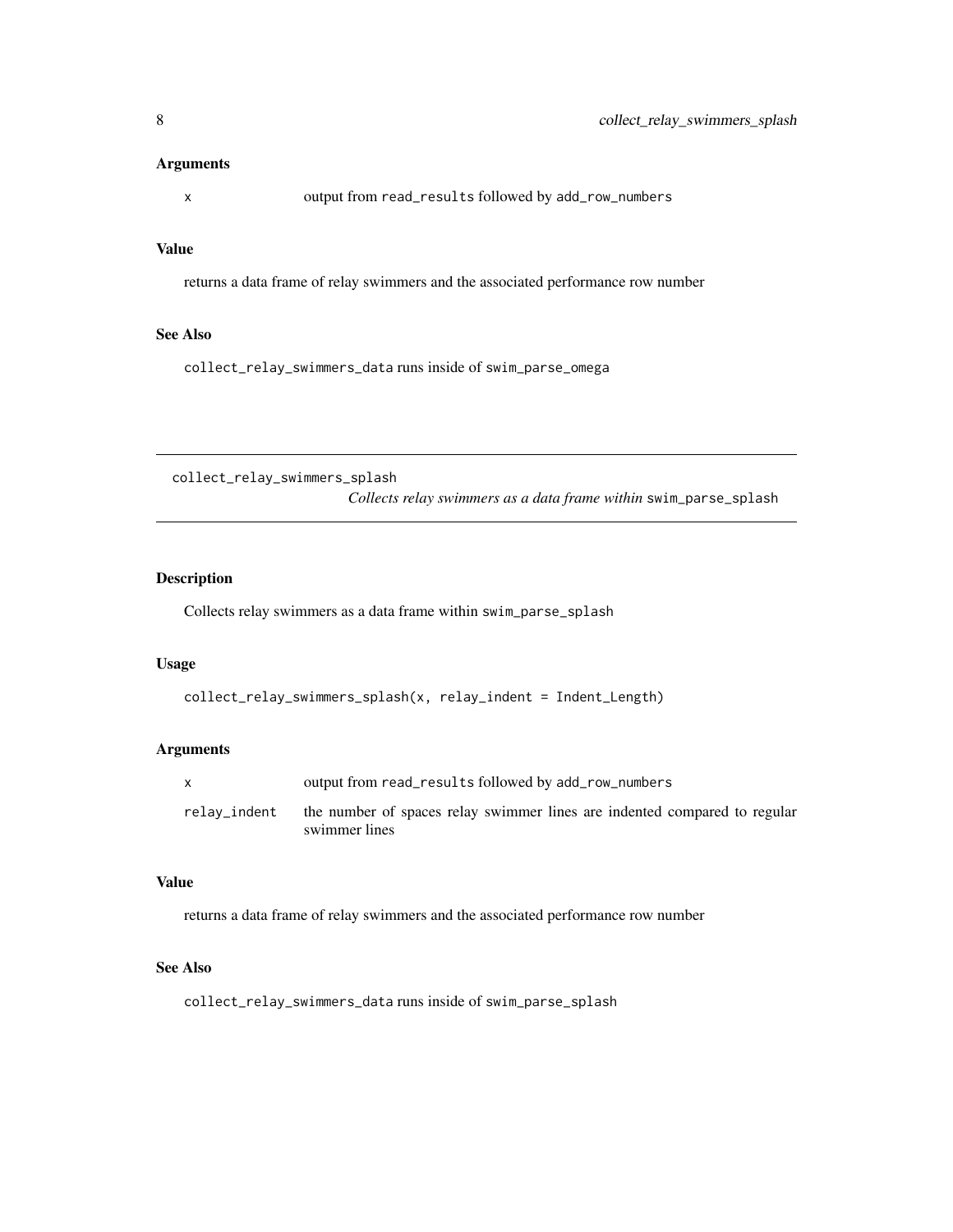#### <span id="page-7-0"></span>Arguments

x output from read\_results followed by add\_row\_numbers

## Value

returns a data frame of relay swimmers and the associated performance row number

## See Also

collect\_relay\_swimmers\_data runs inside of swim\_parse\_omega

collect\_relay\_swimmers\_splash

*Collects relay swimmers as a data frame within* swim\_parse\_splash

## Description

Collects relay swimmers as a data frame within swim\_parse\_splash

## Usage

```
collect_relay_swimmers_splash(x, relay_indent = Indent_Length)
```
#### Arguments

|              | output from read_results followed by add_row_numbers                                       |
|--------------|--------------------------------------------------------------------------------------------|
| relay_indent | the number of spaces relay swimmer lines are indented compared to regular<br>swimmer lines |

## Value

returns a data frame of relay swimmers and the associated performance row number

## See Also

collect\_relay\_swimmers\_data runs inside of swim\_parse\_splash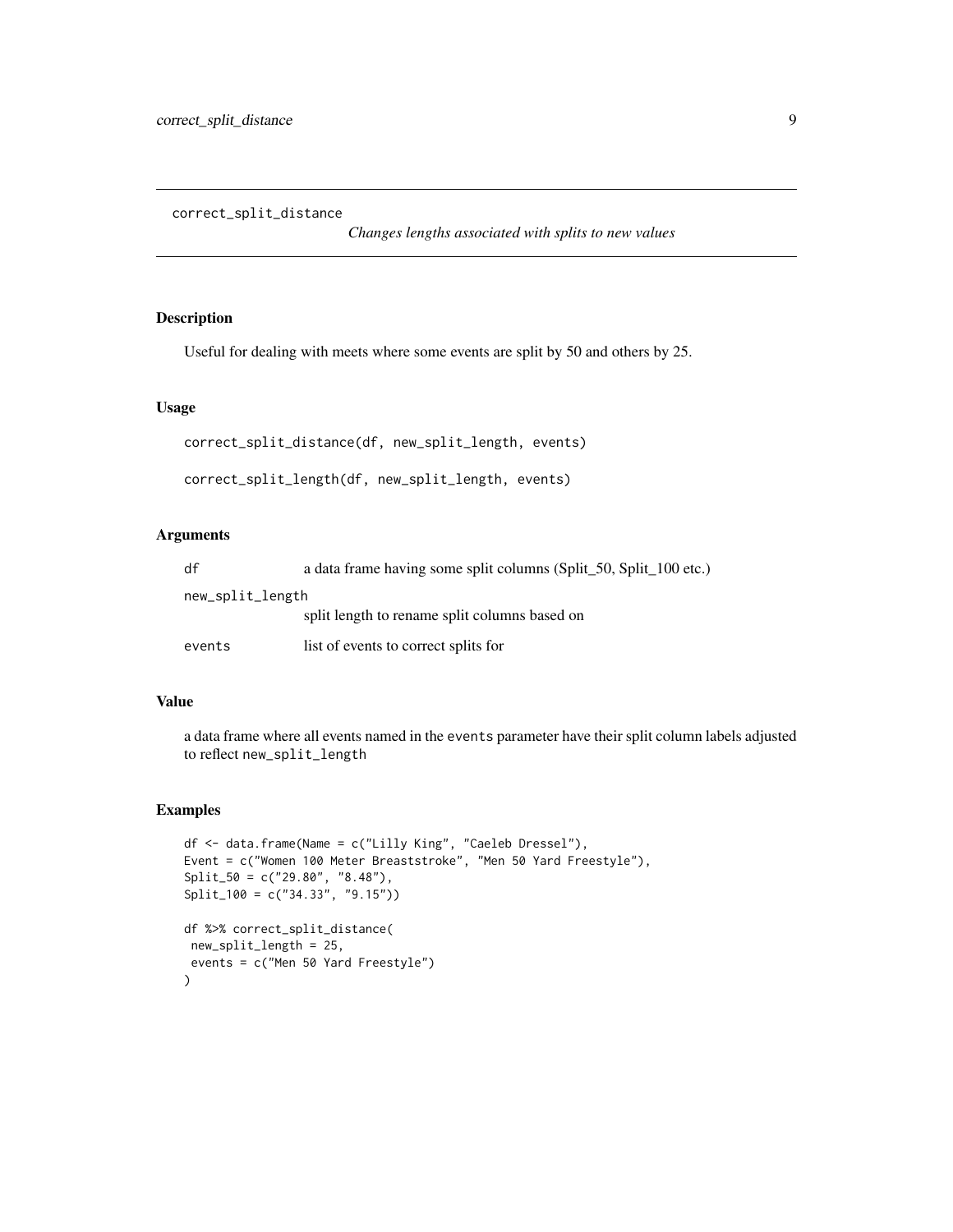<span id="page-8-0"></span>correct\_split\_distance

*Changes lengths associated with splits to new values*

## Description

Useful for dealing with meets where some events are split by 50 and others by 25.

## Usage

```
correct_split_distance(df, new_split_length, events)
```

```
correct_split_length(df, new_split_length, events)
```
## Arguments

| df               | a data frame having some split columns (Split_50, Split_100 etc.) |  |  |  |  |
|------------------|-------------------------------------------------------------------|--|--|--|--|
| new_split_length |                                                                   |  |  |  |  |
|                  | split length to rename split columns based on                     |  |  |  |  |
| events           | list of events to correct splits for                              |  |  |  |  |

## Value

a data frame where all events named in the events parameter have their split column labels adjusted to reflect new\_split\_length

#### Examples

```
df <- data.frame(Name = c("Lilly King", "Caeleb Dressel"),
Event = c("Women 100 Meter Breaststroke", "Men 50 Yard Freestyle"),
Split_50 = c("29.80", "8.48"),Split_100 = c("34.33", "9.15"))
df %>% correct_split_distance(
new_split_length = 25,
events = c("Men 50 Yard Freestyle")
)
```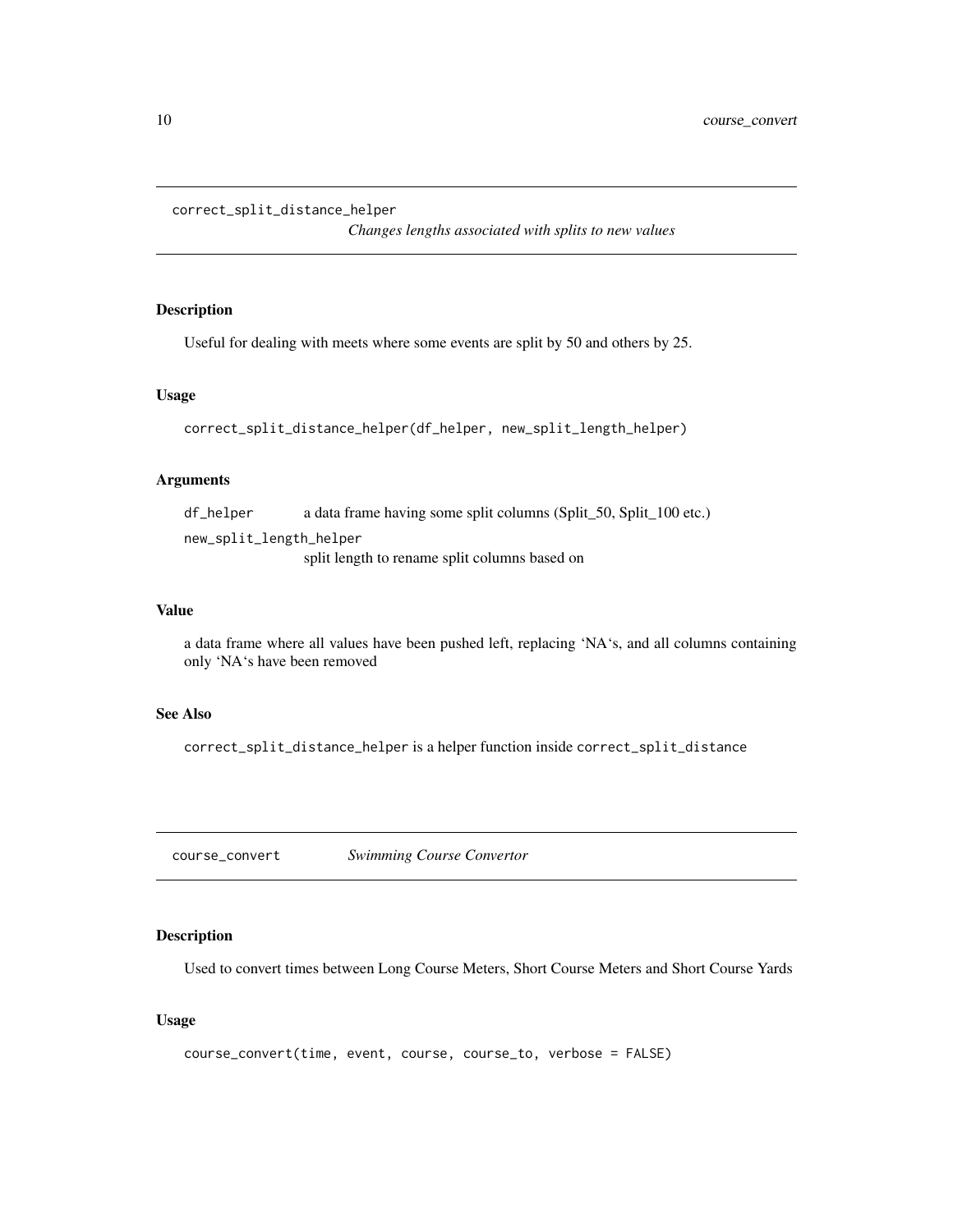<span id="page-9-0"></span>correct\_split\_distance\_helper

*Changes lengths associated with splits to new values*

## Description

Useful for dealing with meets where some events are split by 50 and others by 25.

#### Usage

```
correct_split_distance_helper(df_helper, new_split_length_helper)
```
## Arguments

df\_helper a data frame having some split columns (Split\_50, Split\_100 etc.) new\_split\_length\_helper

split length to rename split columns based on

#### Value

a data frame where all values have been pushed left, replacing 'NA's, and all columns containing only 'NA's have been removed

## See Also

correct\_split\_distance\_helper is a helper function inside correct\_split\_distance

<span id="page-9-1"></span>course\_convert *Swimming Course Convertor*

## Description

Used to convert times between Long Course Meters, Short Course Meters and Short Course Yards

#### Usage

```
course_convert(time, event, course, course_to, verbose = FALSE)
```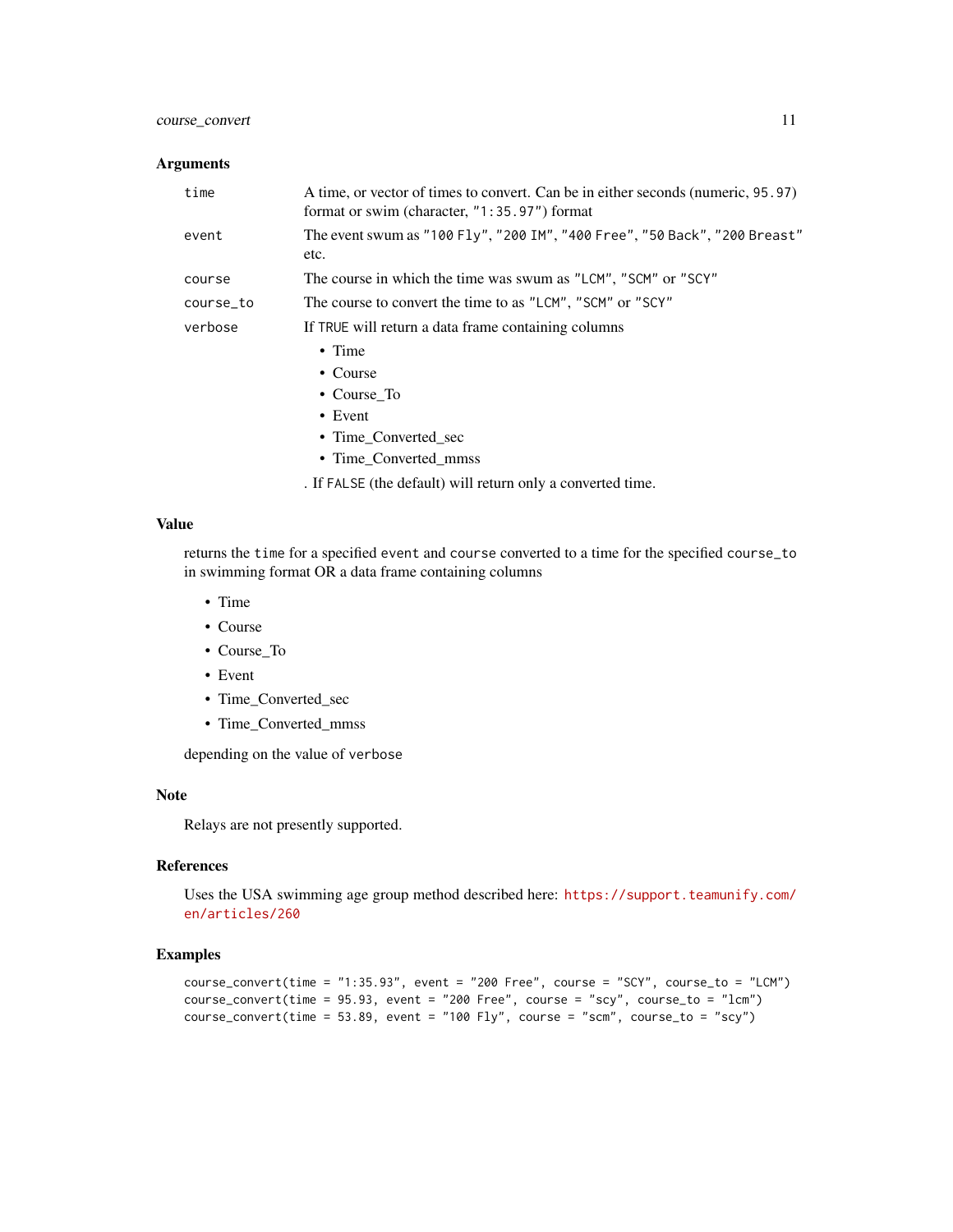## course\_convert 11

## Arguments

| time      | A time, or vector of times to convert. Can be in either seconds (numeric, 95.97) |
|-----------|----------------------------------------------------------------------------------|
|           | format or swim (character, "1:35.97") format                                     |
| event     | The event swum as "100 Fly", "200 IM", "400 Free", "50 Back", "200 Breast"       |
|           | etc.                                                                             |
| course    | The course in which the time was swum as "LCM", "SCM" or "SCY"                   |
| course_to | The course to convert the time to as "LCM", "SCM" or "SCY"                       |
| verbose   | If TRUE will return a data frame containing columns                              |
|           | $\bullet$ Time                                                                   |
|           | • Course                                                                         |
|           | • Course To                                                                      |
|           | $\bullet$ Event                                                                  |
|           | • Time Converted sec                                                             |
|           |                                                                                  |

• Time\_Converted\_mmss

. If FALSE (the default) will return only a converted time.

## Value

returns the time for a specified event and course converted to a time for the specified course\_to in swimming format OR a data frame containing columns

- Time
- Course
- Course\_To
- Event
- Time\_Converted\_sec
- Time\_Converted\_mmss

depending on the value of verbose

## Note

Relays are not presently supported.

## References

Uses the USA swimming age group method described here: [https://support.teamunify.com/](https://support.teamunify.com/en/articles/260) [en/articles/260](https://support.teamunify.com/en/articles/260)

## Examples

```
course_convert(time = "1:35.93", event = "200 Free", course = "SCY", course_to = "LCM")
course_convert(time = 95.93, event = "200 Free", course = "scy", course_to = "lcm")
course\_convert(time = 53.89, event = "100 Fly", course = "scm", course_to = "scy")
```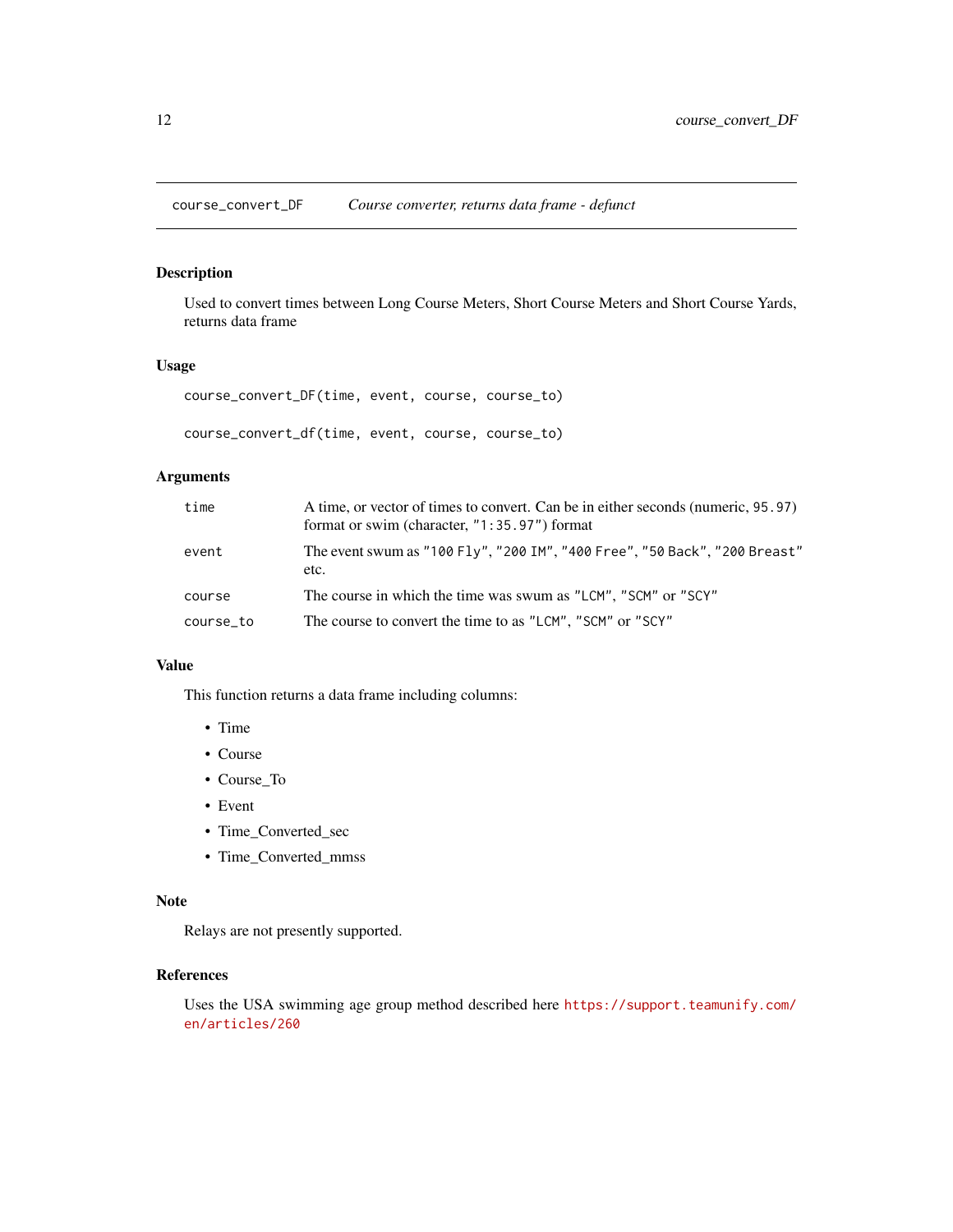<span id="page-11-1"></span><span id="page-11-0"></span>course\_convert\_DF *Course converter, returns data frame - defunct*

## Description

Used to convert times between Long Course Meters, Short Course Meters and Short Course Yards, returns data frame

#### Usage

course\_convert\_DF(time, event, course, course\_to)

course\_convert\_df(time, event, course, course\_to)

## Arguments

| time      | A time, or vector of times to convert. Can be in either seconds (numeric, 95.97)<br>format or swim (character, $"1:35.97"$ ) format |
|-----------|-------------------------------------------------------------------------------------------------------------------------------------|
| event     | The event swum as "100 Fly", "200 IM", "400 Free", "50 Back", "200 Breast"<br>etc.                                                  |
| course    | The course in which the time was swum as "LCM", "SCM" or "SCY"                                                                      |
| course_to | The course to convert the time to as "LCM", "SCM" or "SCY"                                                                          |

#### Value

This function returns a data frame including columns:

- Time
- Course
- Course\_To
- Event
- Time\_Converted\_sec
- Time\_Converted\_mmss

## Note

Relays are not presently supported.

## References

Uses the USA swimming age group method described here [https://support.teamunify.com/](https://support.teamunify.com/en/articles/260) [en/articles/260](https://support.teamunify.com/en/articles/260)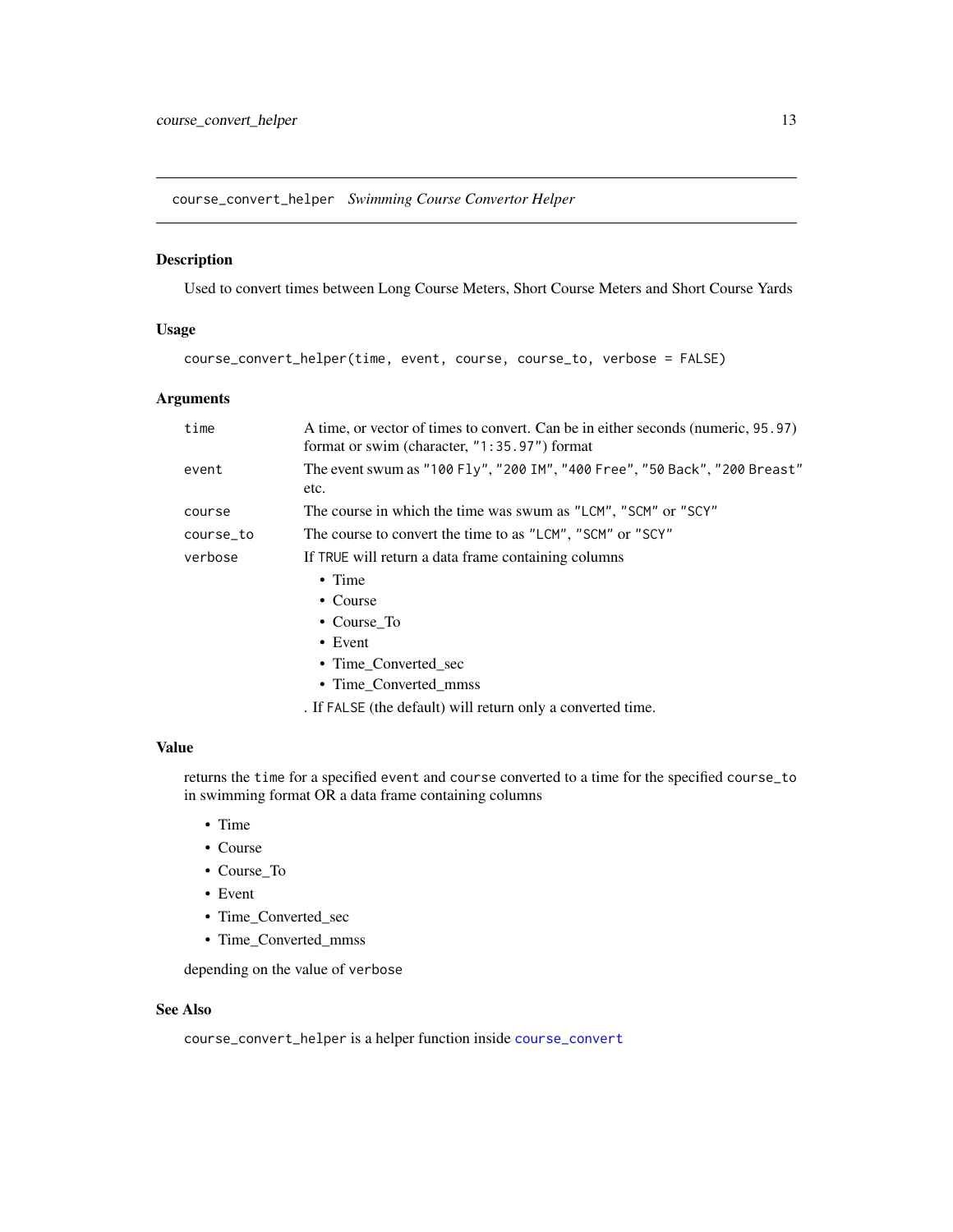<span id="page-12-0"></span>course\_convert\_helper *Swimming Course Convertor Helper*

## Description

Used to convert times between Long Course Meters, Short Course Meters and Short Course Yards

#### Usage

course\_convert\_helper(time, event, course, course\_to, verbose = FALSE)

#### Arguments

| time      | A time, or vector of times to convert. Can be in either seconds (numeric, 95.97)<br>format or swim (character, "1:35.97") format |
|-----------|----------------------------------------------------------------------------------------------------------------------------------|
| event     | The event swum as "100 Fly", "200 IM", "400 Free", "50 Back", "200 Breast"<br>etc.                                               |
| course    | The course in which the time was swum as "LCM", "SCM" or "SCY"                                                                   |
| course_to | The course to convert the time to as "LCM", "SCM" or "SCY"                                                                       |
| verbose   | If TRUE will return a data frame containing columns                                                                              |
|           | $\bullet$ Time                                                                                                                   |
|           | • Course                                                                                                                         |
|           | • Course_To                                                                                                                      |
|           | $\bullet$ Event                                                                                                                  |
|           | • Time Converted sec                                                                                                             |
|           |                                                                                                                                  |

• Time\_Converted\_mmss

. If FALSE (the default) will return only a converted time.

#### Value

returns the time for a specified event and course converted to a time for the specified course\_to in swimming format OR a data frame containing columns

- Time
- Course
- Course\_To
- Event
- Time\_Converted\_sec
- Time\_Converted\_mmss

depending on the value of verbose

## See Also

course\_convert\_helper is a helper function inside [course\\_convert](#page-9-1)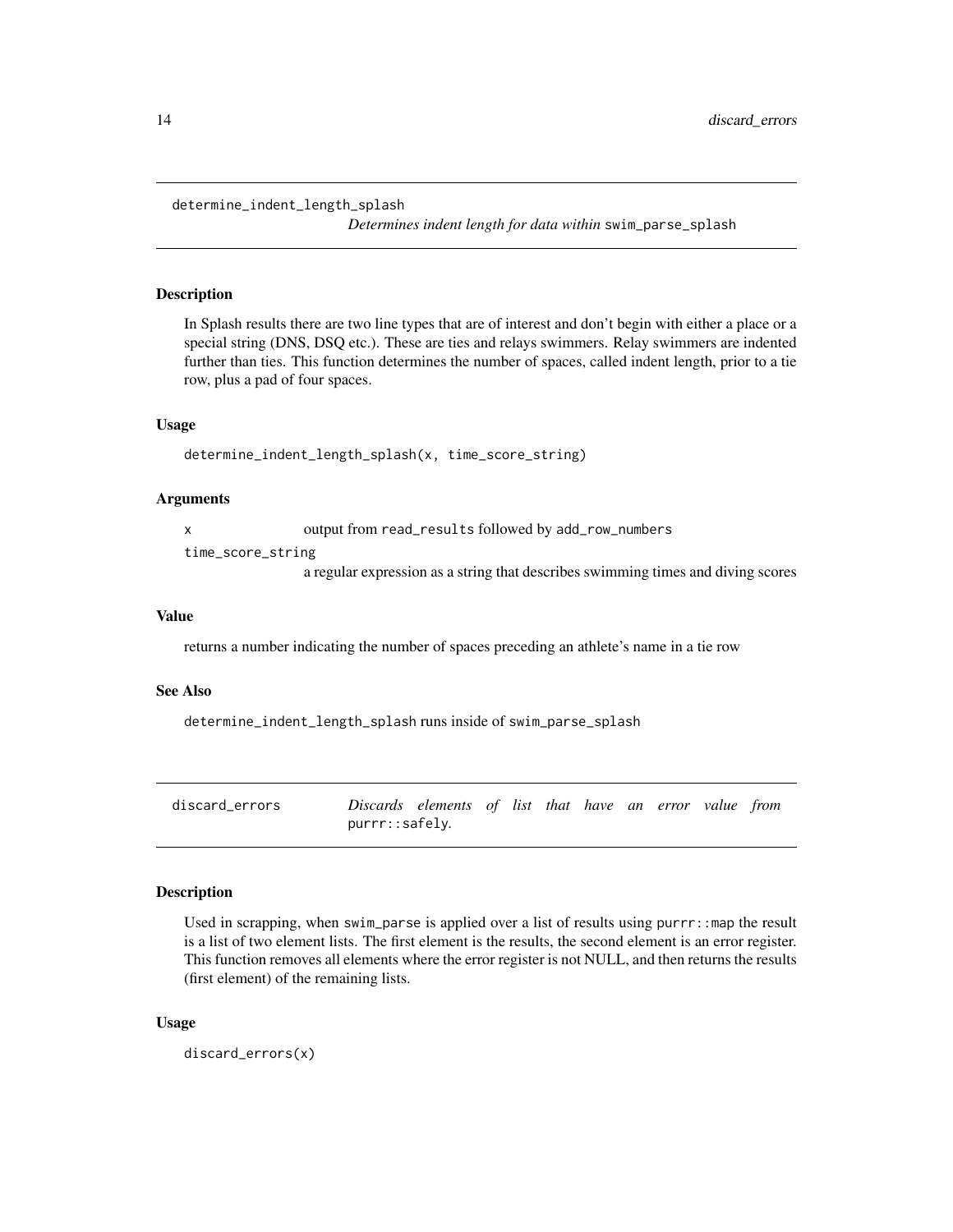<span id="page-13-0"></span>determine\_indent\_length\_splash

*Determines indent length for data within* swim\_parse\_splash

#### Description

In Splash results there are two line types that are of interest and don't begin with either a place or a special string (DNS, DSQ etc.). These are ties and relays swimmers. Relay swimmers are indented further than ties. This function determines the number of spaces, called indent length, prior to a tie row, plus a pad of four spaces.

#### Usage

```
determine_indent_length_splash(x, time_score_string)
```
#### Arguments

x output from read\_results followed by add\_row\_numbers

time\_score\_string

a regular expression as a string that describes swimming times and diving scores

#### Value

returns a number indicating the number of spaces preceding an athlete's name in a tie row

#### See Also

determine\_indent\_length\_splash runs inside of swim\_parse\_splash

| discard errors | Discards elements of list that have an error value from |  |  |  |  |  |
|----------------|---------------------------------------------------------|--|--|--|--|--|
|                | purrr::safely.                                          |  |  |  |  |  |

## **Description**

Used in scrapping, when swim\_parse is applied over a list of results using  $purr: :map$  the result is a list of two element lists. The first element is the results, the second element is an error register. This function removes all elements where the error register is not NULL, and then returns the results (first element) of the remaining lists.

#### Usage

discard\_errors(x)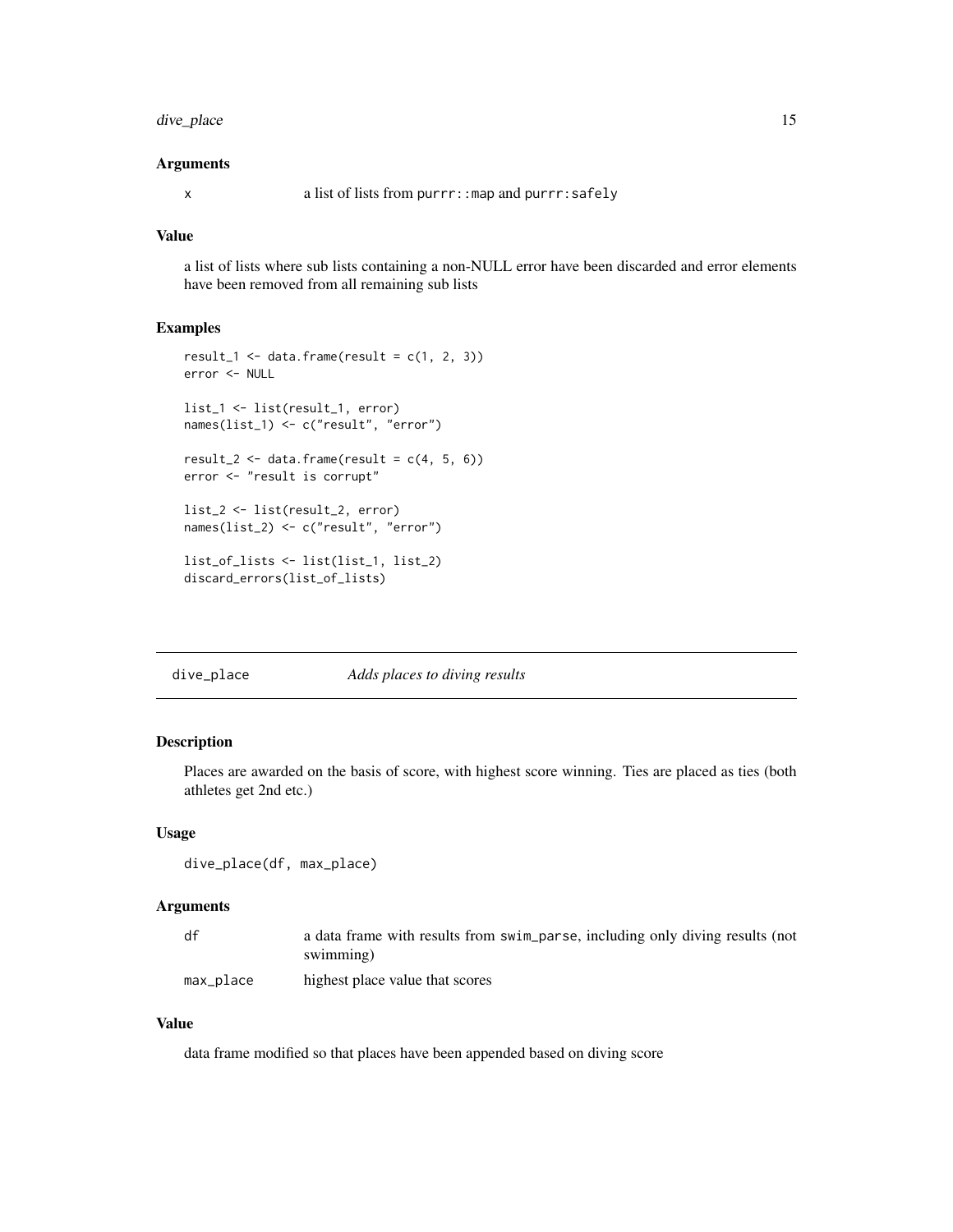## <span id="page-14-0"></span>dive\_place 15

#### Arguments

x a list of lists from purrr::map and purrr:safely

## Value

a list of lists where sub lists containing a non-NULL error have been discarded and error elements have been removed from all remaining sub lists

#### Examples

```
result_1 <- data.frame(result = c(1, 2, 3))
error <- NULL
list_1 <- list(result_1, error)
names(list_1) <- c("result", "error")
result_2 <- data.frame(result = c(4, 5, 6))
error <- "result is corrupt"
list_2 <- list(result_2, error)
names(list_2) <- c("result", "error")
list_of_lists <- list(list_1, list_2)
discard_errors(list_of_lists)
```
dive\_place *Adds places to diving results*

#### Description

Places are awarded on the basis of score, with highest score winning. Ties are placed as ties (both athletes get 2nd etc.)

#### Usage

```
dive_place(df, max_place)
```
### Arguments

| df        | a data frame with results from swim_parse, including only diving results (not<br>swimming) |
|-----------|--------------------------------------------------------------------------------------------|
| max_place | highest place value that scores                                                            |

## Value

data frame modified so that places have been appended based on diving score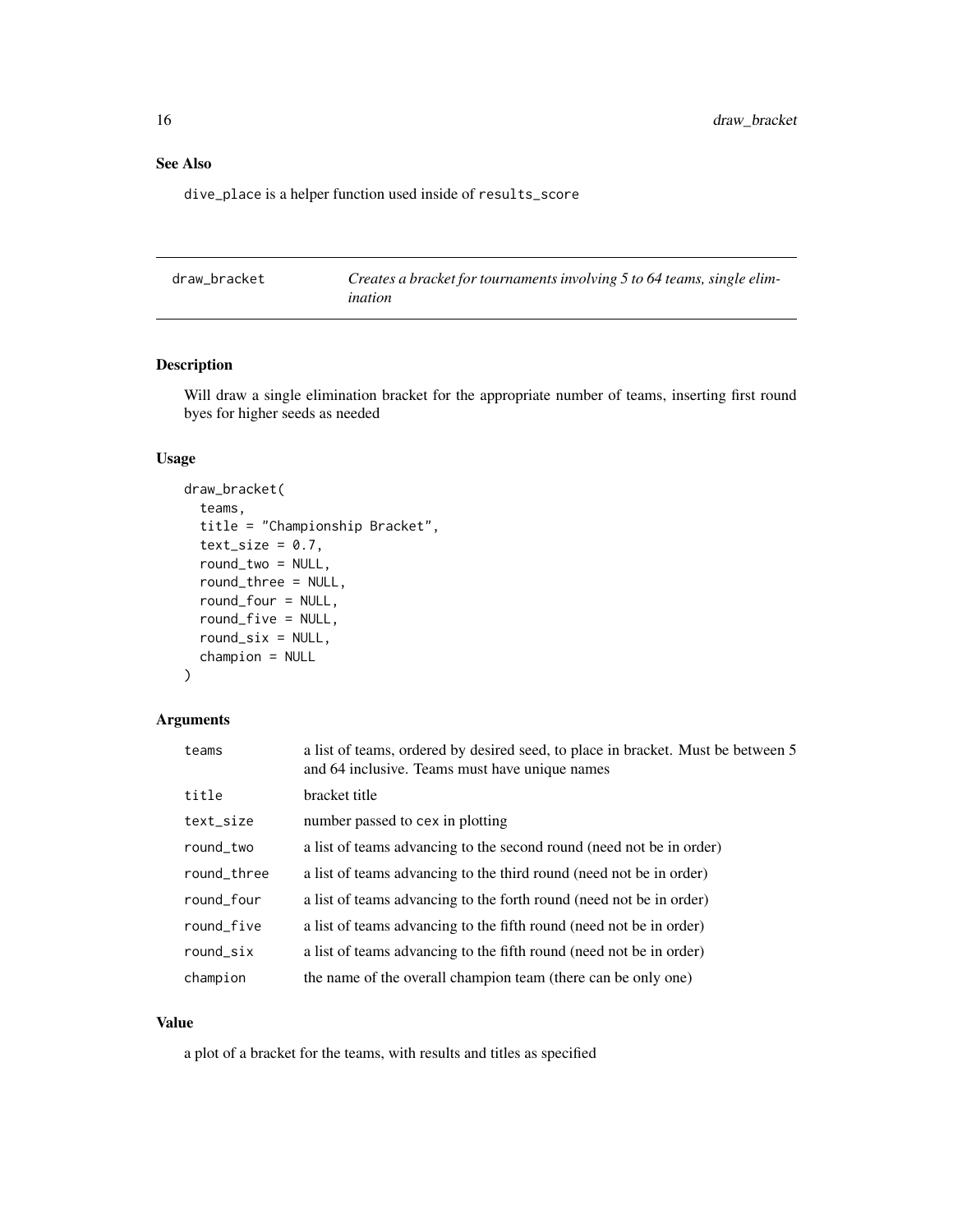## <span id="page-15-0"></span>See Also

dive\_place is a helper function used inside of results\_score

| draw bracket | Creates a bracket for tournaments involving 5 to 64 teams, single elim- |
|--------------|-------------------------------------------------------------------------|
|              | ination                                                                 |

#### Description

Will draw a single elimination bracket for the appropriate number of teams, inserting first round byes for higher seeds as needed

## Usage

```
draw_bracket(
  teams,
  title = "Championship Bracket",
  text_size = 0.7,
  round_two = NULL,
  round_three = NULL,
  round_four = NULL,
  round_five = NULL,
  round\_six = NULL,champion = NULL
)
```
## Arguments

| teams       | a list of teams, ordered by desired seed, to place in bracket. Must be between 5<br>and 64 inclusive. Teams must have unique names |
|-------------|------------------------------------------------------------------------------------------------------------------------------------|
| title       | bracket title                                                                                                                      |
| text_size   | number passed to cex in plotting                                                                                                   |
| round_two   | a list of teams advancing to the second round (need not be in order)                                                               |
| round_three | a list of teams advancing to the third round (need not be in order)                                                                |
| round_four  | a list of teams advancing to the forth round (need not be in order)                                                                |
| round_five  | a list of teams advancing to the fifth round (need not be in order)                                                                |
| round_six   | a list of teams advancing to the fifth round (need not be in order)                                                                |
| champion    | the name of the overall champion team (there can be only one)                                                                      |

#### Value

a plot of a bracket for the teams, with results and titles as specified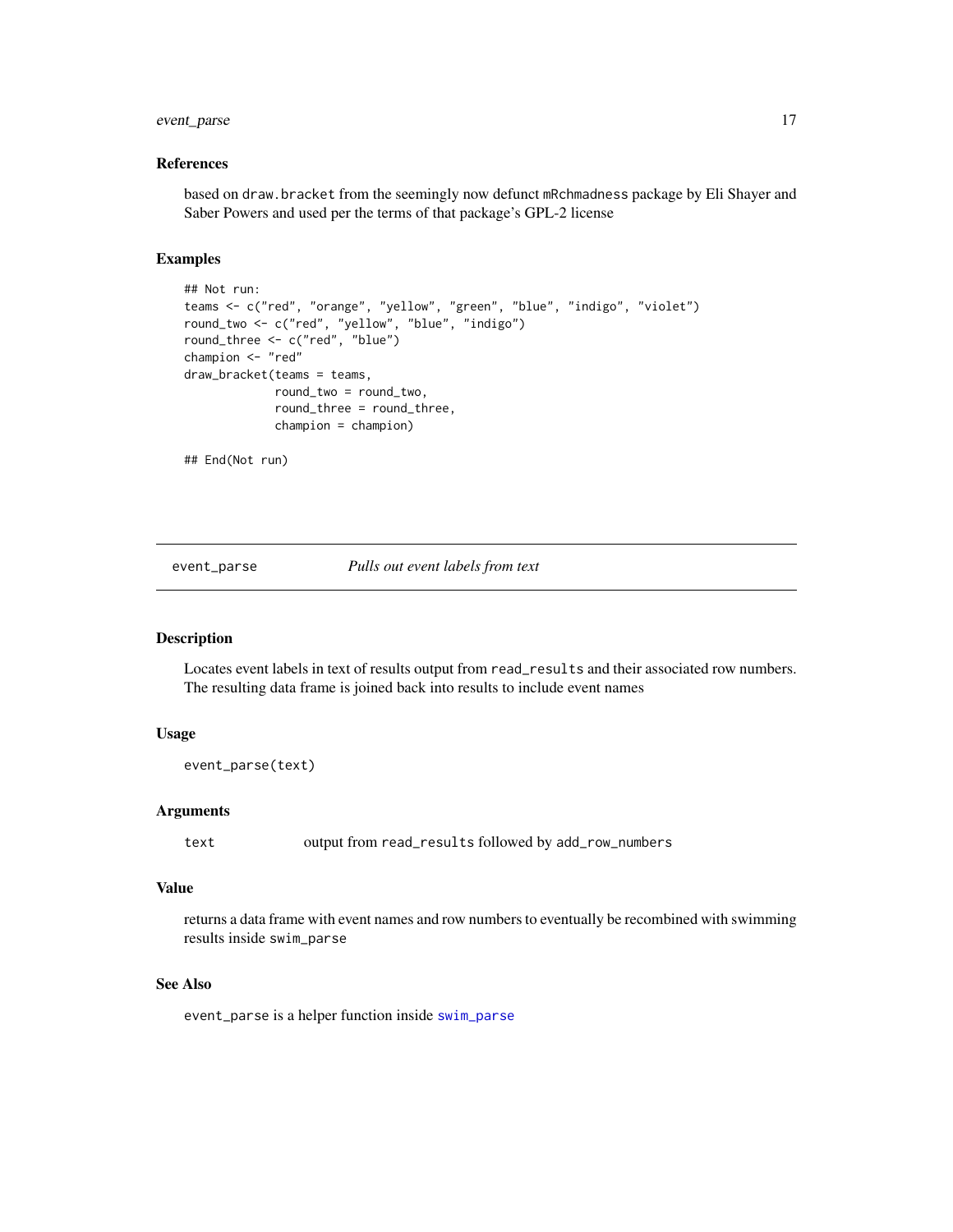## <span id="page-16-0"></span>event\_parse 17

#### References

based on draw.bracket from the seemingly now defunct mRchmadness package by Eli Shayer and Saber Powers and used per the terms of that package's GPL-2 license

#### Examples

```
## Not run:
teams <- c("red", "orange", "yellow", "green", "blue", "indigo", "violet")
round_two <- c("red", "yellow", "blue", "indigo")
round_three <- c("red", "blue")
champion <- "red"
draw_bracket(teams = teams,
             round_two = round_two,
             round_three = round_three,
             champion = champion)
## End(Not run)
```
#### event\_parse *Pulls out event labels from text*

## Description

Locates event labels in text of results output from read\_results and their associated row numbers. The resulting data frame is joined back into results to include event names

#### Usage

```
event_parse(text)
```
## Arguments

text output from read\_results followed by add\_row\_numbers

#### Value

returns a data frame with event names and row numbers to eventually be recombined with swimming results inside swim\_parse

## See Also

event\_parse is a helper function inside [swim\\_parse](#page-42-1)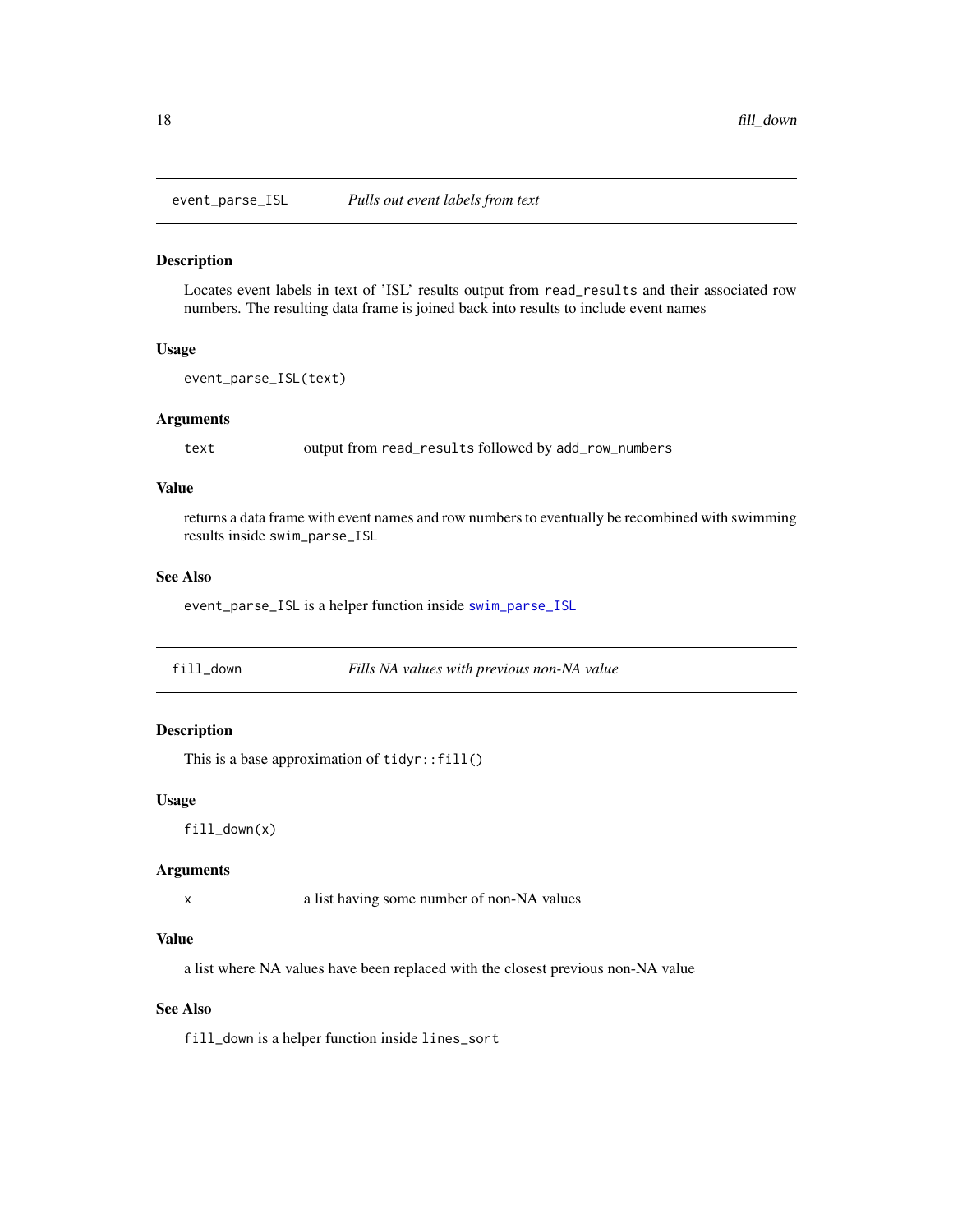<span id="page-17-0"></span>

Locates event labels in text of 'ISL' results output from read\_results and their associated row numbers. The resulting data frame is joined back into results to include event names

## Usage

```
event_parse_ISL(text)
```
#### **Arguments**

text output from read\_results followed by add\_row\_numbers

#### Value

returns a data frame with event names and row numbers to eventually be recombined with swimming results inside swim\_parse\_ISL

#### See Also

event\_parse\_ISL is a helper function inside [swim\\_parse\\_ISL](#page-45-1)

| fill down | Fills NA values with previous non-NA value |
|-----------|--------------------------------------------|
|-----------|--------------------------------------------|

## Description

This is a base approximation of  $tidyr$ :  $fill()$ 

#### Usage

fill\_down(x)

#### Arguments

x a list having some number of non-NA values

#### Value

a list where NA values have been replaced with the closest previous non-NA value

## See Also

fill\_down is a helper function inside lines\_sort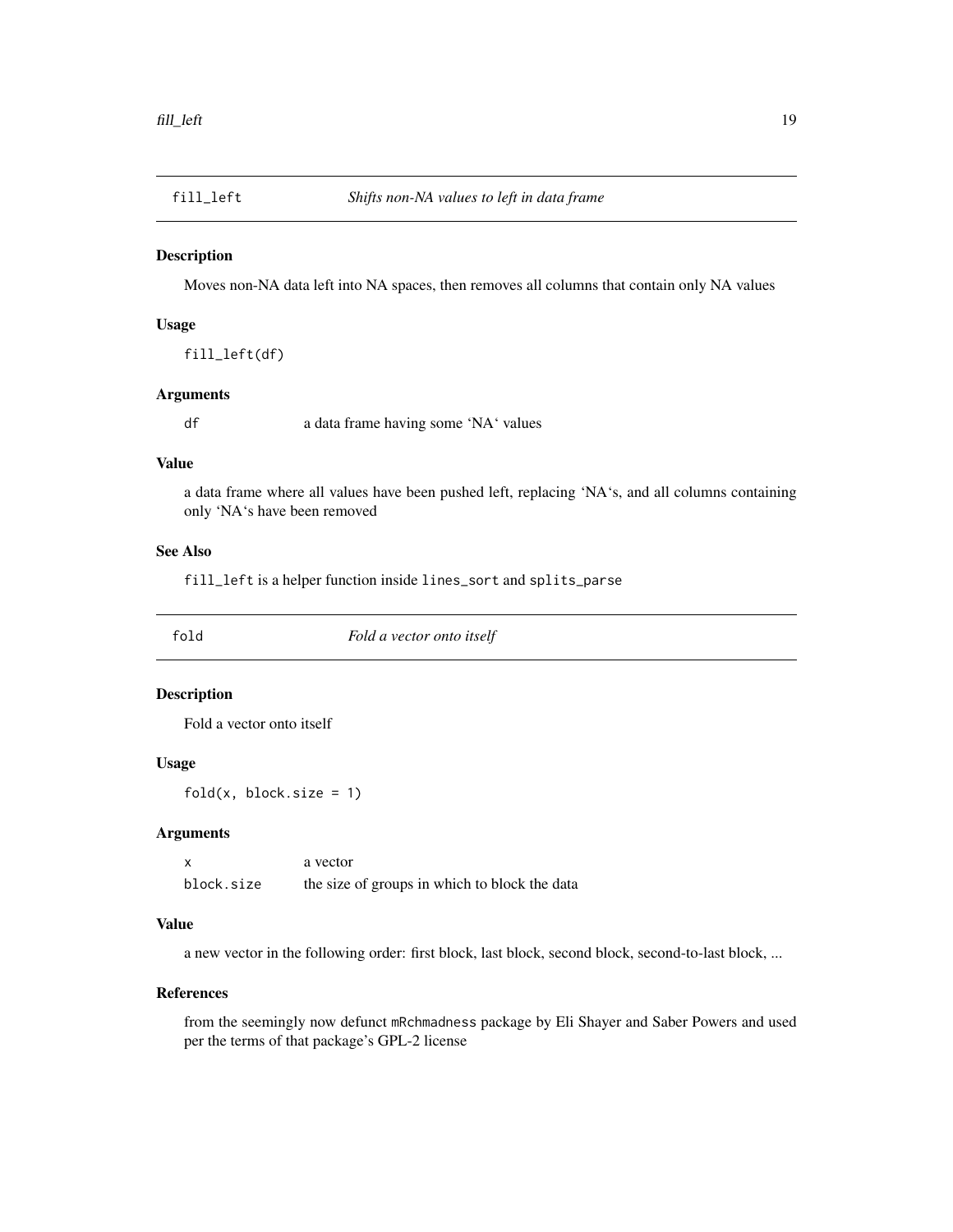<span id="page-18-0"></span>

Moves non-NA data left into NA spaces, then removes all columns that contain only NA values

#### Usage

fill\_left(df)

#### Arguments

df a data frame having some 'NA' values

#### Value

a data frame where all values have been pushed left, replacing 'NA's, and all columns containing only 'NA's have been removed

## See Also

fill\_left is a helper function inside lines\_sort and splits\_parse

fold *Fold a vector onto itself*

## Description

Fold a vector onto itself

#### Usage

 $fold(x, block.size = 1)$ 

## Arguments

x a vector block.size the size of groups in which to block the data

#### Value

a new vector in the following order: first block, last block, second block, second-to-last block, ...

## References

from the seemingly now defunct mRchmadness package by Eli Shayer and Saber Powers and used per the terms of that package's GPL-2 license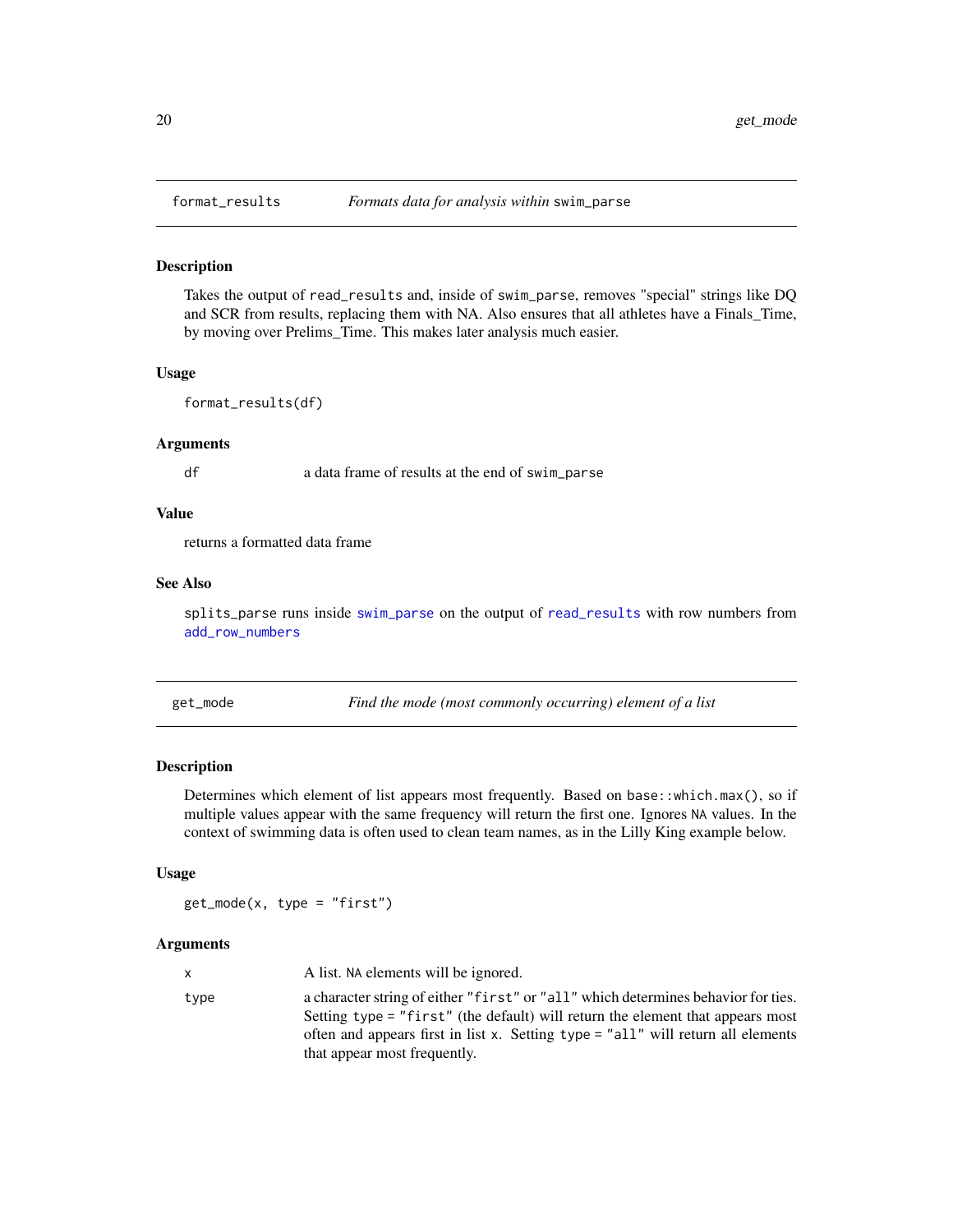<span id="page-19-0"></span>

Takes the output of read\_results and, inside of swim\_parse, removes "special" strings like DQ and SCR from results, replacing them with NA. Also ensures that all athletes have a Finals\_Time, by moving over Prelims\_Time. This makes later analysis much easier.

#### Usage

```
format_results(df)
```
#### **Arguments**

df a data frame of results at the end of swim\_parse

## Value

returns a formatted data frame

#### See Also

splits\_parse runs inside [swim\\_parse](#page-42-1) on the output of [read\\_results](#page-28-1) with row numbers from [add\\_row\\_numbers](#page-2-1)

get\_mode *Find the mode (most commonly occurring) element of a list*

## Description

Determines which element of list appears most frequently. Based on base::which.max(), so if multiple values appear with the same frequency will return the first one. Ignores NA values. In the context of swimming data is often used to clean team names, as in the Lilly King example below.

#### Usage

 $get_model(x, type = "first")$ 

#### **Arguments**

|      | A list. NA elements will be ignored.                                                                                                                                                                                                                                                      |
|------|-------------------------------------------------------------------------------------------------------------------------------------------------------------------------------------------------------------------------------------------------------------------------------------------|
| type | a character string of either "first" or "all" which determines behavior for ties.<br>Setting type = "first" (the default) will return the element that appears most<br>often and appears first in list x. Setting $type = "all"$ will return all elements<br>that appear most frequently. |
|      |                                                                                                                                                                                                                                                                                           |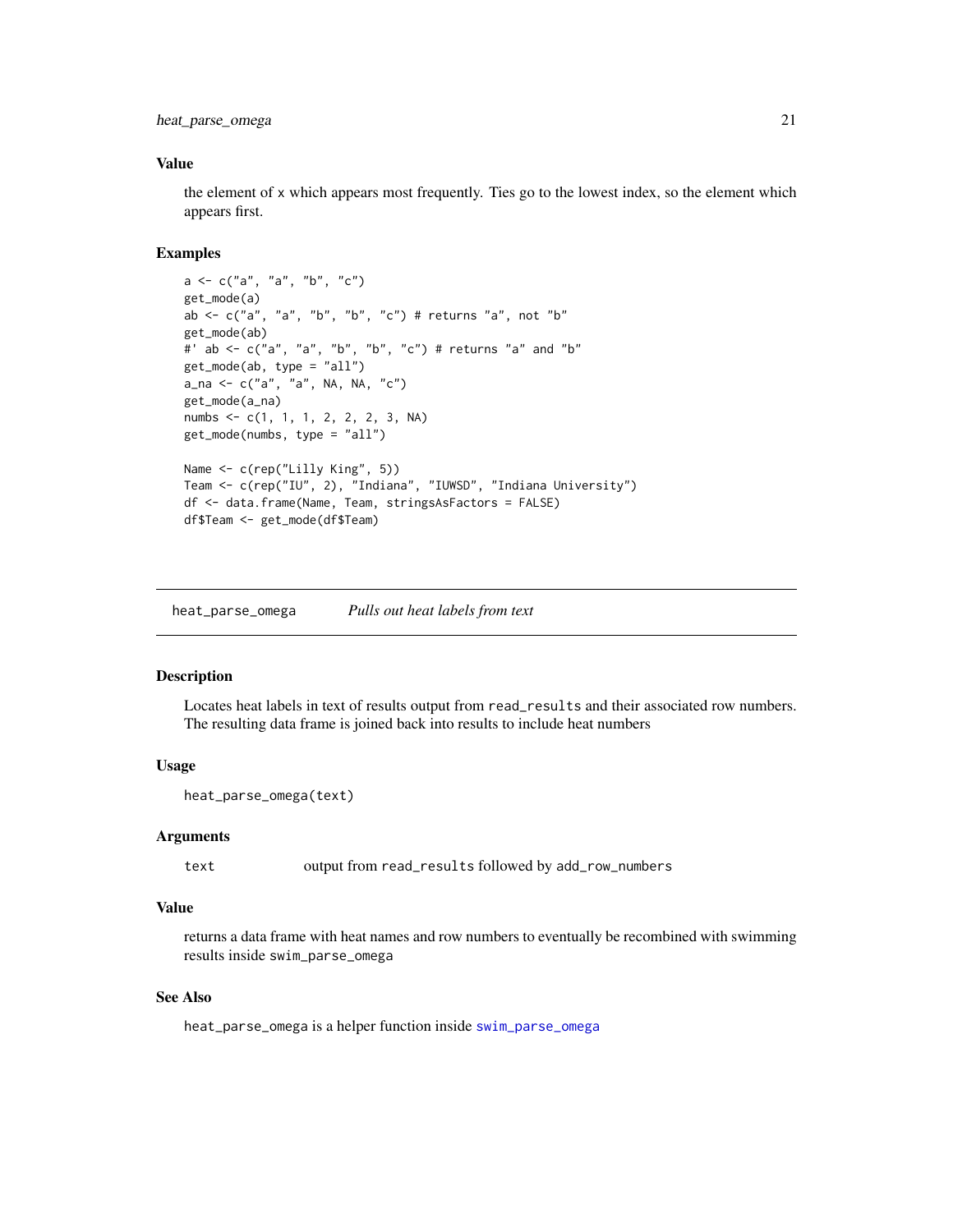<span id="page-20-0"></span>heat\_parse\_omega 21

#### Value

the element of x which appears most frequently. Ties go to the lowest index, so the element which appears first.

#### Examples

```
a \leq c("a", "a", "b", "c")get_mode(a)
ab \leq c("a", "a", "b", "b", "c") # returns "a", not "b"
get_mode(ab)
#' ab <- c("a", "a", "b", "b", "c") # returns "a" and "b"
get_mode(ab, type = "all")
a_na <- c("a", "a", NA, NA, "c")
get_mode(a_na)
numbs <- c(1, 1, 1, 2, 2, 2, 3, NA)
get_mode(numbs, type = "all")
Name <- c(rep("Lilly King", 5))
Team <- c(rep("IU", 2), "Indiana", "IUWSD", "Indiana University")
df <- data.frame(Name, Team, stringsAsFactors = FALSE)
df$Team <- get_mode(df$Team)
```
heat\_parse\_omega *Pulls out heat labels from text*

## Description

Locates heat labels in text of results output from read\_results and their associated row numbers. The resulting data frame is joined back into results to include heat numbers

#### Usage

heat\_parse\_omega(text)

#### Arguments

text output from read\_results followed by add\_row\_numbers

#### Value

returns a data frame with heat names and row numbers to eventually be recombined with swimming results inside swim\_parse\_omega

#### See Also

heat\_parse\_omega is a helper function inside [swim\\_parse\\_omega](#page-48-1)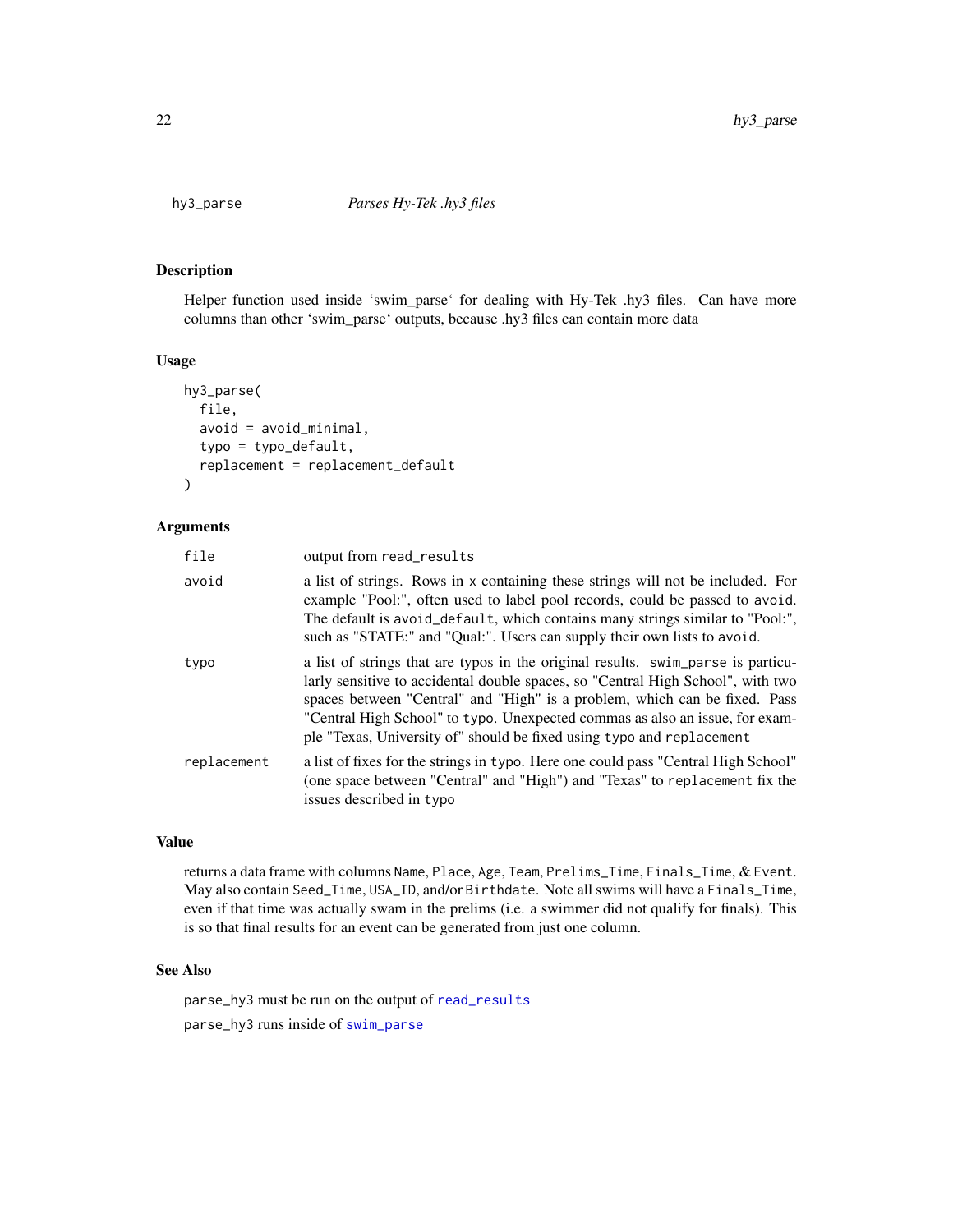<span id="page-21-1"></span><span id="page-21-0"></span>

Helper function used inside 'swim\_parse' for dealing with Hy-Tek .hy3 files. Can have more columns than other 'swim\_parse' outputs, because .hy3 files can contain more data

#### Usage

```
hy3_parse(
  file,
  avoid = avoid_minimal,
  typo = typo_default,
  replacement = replacement_default
\lambda
```
#### Arguments

| file        | output from read_results                                                                                                                                                                                                                                                                                                                                                                                   |
|-------------|------------------------------------------------------------------------------------------------------------------------------------------------------------------------------------------------------------------------------------------------------------------------------------------------------------------------------------------------------------------------------------------------------------|
| avoid       | a list of strings. Rows in x containing these strings will not be included. For<br>example "Pool:", often used to label pool records, could be passed to avoid.<br>The default is avoid_default, which contains many strings similar to "Pool:",<br>such as "STATE:" and "Qual:". Users can supply their own lists to avoid.                                                                               |
| typo        | a list of strings that are typos in the original results. swim_parse is particu-<br>larly sensitive to accidental double spaces, so "Central High School", with two<br>spaces between "Central" and "High" is a problem, which can be fixed. Pass<br>"Central High School" to typo. Unexpected commas as also an issue, for exam-<br>ple "Texas, University of" should be fixed using typo and replacement |
| replacement | a list of fixes for the strings in typo. Here one could pass "Central High School"<br>(one space between "Central" and "High") and "Texas" to replacement fix the<br>issues described in typo                                                                                                                                                                                                              |

#### Value

returns a data frame with columns Name, Place, Age, Team, Prelims\_Time, Finals\_Time, & Event. May also contain Seed\_Time, USA\_ID, and/or Birthdate. Note all swims will have a Finals\_Time, even if that time was actually swam in the prelims (i.e. a swimmer did not qualify for finals). This is so that final results for an event can be generated from just one column.

## See Also

parse\_hy3 must be run on the output of [read\\_results](#page-28-1)

parse\_hy3 runs inside of [swim\\_parse](#page-42-1)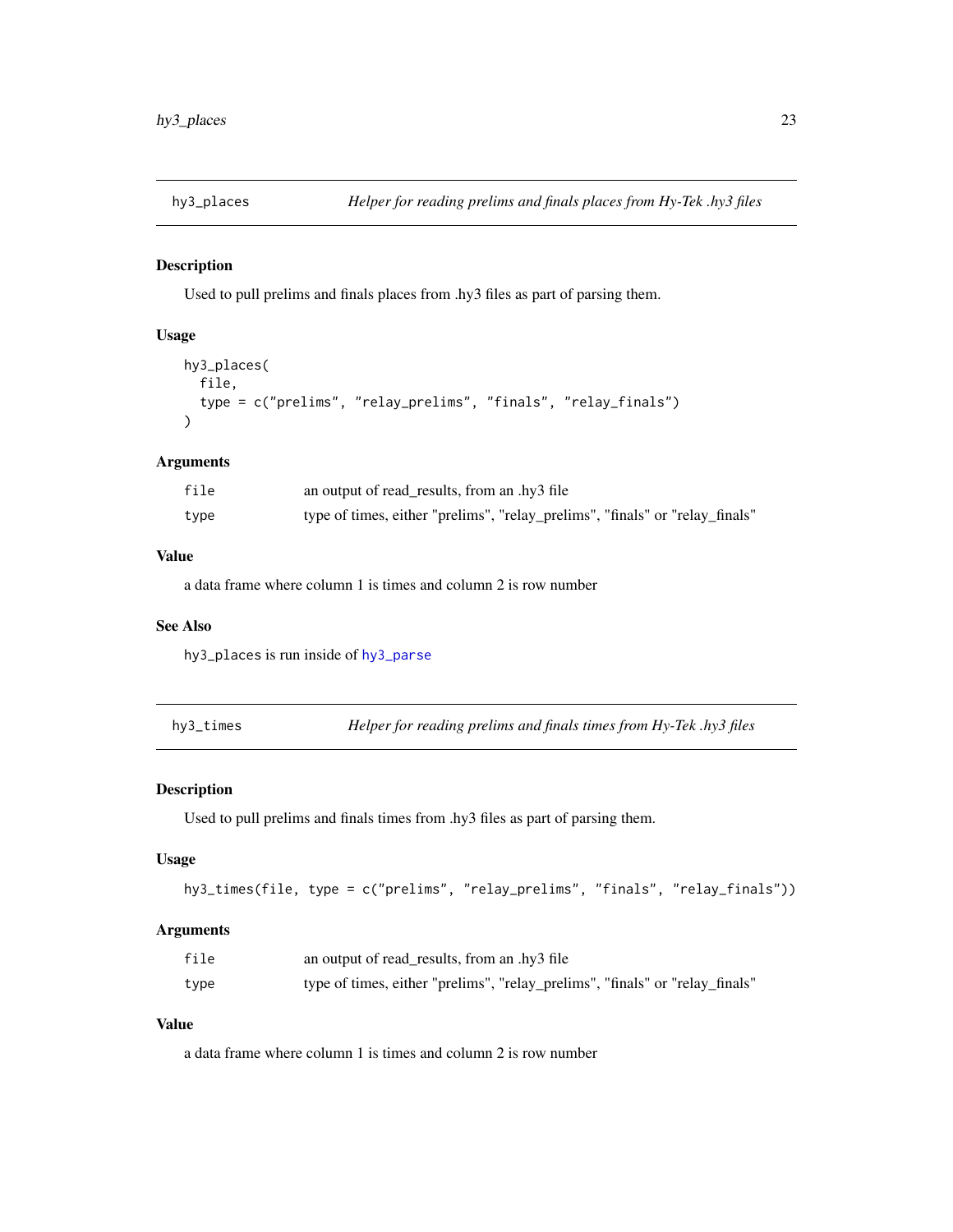<span id="page-22-0"></span>

Used to pull prelims and finals places from .hy3 files as part of parsing them.

#### Usage

```
hy3_places(
 file,
  type = c("prelims", "relay_prelims", "finals", "relay_finals")
)
```
## Arguments

| file | an output of read_results, from an .hy3 file                                 |
|------|------------------------------------------------------------------------------|
| type | type of times, either "prelims", "relay_prelims", "finals" or "relay_finals" |

## Value

a data frame where column 1 is times and column 2 is row number

#### See Also

hy3\_places is run inside of [hy3\\_parse](#page-21-1)

hy3\_times *Helper for reading prelims and finals times from Hy-Tek .hy3 files*

## Description

Used to pull prelims and finals times from .hy3 files as part of parsing them.

## Usage

```
hy3_times(file, type = c("prelims", "relay_prelims", "finals", "relay_finals"))
```
## Arguments

| file | an output of read_results, from an .hy3 file                                 |
|------|------------------------------------------------------------------------------|
| type | type of times, either "prelims", "relay_prelims", "finals" or "relay_finals" |

## Value

a data frame where column 1 is times and column 2 is row number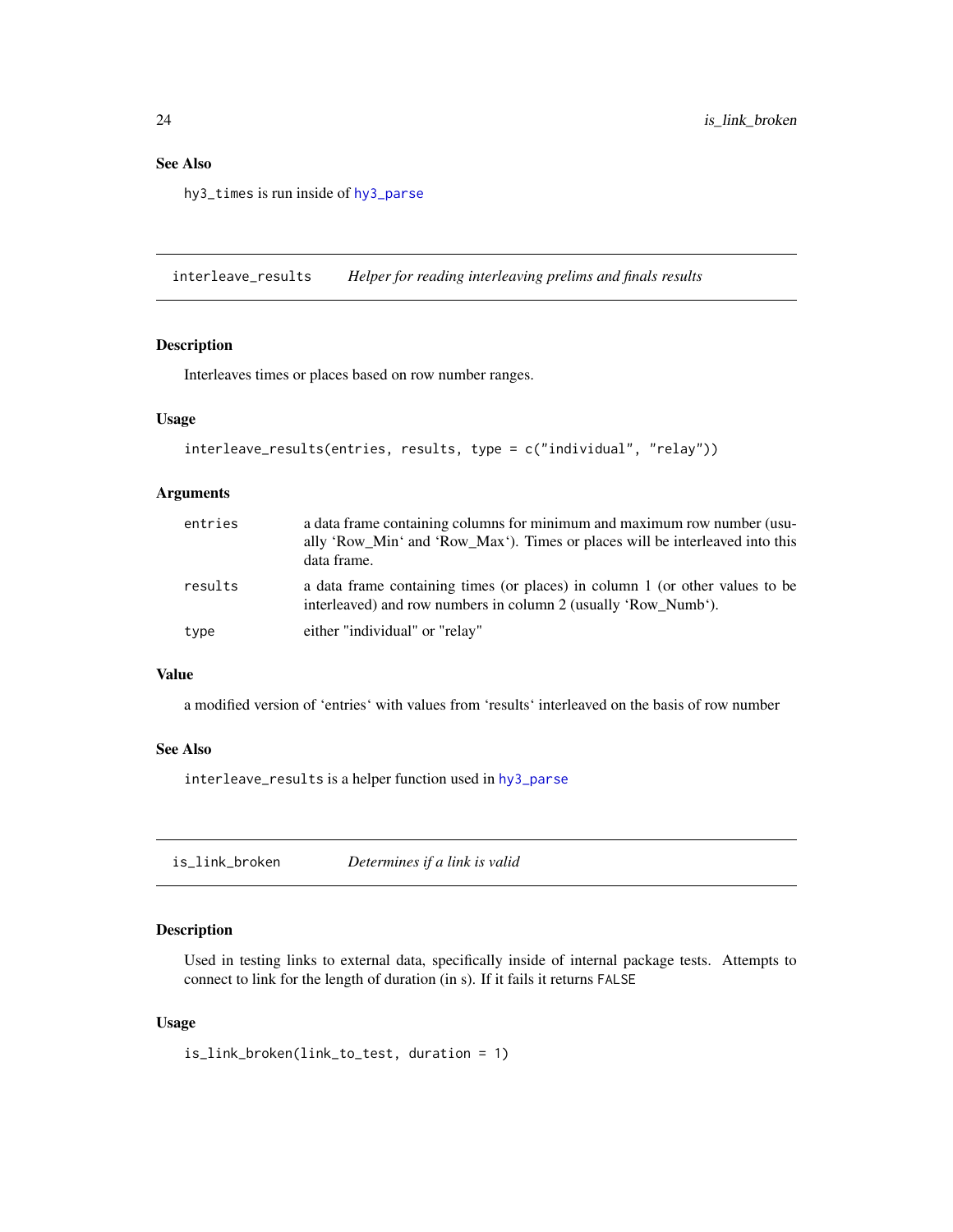## <span id="page-23-0"></span>See Also

hy3\_times is run inside of [hy3\\_parse](#page-21-1)

interleave\_results *Helper for reading interleaving prelims and finals results*

## Description

Interleaves times or places based on row number ranges.

## Usage

```
interleave_results(entries, results, type = c("individual", "relay"))
```
## Arguments

| entries | a data frame containing columns for minimum and maximum row number (usu-<br>ally 'Row_Min' and 'Row_Max'). Times or places will be interleaved into this<br>data frame. |
|---------|-------------------------------------------------------------------------------------------------------------------------------------------------------------------------|
| results | a data frame containing times (or places) in column 1 (or other values to be<br>interleaved) and row numbers in column 2 (usually 'Row Numb').                          |
| type    | either "individual" or "relay"                                                                                                                                          |

## Value

a modified version of 'entries' with values from 'results' interleaved on the basis of row number

#### See Also

interleave\_results is a helper function used in [hy3\\_parse](#page-21-1)

is\_link\_broken *Determines if a link is valid*

## Description

Used in testing links to external data, specifically inside of internal package tests. Attempts to connect to link for the length of duration (in s). If it fails it returns FALSE

#### Usage

is\_link\_broken(link\_to\_test, duration = 1)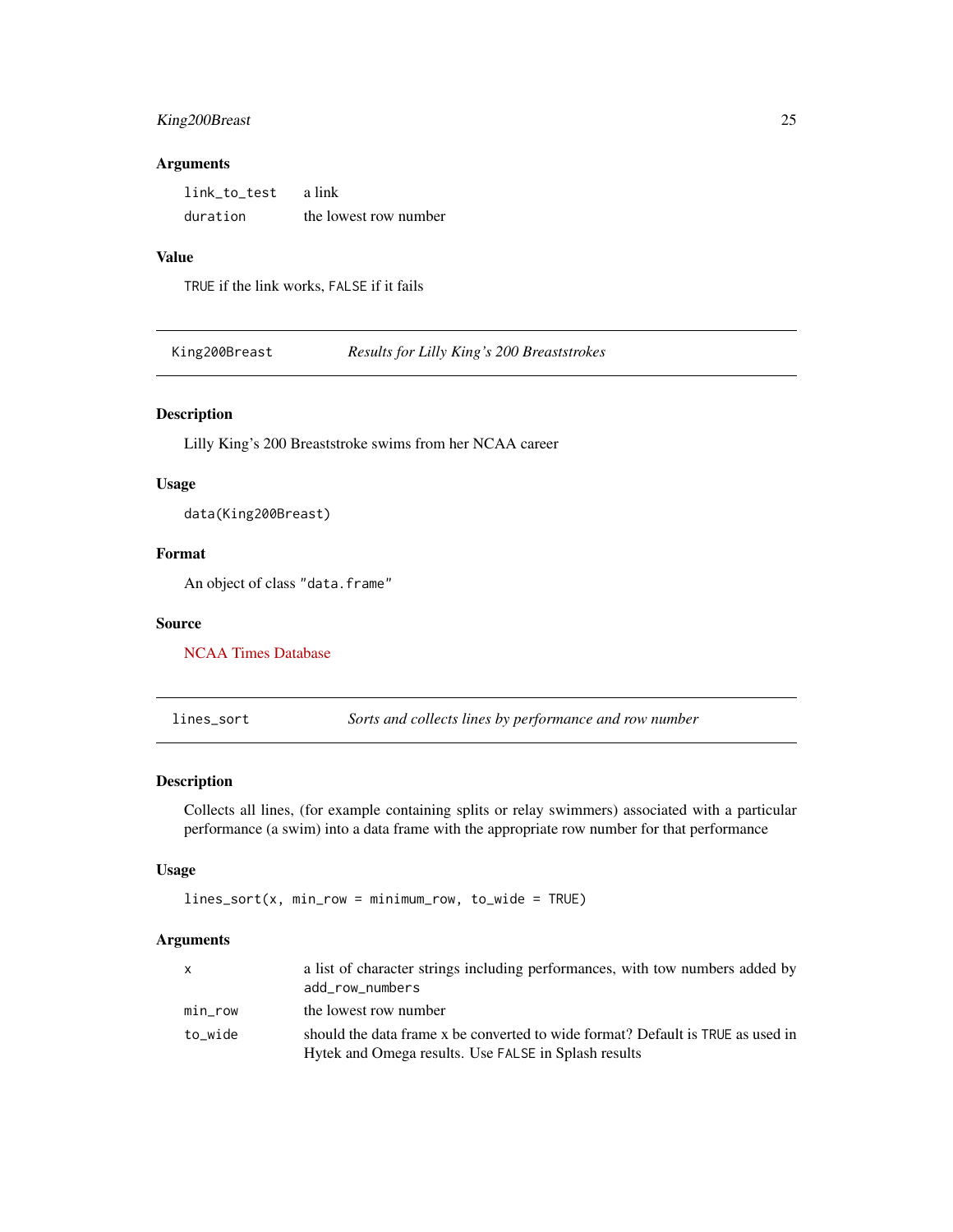## <span id="page-24-0"></span>King200Breast 25

#### Arguments

| link to test | a link                |
|--------------|-----------------------|
| duration     | the lowest row number |

### Value

TRUE if the link works, FALSE if it fails

King200Breast *Results for Lilly King's 200 Breaststrokes*

## Description

Lilly King's 200 Breaststroke swims from her NCAA career

#### Usage

data(King200Breast)

#### Format

An object of class "data.frame"

#### Source

[NCAA Times Database](https://www.usaswimming.org/times/ncaa/ncaa-division-i)

lines\_sort *Sorts and collects lines by performance and row number*

## Description

Collects all lines, (for example containing splits or relay swimmers) associated with a particular performance (a swim) into a data frame with the appropriate row number for that performance

#### Usage

lines\_sort(x, min\_row = minimum\_row, to\_wide = TRUE)

#### Arguments

| $\mathsf{x}$ | a list of character strings including performances, with tow numbers added by<br>add row numbers                                        |
|--------------|-----------------------------------------------------------------------------------------------------------------------------------------|
| min_row      | the lowest row number                                                                                                                   |
| to wide      | should the data frame x be converted to wide format? Default is TRUE as used in<br>Hytek and Omega results. Use FALSE in Splash results |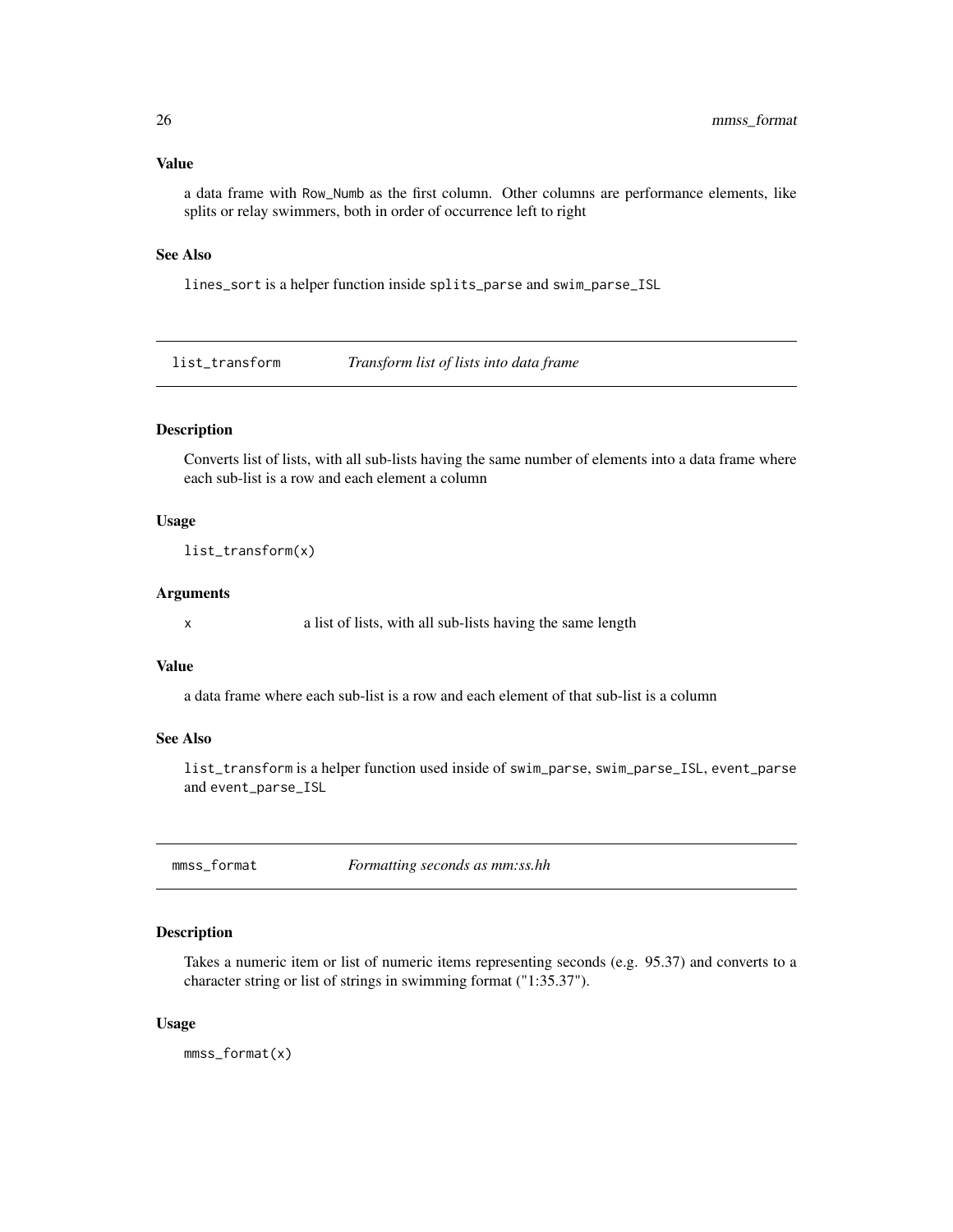#### <span id="page-25-0"></span>Value

a data frame with Row\_Numb as the first column. Other columns are performance elements, like splits or relay swimmers, both in order of occurrence left to right

## See Also

lines\_sort is a helper function inside splits\_parse and swim\_parse\_ISL

list\_transform *Transform list of lists into data frame*

#### Description

Converts list of lists, with all sub-lists having the same number of elements into a data frame where each sub-list is a row and each element a column

#### Usage

list\_transform(x)

#### Arguments

x a list of lists, with all sub-lists having the same length

#### Value

a data frame where each sub-list is a row and each element of that sub-list is a column

## See Also

list\_transform is a helper function used inside of swim\_parse, swim\_parse\_ISL, event\_parse and event\_parse\_ISL

<span id="page-25-1"></span>mmss\_format *Formatting seconds as mm:ss.hh* 

## Description

Takes a numeric item or list of numeric items representing seconds (e.g. 95.37) and converts to a character string or list of strings in swimming format ("1:35.37").

#### Usage

mmss\_format(x)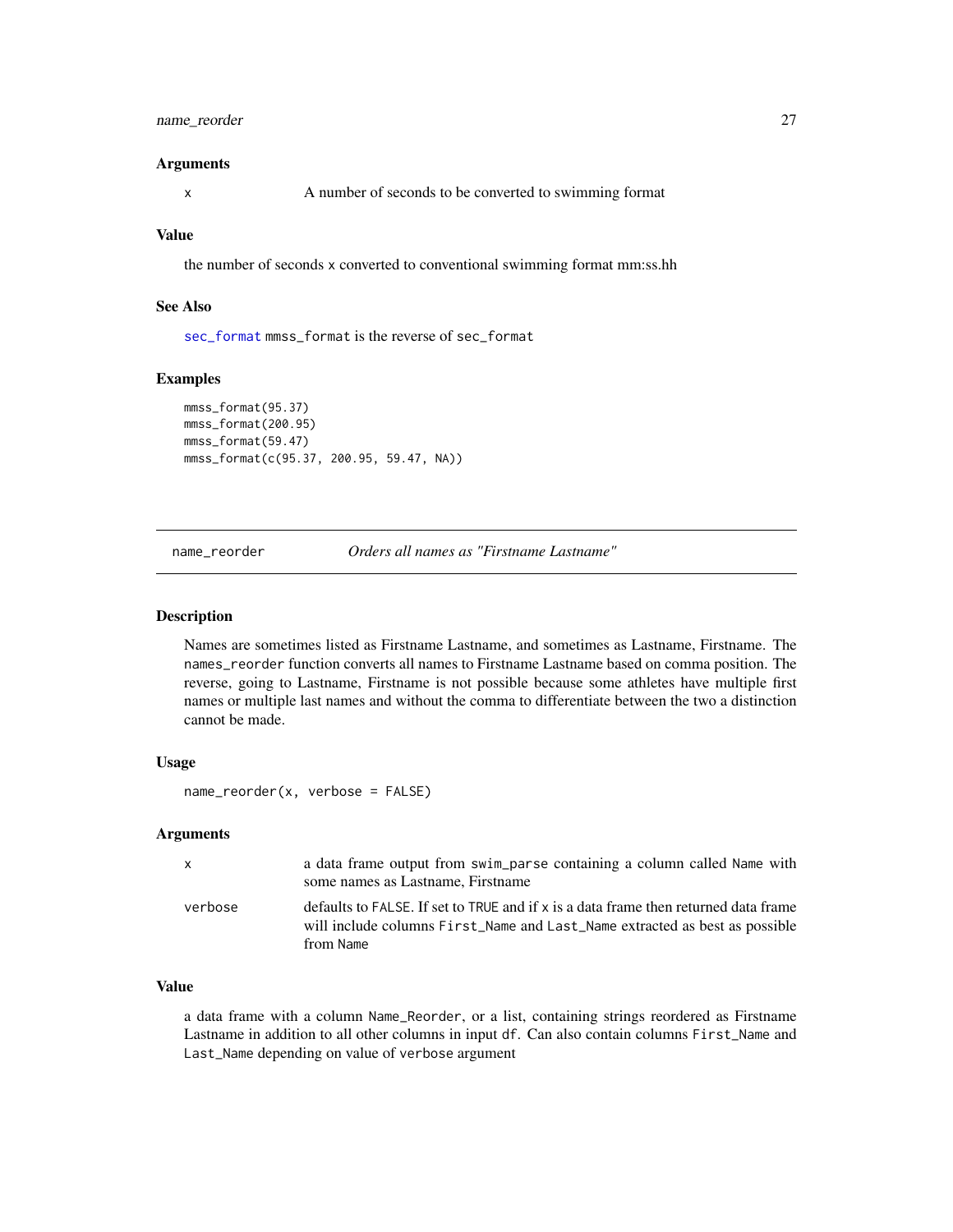## <span id="page-26-0"></span>name\_reorder 27

#### Arguments

x A number of seconds to be converted to swimming format

## Value

the number of seconds x converted to conventional swimming format mm:ss.hh

## See Also

[sec\\_format](#page-31-1) mmss\_format is the reverse of sec\_format

## Examples

```
mmss_format(95.37)
mmss_format(200.95)
mmss_format(59.47)
mmss_format(c(95.37, 200.95, 59.47, NA))
```
name\_reorder *Orders all names as "Firstname Lastname"*

#### **Description**

Names are sometimes listed as Firstname Lastname, and sometimes as Lastname, Firstname. The names\_reorder function converts all names to Firstname Lastname based on comma position. The reverse, going to Lastname, Firstname is not possible because some athletes have multiple first names or multiple last names and without the comma to differentiate between the two a distinction cannot be made.

#### Usage

```
name_reorder(x, verbose = FALSE)
```
#### Arguments

| $\mathsf{X}$ | a data frame output from swim_parse containing a column called Name with<br>some names as Lastname, Firstname                                                                   |
|--------------|---------------------------------------------------------------------------------------------------------------------------------------------------------------------------------|
| verbose      | defaults to FALSE. If set to TRUE and if x is a data frame then returned data frame<br>will include columns First_Name and Last_Name extracted as best as possible<br>from Name |

## Value

a data frame with a column Name\_Reorder, or a list, containing strings reordered as Firstname Lastname in addition to all other columns in input df. Can also contain columns First\_Name and Last\_Name depending on value of verbose argument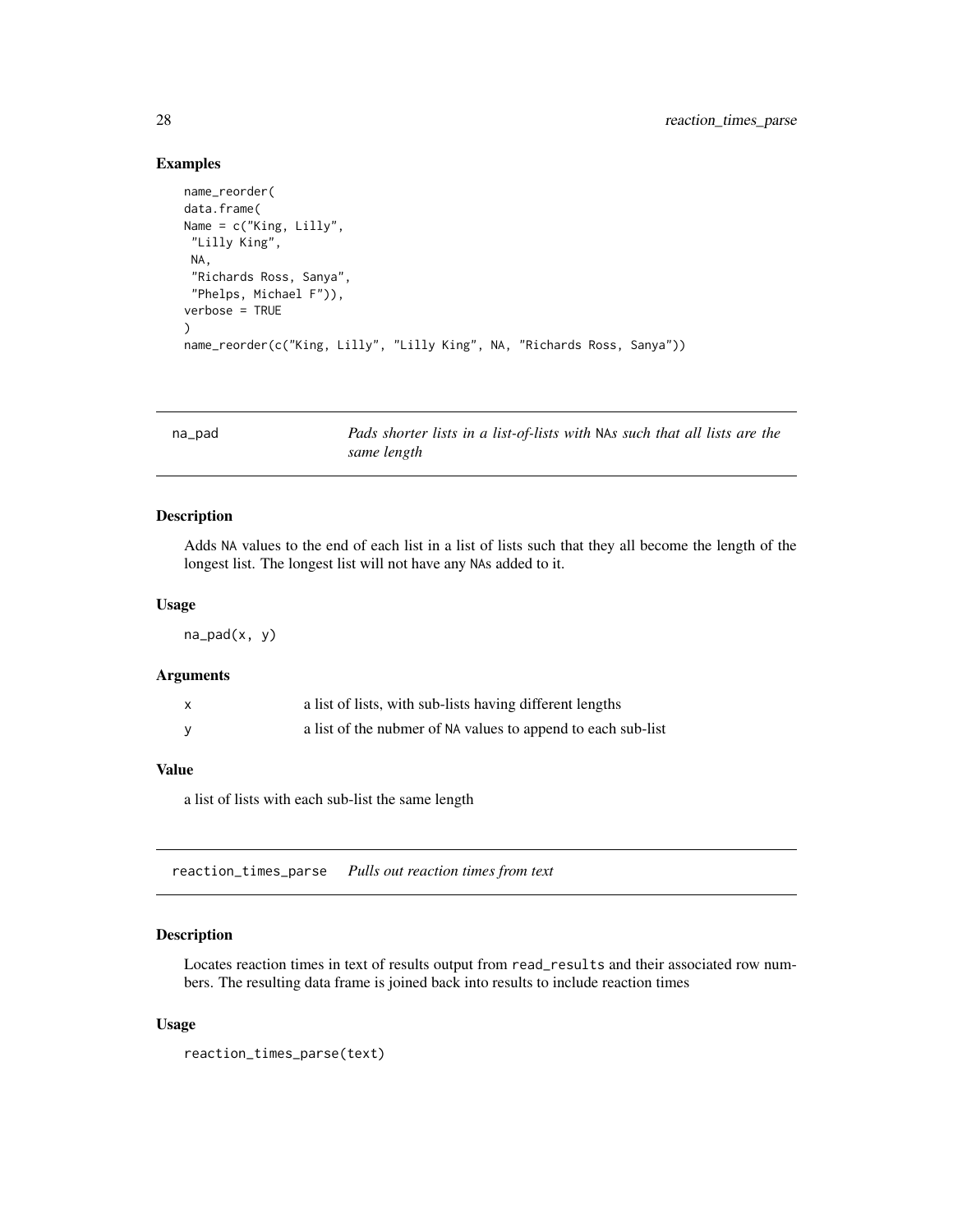#### Examples

```
name_reorder(
data.frame(
Name = c("King, Lilly",
 "Lilly King",
 NA,
 "Richards Ross, Sanya",
 "Phelps, Michael F")),
verbose = TRUE
)
name_reorder(c("King, Lilly", "Lilly King", NA, "Richards Ross, Sanya"))
```
na\_pad *Pads shorter lists in a list-of-lists with* NA*s such that all lists are the same length*

#### Description

Adds NA values to the end of each list in a list of lists such that they all become the length of the longest list. The longest list will not have any NAs added to it.

#### Usage

 $na_pad(x, y)$ 

## Arguments

| $\mathsf{x}$ | a list of lists, with sub-lists having different lengths     |
|--------------|--------------------------------------------------------------|
|              | a list of the nubmer of NA values to append to each sub-list |

## Value

a list of lists with each sub-list the same length

reaction\_times\_parse *Pulls out reaction times from text*

#### Description

Locates reaction times in text of results output from read\_results and their associated row numbers. The resulting data frame is joined back into results to include reaction times

#### Usage

```
reaction_times_parse(text)
```
<span id="page-27-0"></span>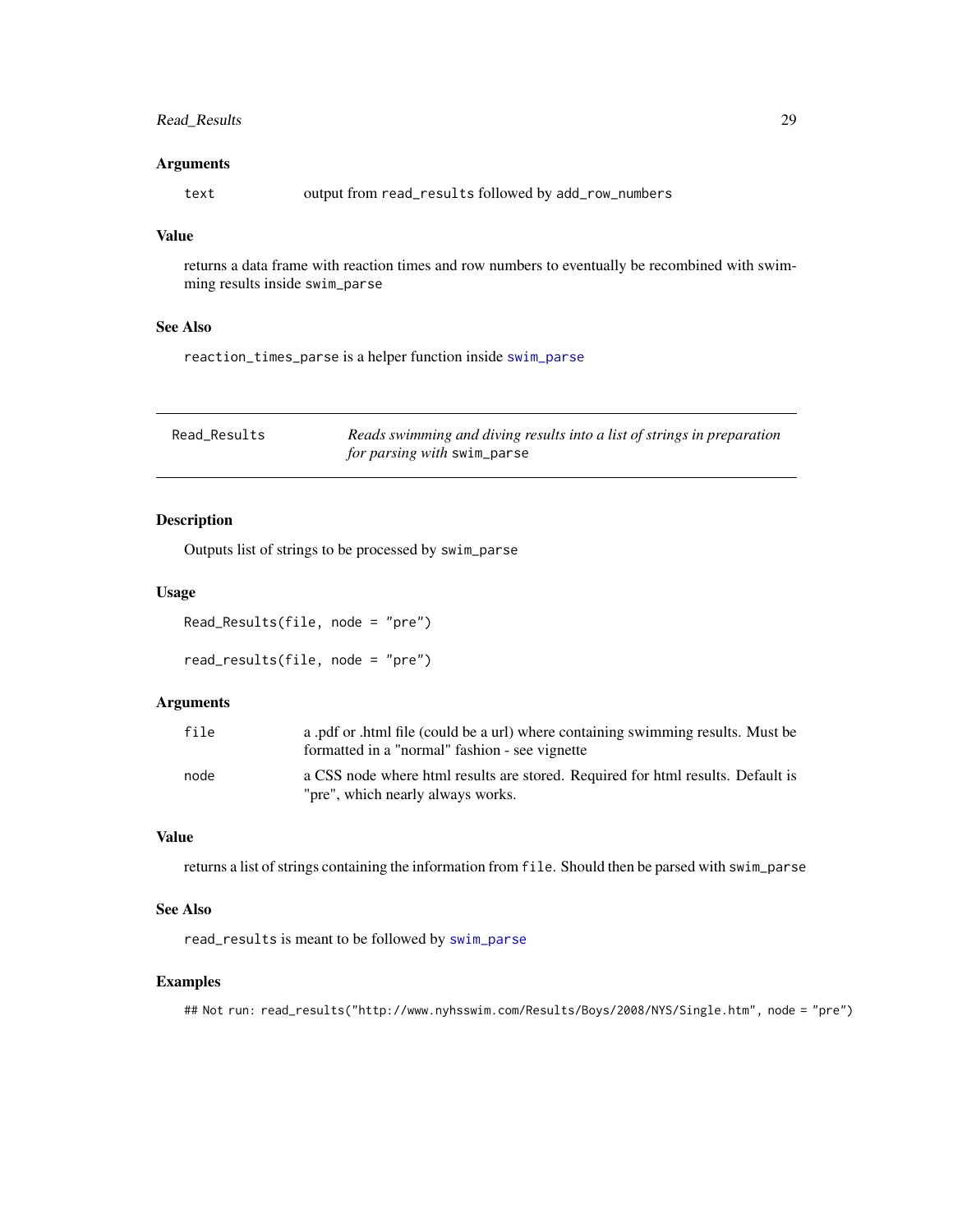## <span id="page-28-0"></span>Read\_Results 29

## Arguments

text output from read\_results followed by add\_row\_numbers

## Value

returns a data frame with reaction times and row numbers to eventually be recombined with swimming results inside swim\_parse

## See Also

reaction\_times\_parse is a helper function inside [swim\\_parse](#page-42-1)

| Read Results | Reads swimming and diving results into a list of strings in preparation |
|--------------|-------------------------------------------------------------------------|
|              | <i>for parsing with swim_parse</i>                                      |

## <span id="page-28-1"></span>Description

Outputs list of strings to be processed by swim\_parse

## Usage

Read\_Results(file, node = "pre") read\_results(file, node = "pre")

#### Arguments

| file | a .pdf or .html file (could be a url) where containing swimming results. Must be<br>formatted in a "normal" fashion - see vignette |
|------|------------------------------------------------------------------------------------------------------------------------------------|
| node | a CSS node where html results are stored. Required for html results. Default is<br>"pre", which nearly always works.               |

#### Value

returns a list of strings containing the information from file. Should then be parsed with swim\_parse

## See Also

read\_results is meant to be followed by [swim\\_parse](#page-42-1)

#### Examples

## Not run: read\_results("http://www.nyhsswim.com/Results/Boys/2008/NYS/Single.htm", node = "pre")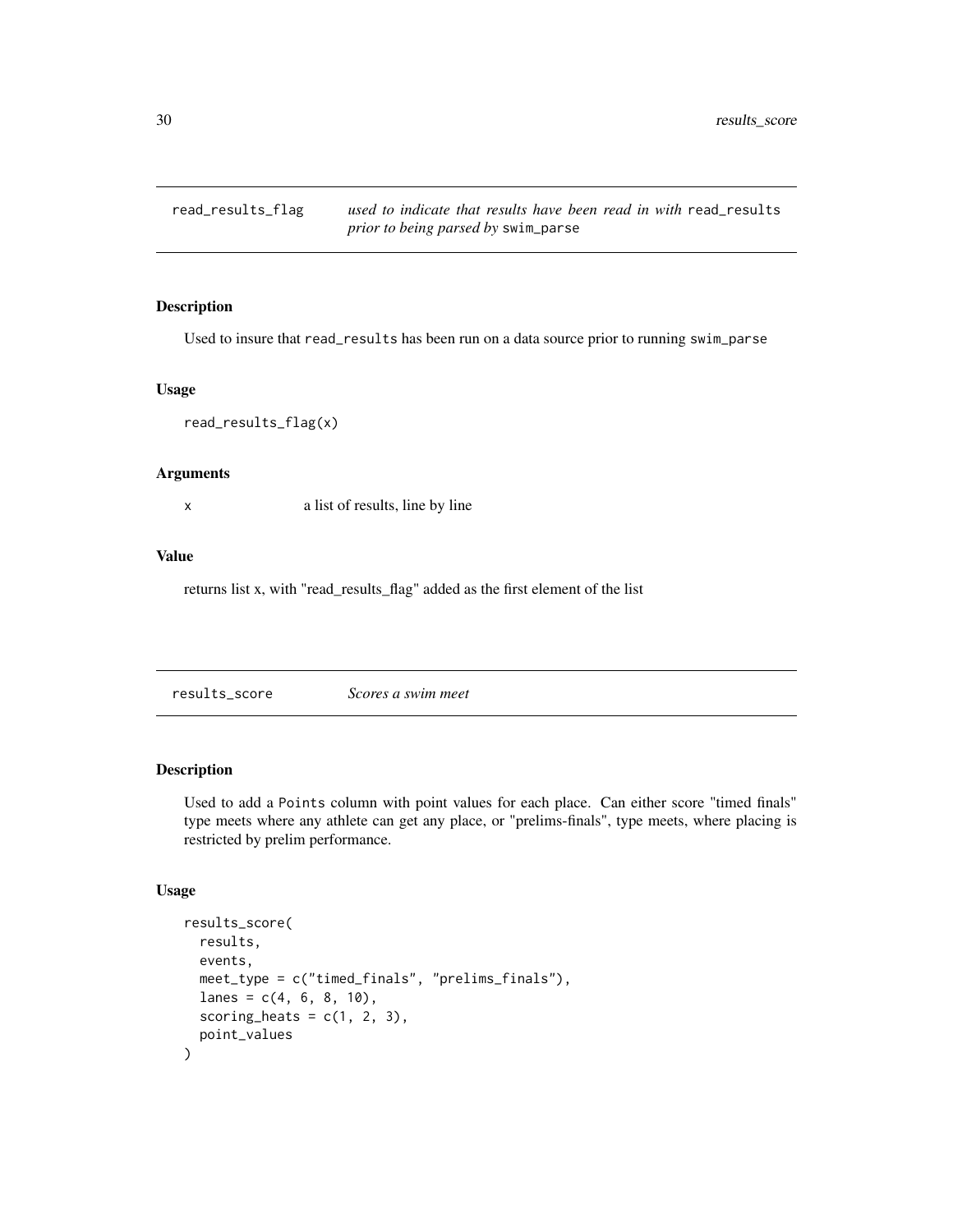<span id="page-29-0"></span>

Used to insure that read\_results has been run on a data source prior to running swim\_parse

#### Usage

read\_results\_flag(x)

## Arguments

x a list of results, line by line

## Value

returns list x, with "read\_results\_flag" added as the first element of the list

results\_score *Scores a swim meet*

## **Description**

Used to add a Points column with point values for each place. Can either score "timed finals" type meets where any athlete can get any place, or "prelims-finals", type meets, where placing is restricted by prelim performance.

## Usage

```
results_score(
  results,
 events,
 meet_type = c("timed_finals", "prelims_finals"),
 lanes = c(4, 6, 8, 10),
  scoring_heats = c(1, 2, 3),
 point_values
\mathcal{E}
```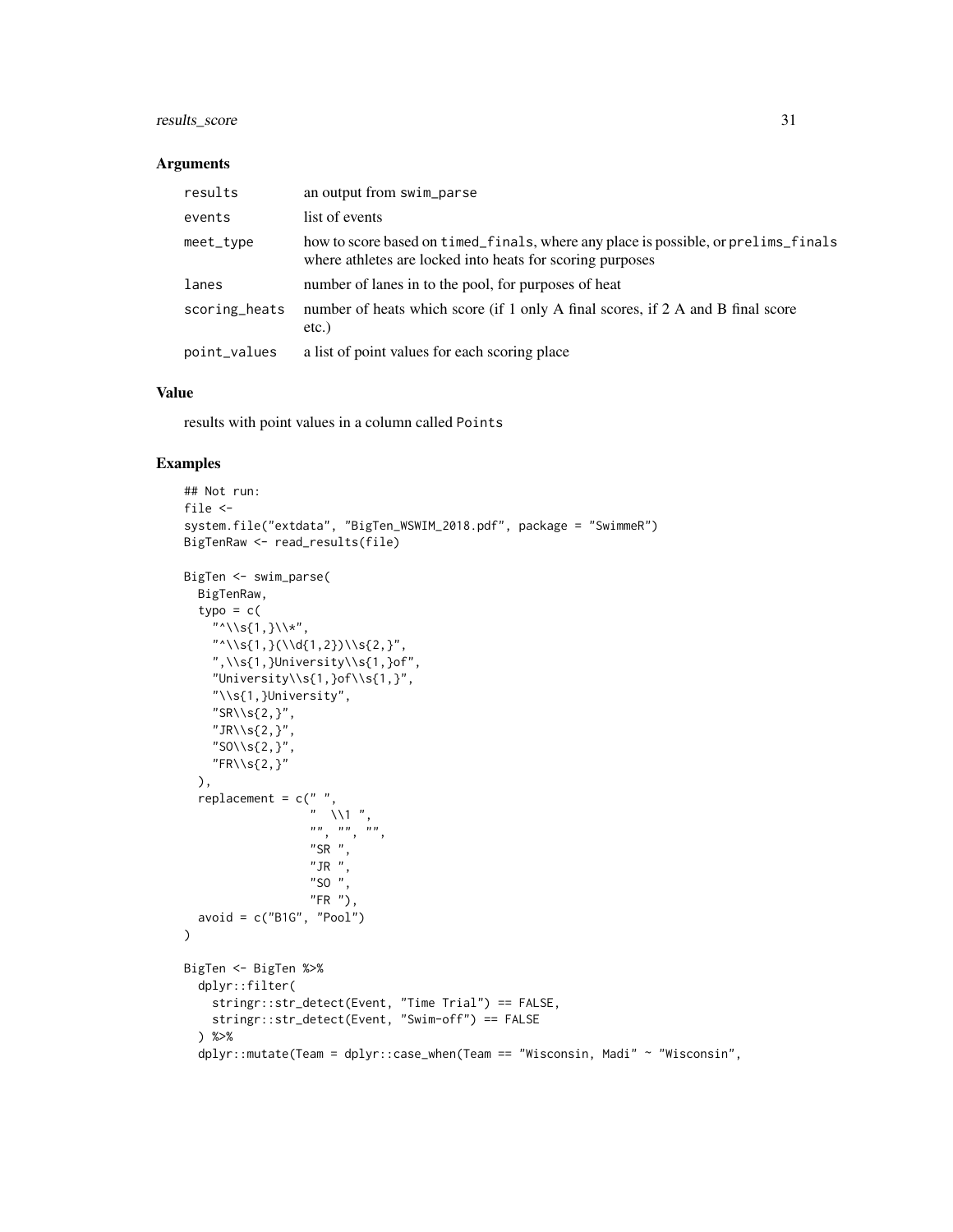## results\_score 31

#### Arguments

| results       | an output from swim_parse                                                                                                                       |
|---------------|-------------------------------------------------------------------------------------------------------------------------------------------------|
| events        | list of events                                                                                                                                  |
| meet_type     | how to score based on timed_finals, where any place is possible, or prelims_finals<br>where athletes are locked into heats for scoring purposes |
| lanes         | number of lanes in to the pool, for purposes of heat                                                                                            |
| scoring_heats | number of heats which score (if 1 only A final scores, if 2 A and B final score<br>$etc.$ )                                                     |
| point_values  | a list of point values for each scoring place                                                                                                   |

## Value

results with point values in a column called Points

#### Examples

```
## Not run:
file \leftarrowsystem.file("extdata", "BigTen_WSWIM_2018.pdf", package = "SwimmeR")
BigTenRaw <- read_results(file)
BigTen <- swim_parse(
 BigTenRaw,
  type = c("^{\wedge}\\\s{1,}\\*",
    "\ \&\ \S\{1,\}\(\Upsilon\{1,2\})\ \S\{2,\}",", \\s{1,}University\\s{1,}of",
    "University\\s{1,}of\\s{1,}",
    "\\s{1,}University",
    "SRN\S{2, }",
    "JR\&S{2, }",
    "SO\\s{2,}",
    "FR\S{2,}"
  ),
  replacement = c(" " ," \setminus\1 ",
                     \begin{array}{cc} \cdots, & \cdots, & \cdots, \\ \end{array}"SR",
                     "JR ",
                    "SO ",
                     "FR"),
  avoid = c("B1G", "Pool")\mathcal{L}BigTen <- BigTen %>%
  dplyr::filter(
    stringr::str_detect(Event, "Time Trial") == FALSE,
    stringr::str_detect(Event, "Swim-off") == FALSE
  ) %>%
  dplyr::mutate(Team = dplyr::case_when(Team == "Wisconsin, Madi" ~ "Wisconsin",
```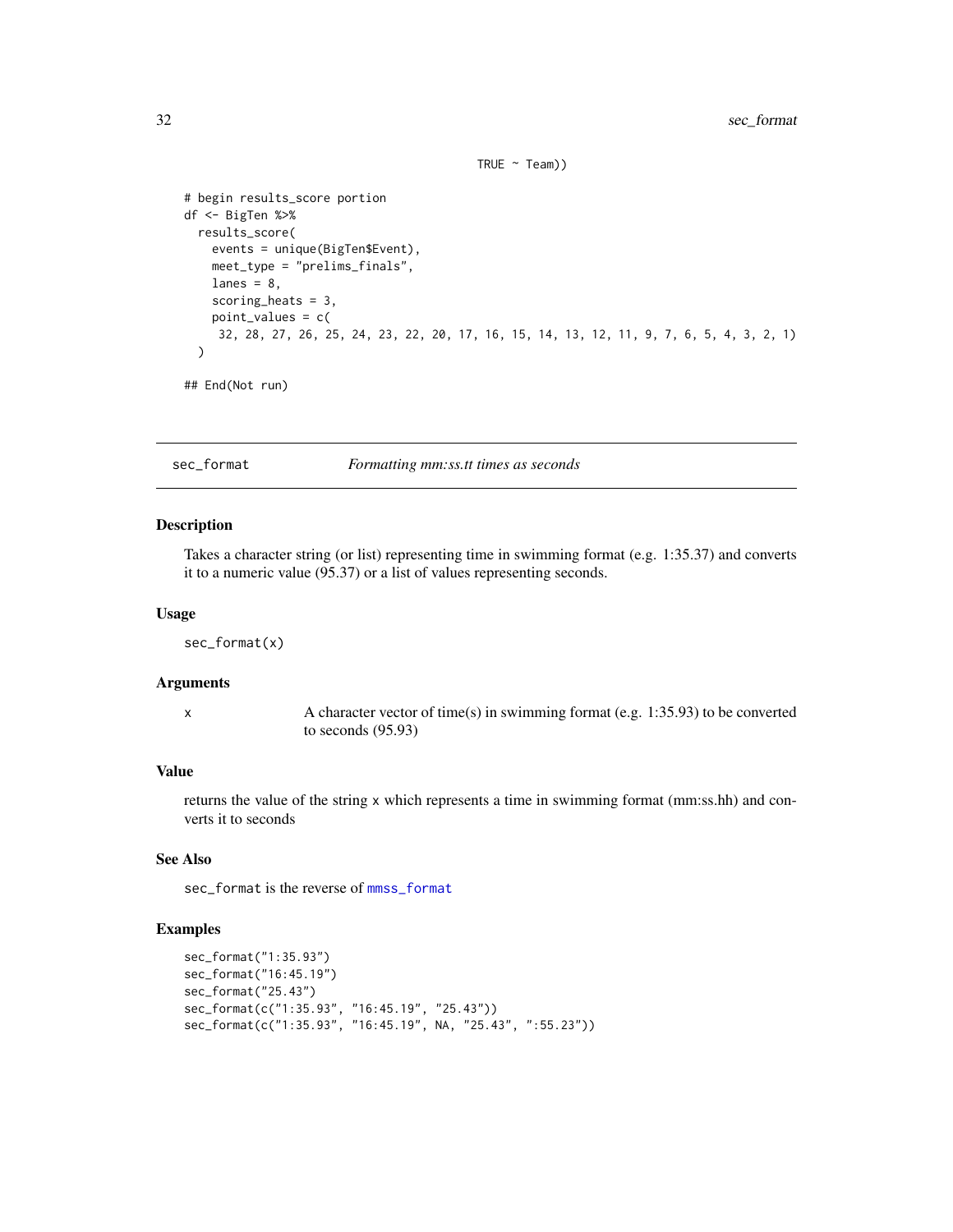```
TRUE ~ \sim Team))
```

```
# begin results_score portion
df <- BigTen %>%
  results_score(
    events = unique(BigTen$Event),
    meet_type = "prelims_finals",
    lanes = 8,
    scoring_heats = 3,
    point_values = c(
     32, 28, 27, 26, 25, 24, 23, 22, 20, 17, 16, 15, 14, 13, 12, 11, 9, 7, 6, 5, 4, 3, 2, 1)
  \lambda
```
## End(Not run)

<span id="page-31-1"></span>sec\_format *Formatting mm:ss.tt times as seconds*

#### Description

Takes a character string (or list) representing time in swimming format (e.g. 1:35.37) and converts it to a numeric value (95.37) or a list of values representing seconds.

#### Usage

sec\_format(x)

## Arguments

x A character vector of time(s) in swimming format (e.g. 1:35.93) to be converted to seconds (95.93)

## Value

returns the value of the string x which represents a time in swimming format (mm:ss.hh) and converts it to seconds

## See Also

sec\_format is the reverse of [mmss\\_format](#page-25-1)

## Examples

```
sec_format("1:35.93")
sec_format("16:45.19")
sec_format("25.43")
sec_format(c("1:35.93", "16:45.19", "25.43"))
sec_format(c("1:35.93", "16:45.19", NA, "25.43", ":55.23"))
```
<span id="page-31-0"></span>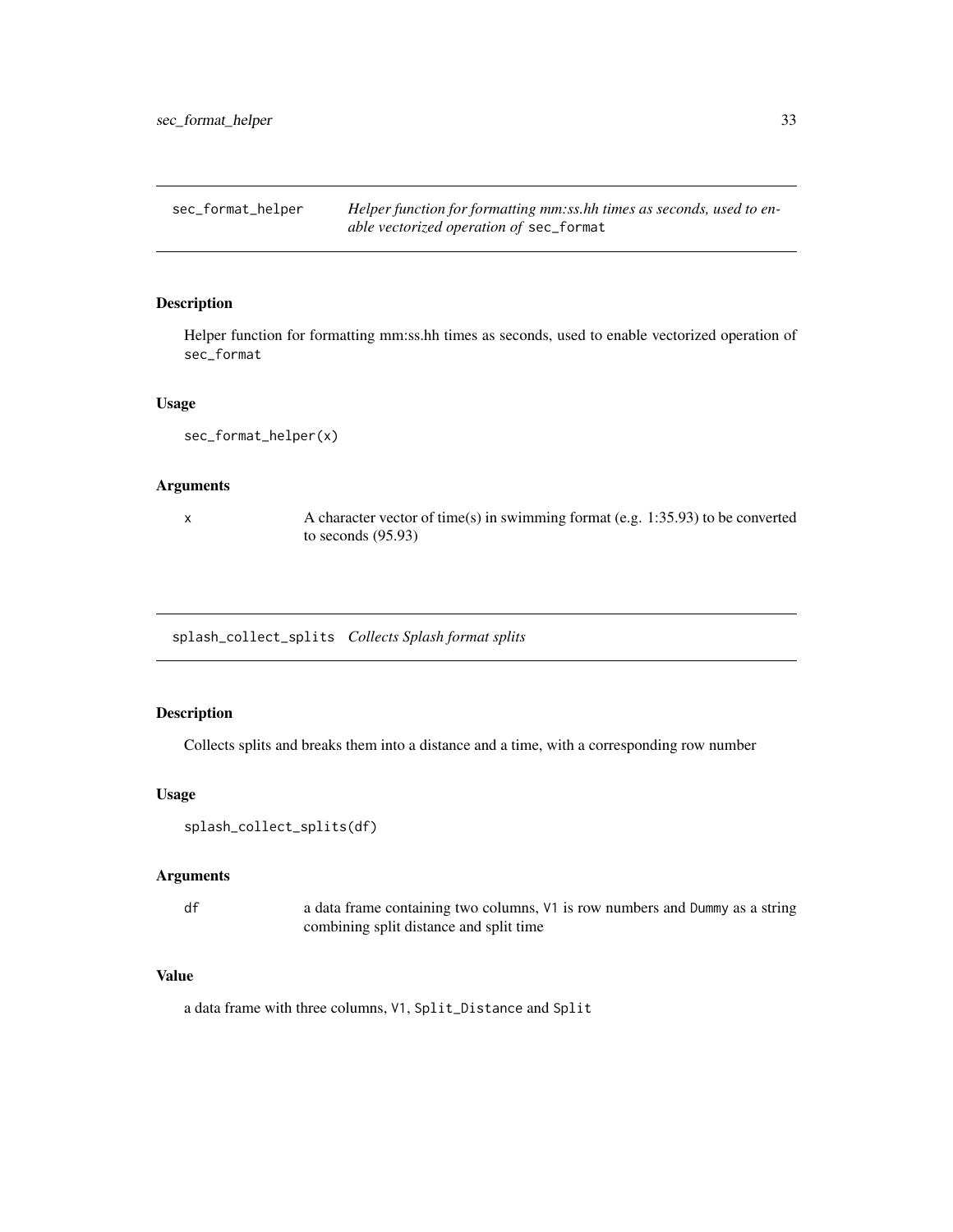<span id="page-32-0"></span>sec\_format\_helper *Helper function for formatting mm:ss.hh times as seconds, used to enable vectorized operation of* sec\_format

## Description

Helper function for formatting mm:ss.hh times as seconds, used to enable vectorized operation of sec\_format

#### Usage

sec\_format\_helper(x)

#### Arguments

x A character vector of time(s) in swimming format (e.g. 1:35.93) to be converted to seconds (95.93)

splash\_collect\_splits *Collects Splash format splits*

#### Description

Collects splits and breaks them into a distance and a time, with a corresponding row number

## Usage

```
splash_collect_splits(df)
```
#### Arguments

df a data frame containing two columns, V1 is row numbers and Dummy as a string combining split distance and split time

#### Value

a data frame with three columns, V1, Split\_Distance and Split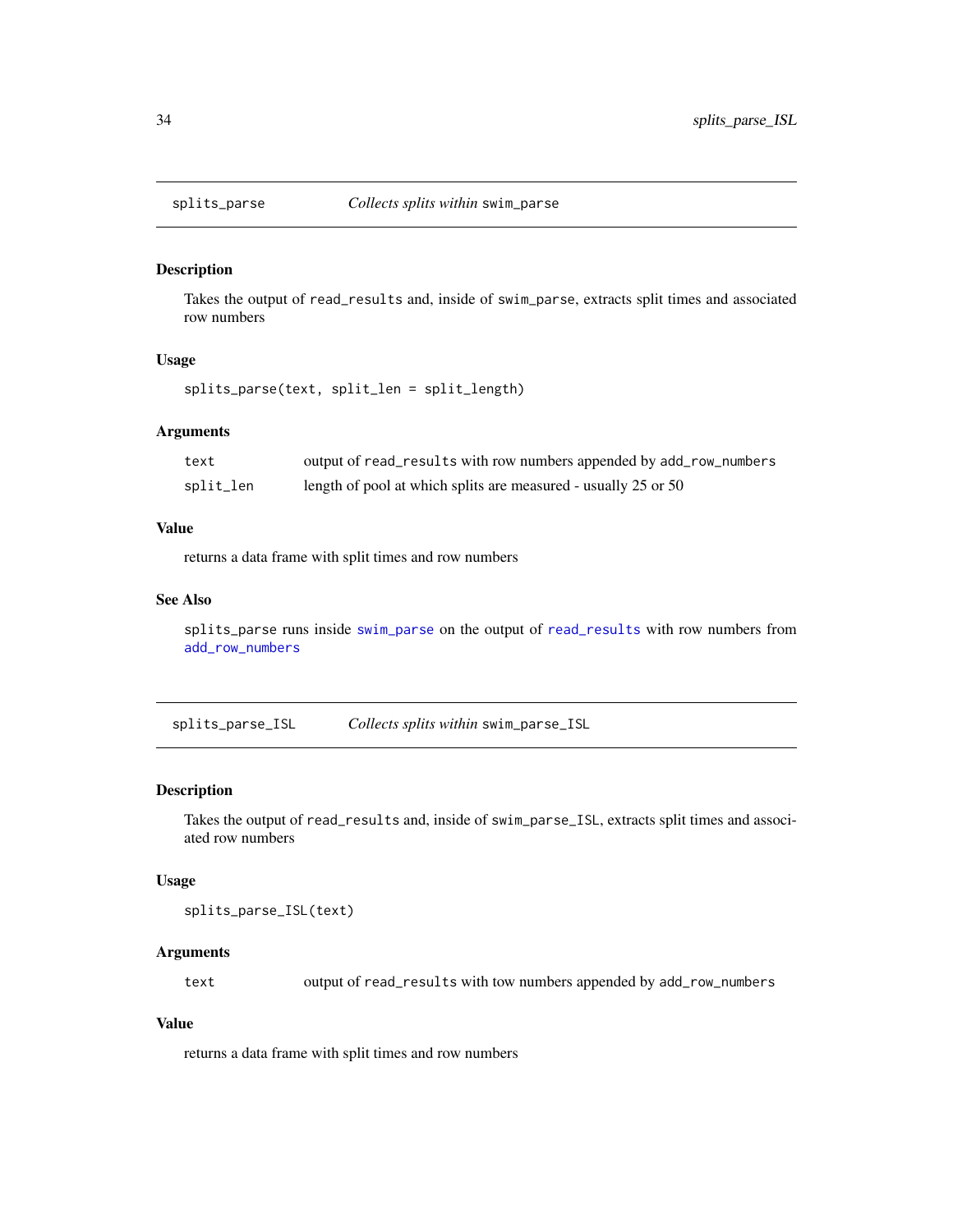<span id="page-33-1"></span><span id="page-33-0"></span>

Takes the output of read\_results and, inside of swim\_parse, extracts split times and associated row numbers

## Usage

splits\_parse(text, split\_len = split\_length)

#### Arguments

| text      | output of read_results with row numbers appended by add_row_numbers |
|-----------|---------------------------------------------------------------------|
| split_len | length of pool at which splits are measured - usually 25 or 50      |

## Value

returns a data frame with split times and row numbers

## See Also

splits\_parse runs inside [swim\\_parse](#page-42-1) on the output of [read\\_results](#page-28-1) with row numbers from [add\\_row\\_numbers](#page-2-1)

splits\_parse\_ISL *Collects splits within* swim\_parse\_ISL

### Description

Takes the output of read\_results and, inside of swim\_parse\_ISL, extracts split times and associated row numbers

## Usage

```
splits_parse_ISL(text)
```
## Arguments

text output of read\_results with tow numbers appended by add\_row\_numbers

## Value

returns a data frame with split times and row numbers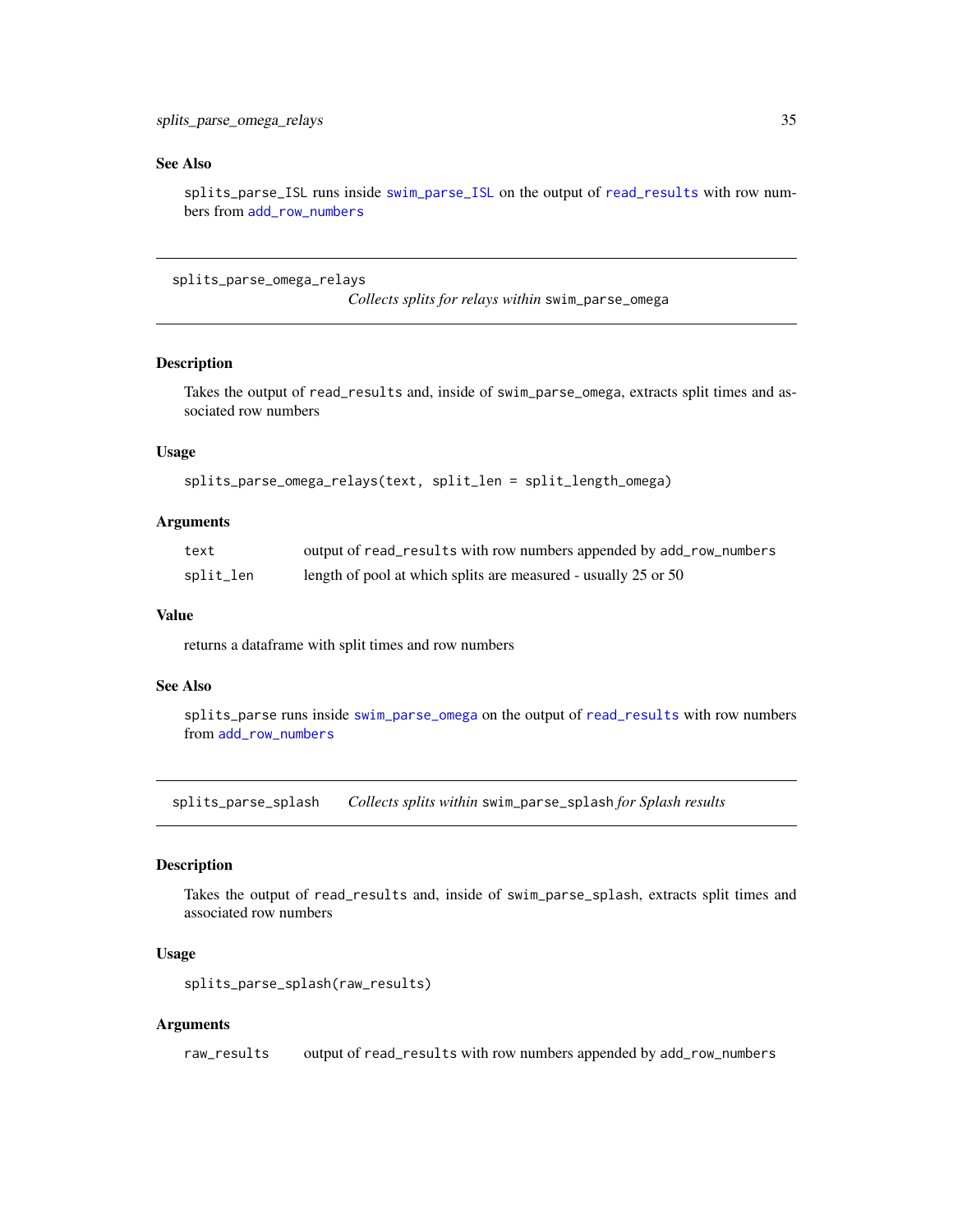## <span id="page-34-0"></span>See Also

splits\_parse\_ISL runs inside [swim\\_parse\\_ISL](#page-45-1) on the output of [read\\_results](#page-28-1) with row numbers from [add\\_row\\_numbers](#page-2-1)

splits\_parse\_omega\_relays

*Collects splits for relays within* swim\_parse\_omega

## Description

Takes the output of read\_results and, inside of swim\_parse\_omega, extracts split times and associated row numbers

## Usage

```
splits_parse_omega_relays(text, split_len = split_length_omega)
```
## Arguments

| text      | output of read_results with row numbers appended by add_row_numbers |
|-----------|---------------------------------------------------------------------|
| split_len | length of pool at which splits are measured - usually 25 or 50      |

#### Value

returns a dataframe with split times and row numbers

#### See Also

splits\_parse runs inside [swim\\_parse\\_omega](#page-48-1) on the output of [read\\_results](#page-28-1) with row numbers from [add\\_row\\_numbers](#page-2-1)

<span id="page-34-1"></span>splits\_parse\_splash *Collects splits within* swim\_parse\_splash *for Splash results*

## Description

Takes the output of read\_results and, inside of swim\_parse\_splash, extracts split times and associated row numbers

#### Usage

```
splits_parse_splash(raw_results)
```
#### Arguments

raw\_results output of read\_results with row numbers appended by add\_row\_numbers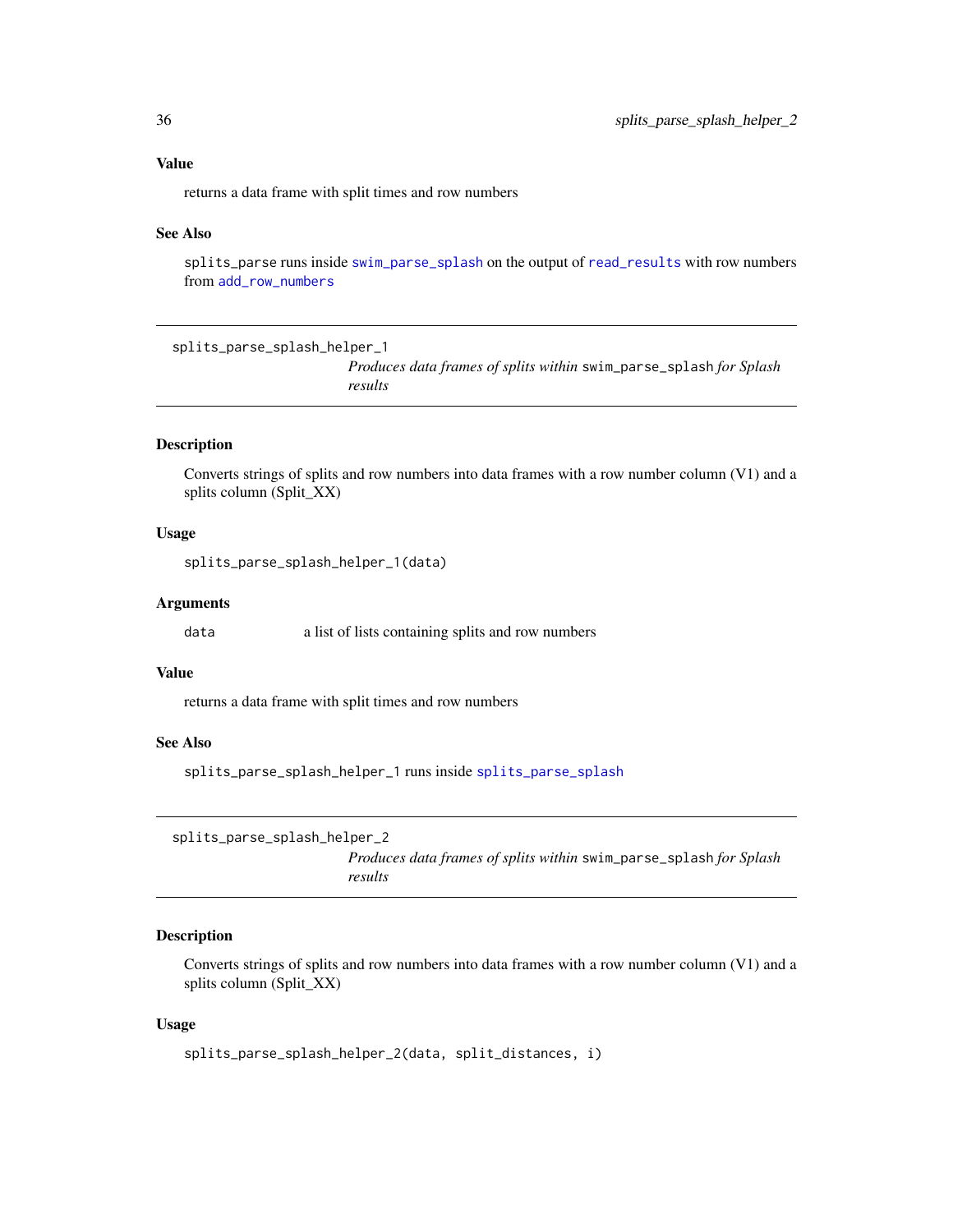## <span id="page-35-0"></span>Value

returns a data frame with split times and row numbers

#### See Also

splits\_parse runs inside [swim\\_parse\\_splash](#page-50-1) on the output of [read\\_results](#page-28-1) with row numbers from [add\\_row\\_numbers](#page-2-1)

splits\_parse\_splash\_helper\_1

*Produces data frames of splits within* swim\_parse\_splash *for Splash results*

## Description

Converts strings of splits and row numbers into data frames with a row number column (V1) and a splits column (Split\_XX)

#### Usage

splits\_parse\_splash\_helper\_1(data)

#### Arguments

data a list of lists containing splits and row numbers

#### Value

returns a data frame with split times and row numbers

#### See Also

splits\_parse\_splash\_helper\_1 runs inside [splits\\_parse\\_splash](#page-34-1)

```
splits_parse_splash_helper_2
```
*Produces data frames of splits within* swim\_parse\_splash *for Splash results*

#### Description

Converts strings of splits and row numbers into data frames with a row number column (V1) and a splits column (Split\_XX)

#### Usage

```
splits_parse_splash_helper_2(data, split_distances, i)
```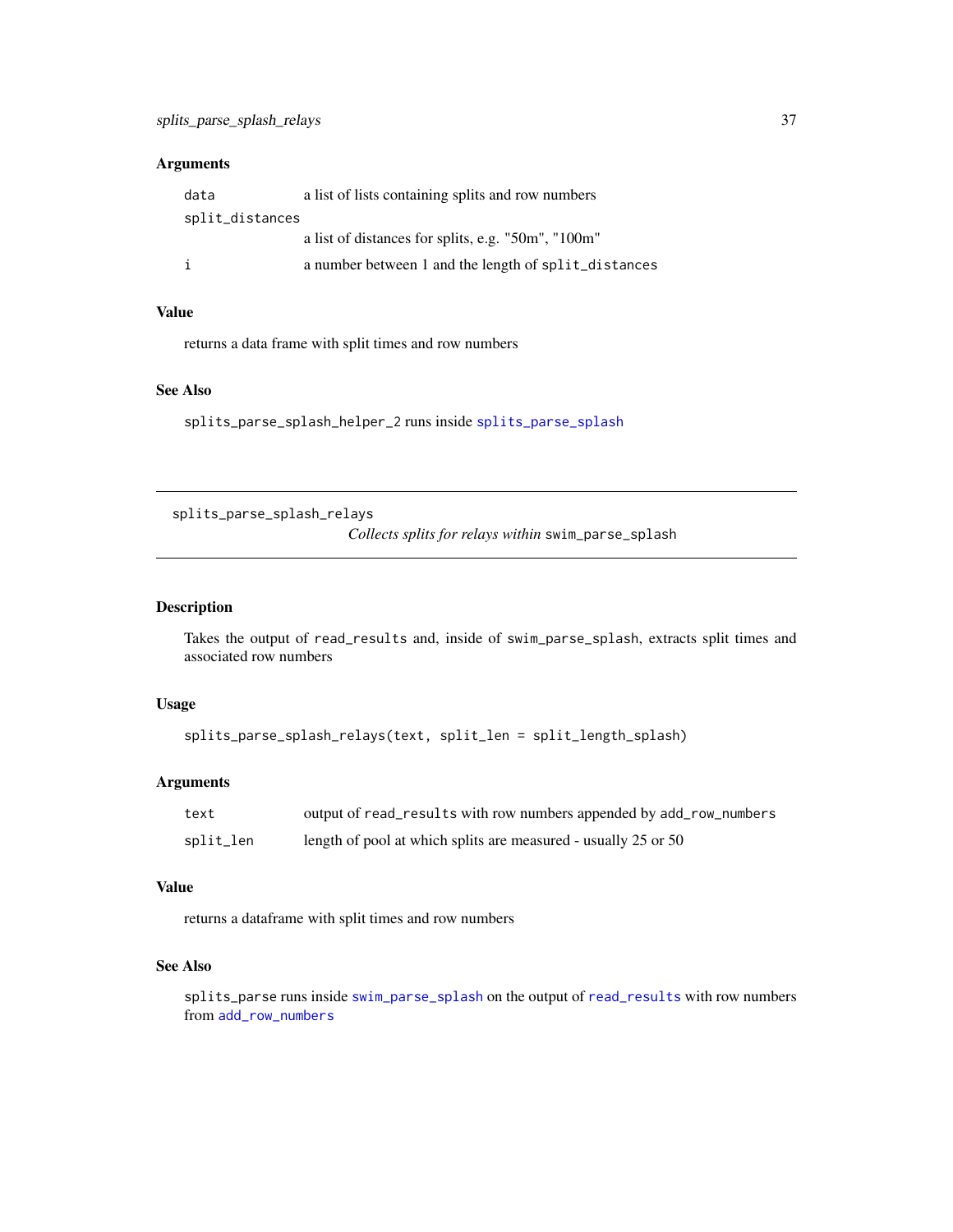## <span id="page-36-0"></span>Arguments

| data            | a list of lists containing splits and row numbers    |
|-----------------|------------------------------------------------------|
| split_distances |                                                      |
|                 | a list of distances for splits, e.g. "50m", "100m"   |
| i               | a number between 1 and the length of split_distances |

## Value

returns a data frame with split times and row numbers

#### See Also

splits\_parse\_splash\_helper\_2 runs inside [splits\\_parse\\_splash](#page-34-1)

splits\_parse\_splash\_relays *Collects splits for relays within* swim\_parse\_splash

## Description

Takes the output of read\_results and, inside of swim\_parse\_splash, extracts split times and associated row numbers

#### Usage

```
splits_parse_splash_relays(text, split_len = split_length_splash)
```
## Arguments

| text      | output of read_results with row numbers appended by add_row_numbers |
|-----------|---------------------------------------------------------------------|
| split_len | length of pool at which splits are measured - usually 25 or 50      |

#### Value

returns a dataframe with split times and row numbers

## See Also

splits\_parse runs inside [swim\\_parse\\_splash](#page-50-1) on the output of [read\\_results](#page-28-1) with row numbers from [add\\_row\\_numbers](#page-2-1)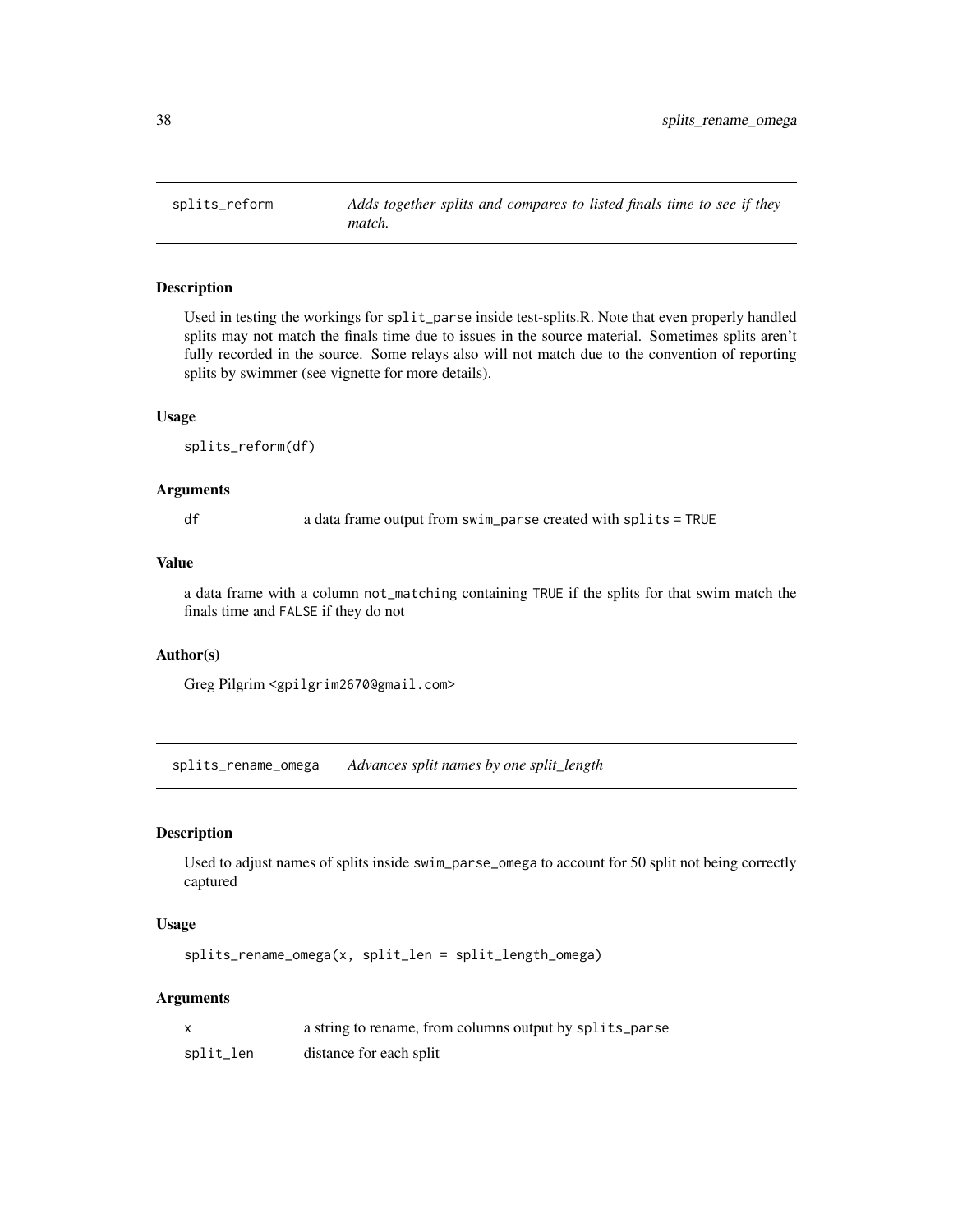<span id="page-37-0"></span>

Used in testing the workings for split\_parse inside test-splits.R. Note that even properly handled splits may not match the finals time due to issues in the source material. Sometimes splits aren't fully recorded in the source. Some relays also will not match due to the convention of reporting splits by swimmer (see vignette for more details).

#### Usage

splits\_reform(df)

## Arguments

df a data frame output from swim\_parse created with splits = TRUE

## Value

a data frame with a column not\_matching containing TRUE if the splits for that swim match the finals time and FALSE if they do not

#### Author(s)

Greg Pilgrim <gpilgrim2670@gmail.com>

splits\_rename\_omega *Advances split names by one split\_length*

#### Description

Used to adjust names of splits inside swim\_parse\_omega to account for 50 split not being correctly captured

#### Usage

splits\_rename\_omega(x, split\_len = split\_length\_omega)

#### Arguments

|           | a string to rename, from columns output by splits_parse |
|-----------|---------------------------------------------------------|
| split_len | distance for each split                                 |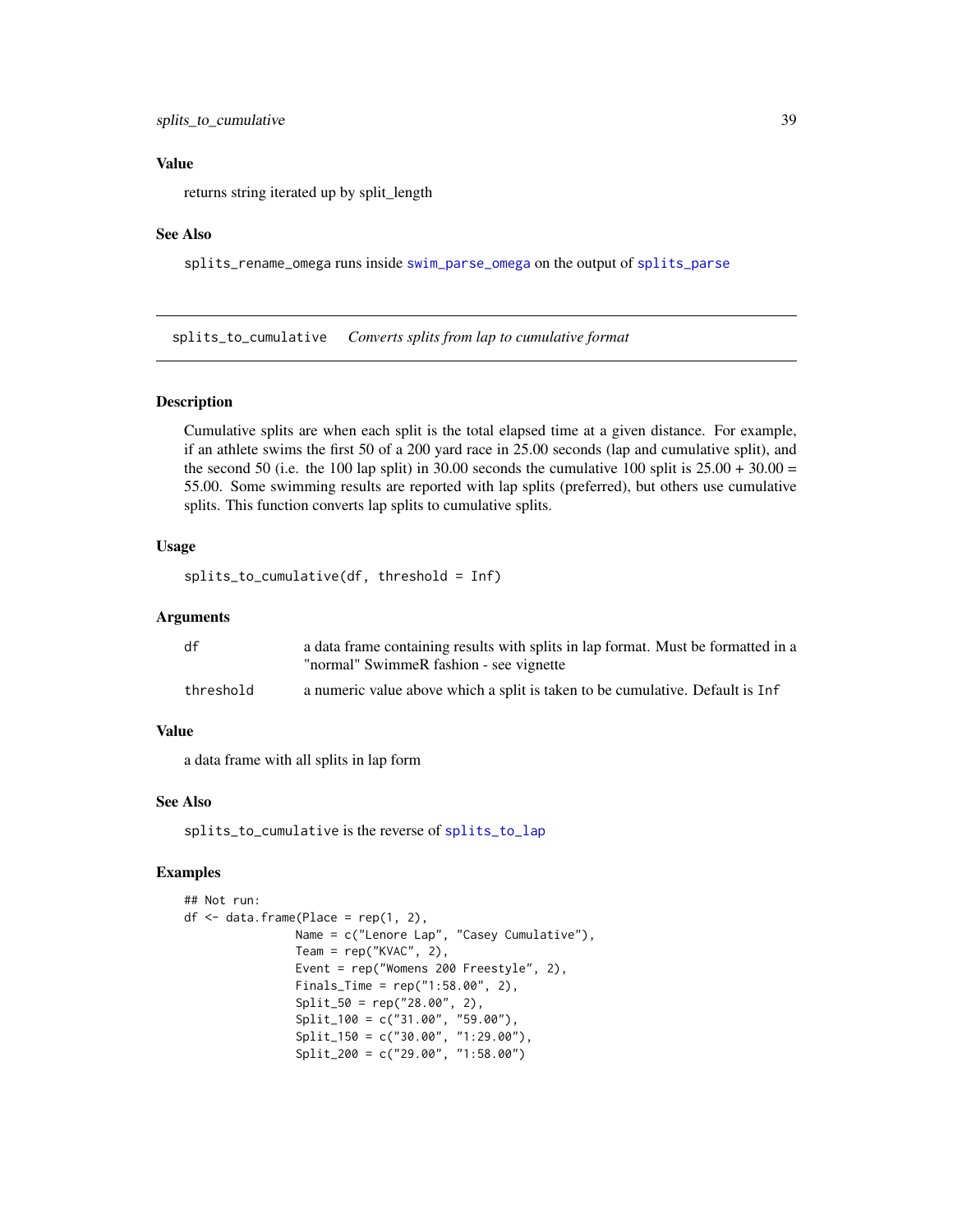## <span id="page-38-0"></span>Value

returns string iterated up by split\_length

#### See Also

splits\_rename\_omega runs inside [swim\\_parse\\_omega](#page-48-1) on the output of [splits\\_parse](#page-33-1)

<span id="page-38-1"></span>splits\_to\_cumulative *Converts splits from lap to cumulative format*

#### Description

Cumulative splits are when each split is the total elapsed time at a given distance. For example, if an athlete swims the first 50 of a 200 yard race in 25.00 seconds (lap and cumulative split), and the second 50 (i.e. the 100 lap split) in 30.00 seconds the cumulative 100 split is  $25.00 + 30.00 =$ 55.00. Some swimming results are reported with lap splits (preferred), but others use cumulative splits. This function converts lap splits to cumulative splits.

## Usage

splits\_to\_cumulative(df, threshold = Inf)

#### **Arguments**

| df        | a data frame containing results with splits in lap format. Must be formatted in a |
|-----------|-----------------------------------------------------------------------------------|
|           | "normal" SwimmeR fashion - see vignette                                           |
| threshold | a numeric value above which a split is taken to be cumulative. Default is Inf     |

#### Value

a data frame with all splits in lap form

#### See Also

splits\_to\_cumulative is the reverse of [splits\\_to\\_lap](#page-40-1)

## Examples

```
## Not run:
df <- data.frame(Place = rep(1, 2),
               Name = c("Lenore Lap", "Casey Cumulative"),
                Team = rep("KVAC", 2),
                Event = rep("Womens 200 Freestyle", 2),
                Finals_Time = rep("1:58.00", 2),
                Split_50 = rep("28.00", 2),Split_100 = c("31.00", "59.00"),
                Split_150 = c("30.00", "1:29.00"),
                Split_200 = c("29.00", "1:58.00")
```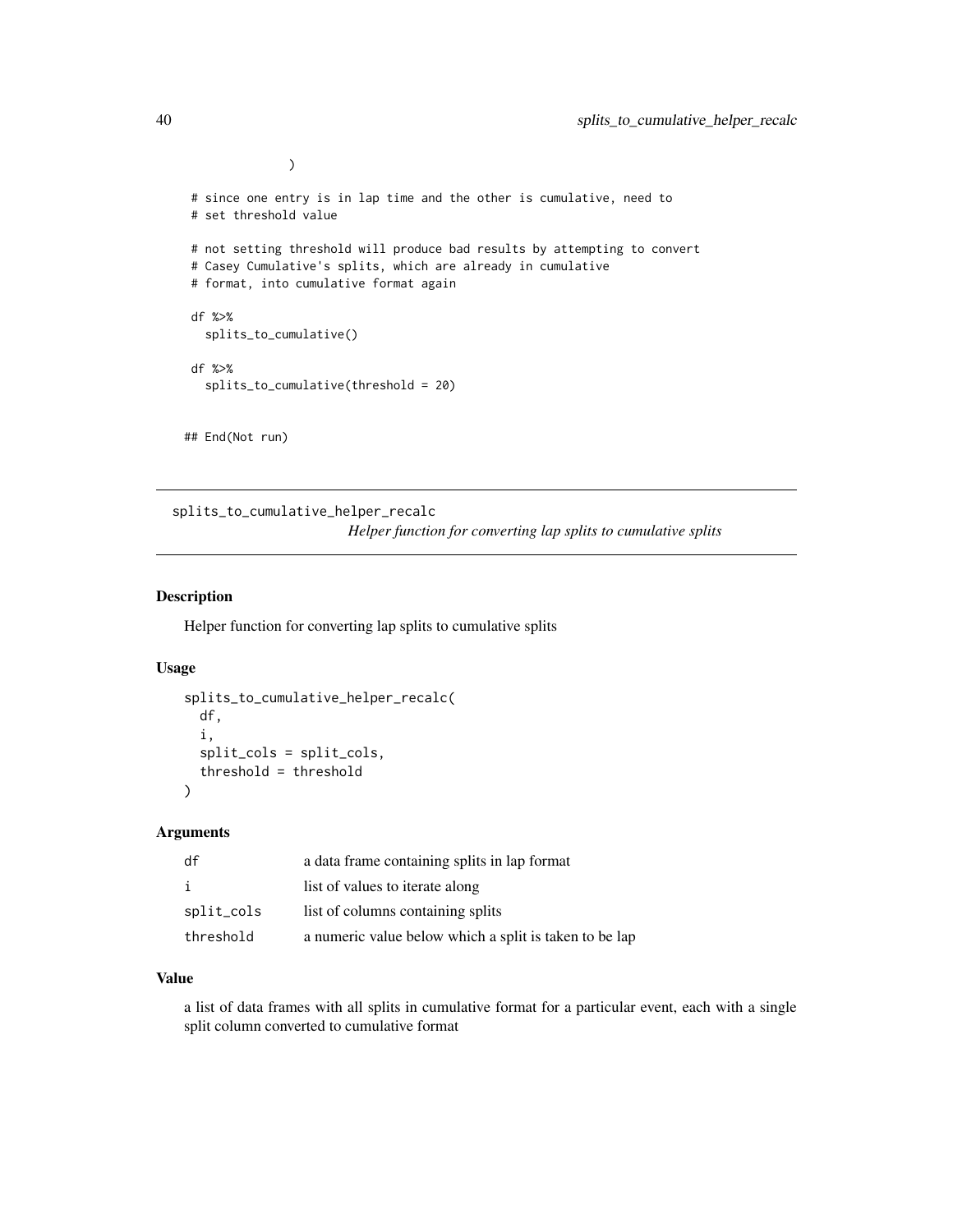```
# since one entry is in lap time and the other is cumulative, need to
# set threshold value
# not setting threshold will produce bad results by attempting to convert
# Casey Cumulative's splits, which are already in cumulative
# format, into cumulative format again
df %>%
  splits_to_cumulative()
df %>%
  splits_to_cumulative(threshold = 20)
## End(Not run)
```
splits\_to\_cumulative\_helper\_recalc *Helper function for converting lap splits to cumulative splits*

#### Description

Helper function for converting lap splits to cumulative splits

#### Usage

```
splits_to_cumulative_helper_recalc(
 df,
  i,
  split_cols = split_cols,
  threshold = threshold
)
```
#### Arguments

| df         | a data frame containing splits in lap format           |
|------------|--------------------------------------------------------|
| j.         | list of values to iterate along                        |
| split_cols | list of columns containing splits                      |
| threshold  | a numeric value below which a split is taken to be lap |

## Value

a list of data frames with all splits in cumulative format for a particular event, each with a single split column converted to cumulative format

)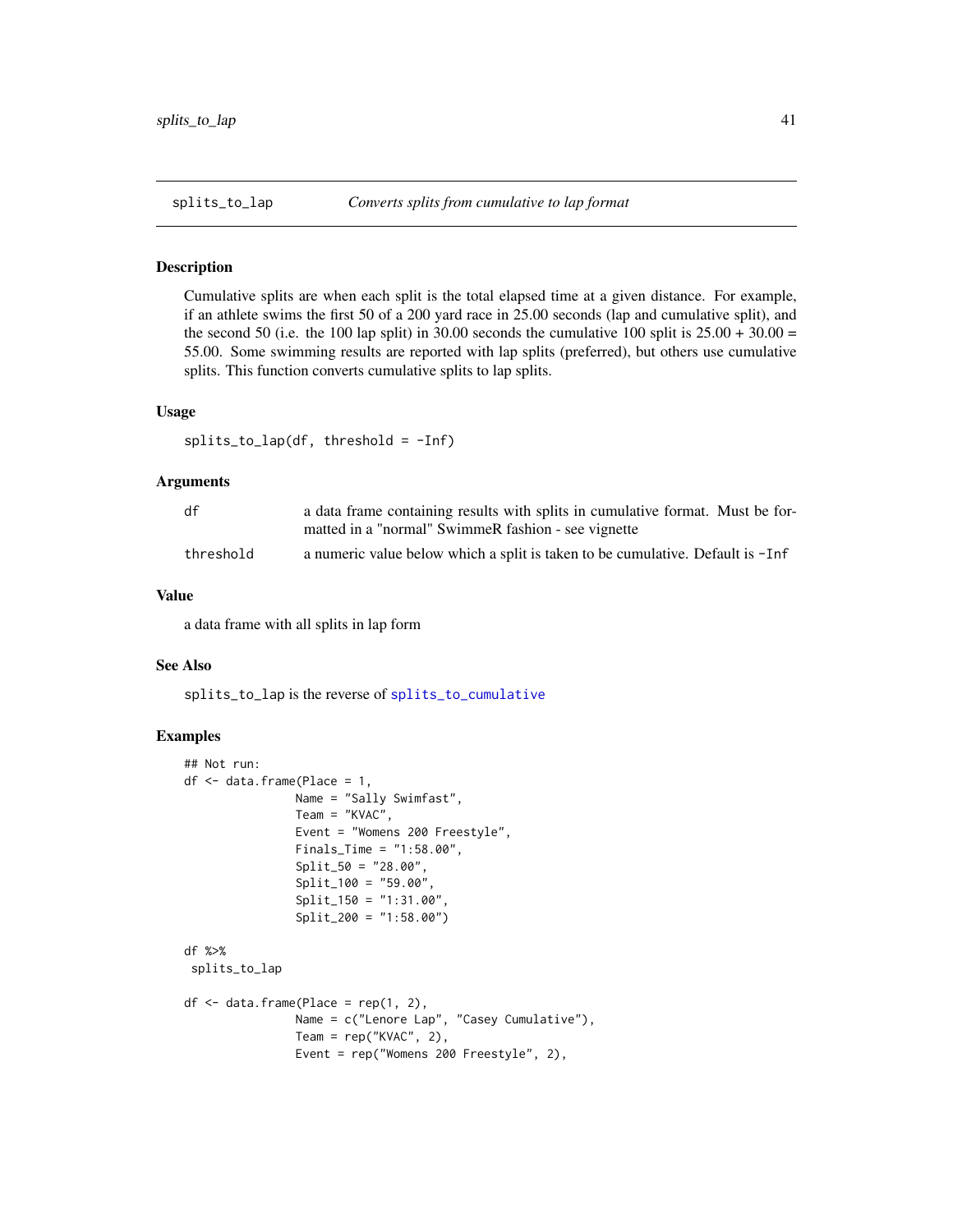<span id="page-40-1"></span><span id="page-40-0"></span>

Cumulative splits are when each split is the total elapsed time at a given distance. For example, if an athlete swims the first 50 of a 200 yard race in 25.00 seconds (lap and cumulative split), and the second 50 (i.e. the 100 lap split) in 30.00 seconds the cumulative 100 split is  $25.00 + 30.00 =$ 55.00. Some swimming results are reported with lap splits (preferred), but others use cumulative splits. This function converts cumulative splits to lap splits.

## Usage

```
splits_to_lap(df, threshold = -Inf)
```
## **Arguments**

| df        | a data frame containing results with splits in cumulative format. Must be for- |
|-----------|--------------------------------------------------------------------------------|
|           | matted in a "normal" SwimmeR fashion - see vignette                            |
| threshold | a numeric value below which a split is taken to be cumulative. Default is -Inf |

#### Value

a data frame with all splits in lap form

#### See Also

splits\_to\_lap is the reverse of [splits\\_to\\_cumulative](#page-38-1)

## Examples

```
## Not run:
df <- data.frame(Place = 1,
                Name = "Sally Swimfast",
                Team = "KVAC",
                Event = "Womens 200 Freestyle",
                Finals_Time = "1:58.00",
                Split_50 = "28.00",
                Split_100 = "59.00",Split_150 = "1:31.00"Split_200 = "1:58.00")
df %>%
splits_to_lap
df \leftarrow data . frame(Place = rep(1, 2),Name = c("Lenore Lap", "Casey Cumulative"),
                Team = rep("KVAC", 2),
                Event = rep("Womens 200 Freestyle", 2),
```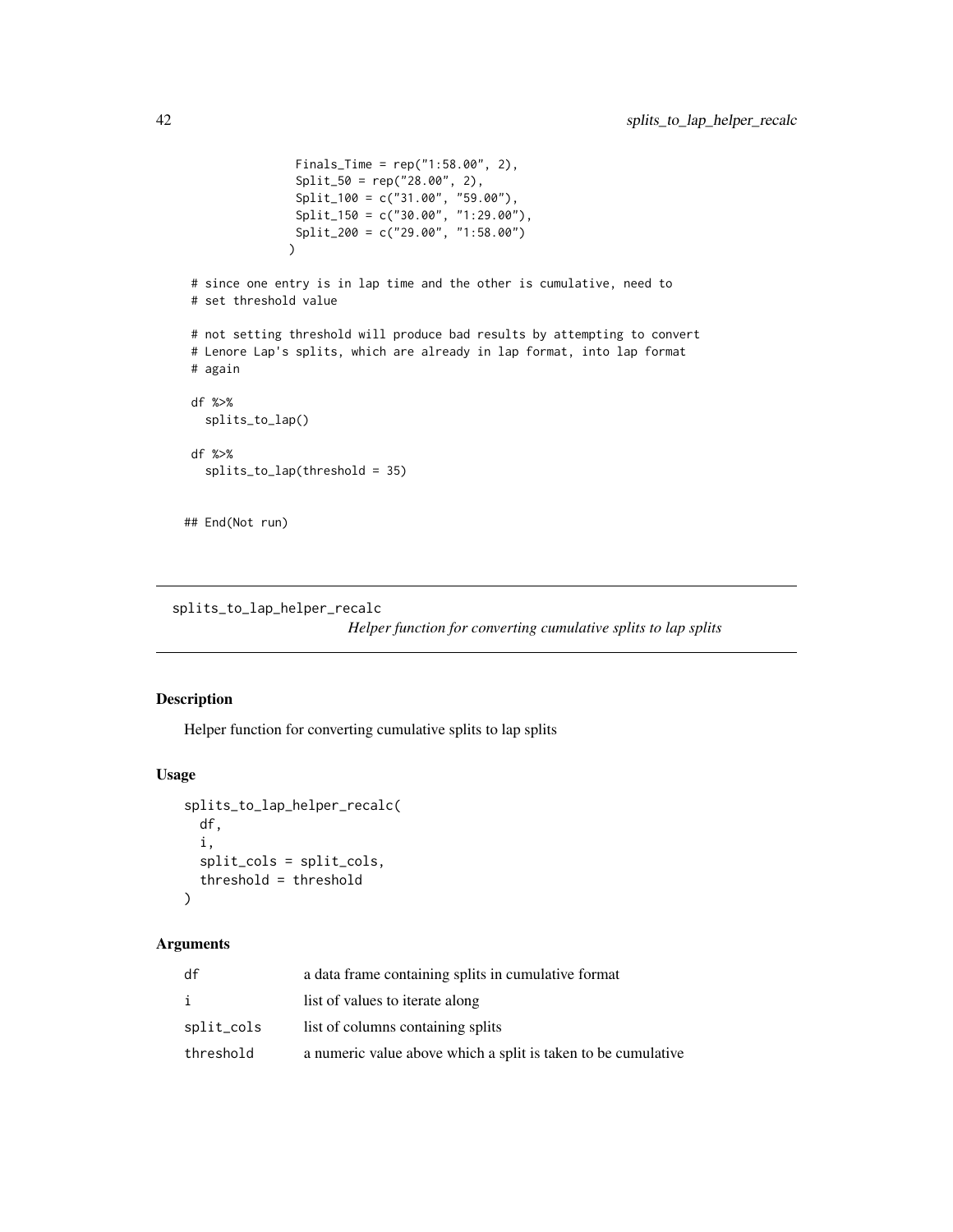```
Finals_Time = rep("1:58.00", 2),
                Split_50 = rep("28.00", 2),
                Split_100 = c("31.00", "59.00"),
                Split_150 = c("30.00", "1:29.00"),
                Split_200 = c("29.00", "1:58.00")
               \lambda# since one entry is in lap time and the other is cumulative, need to
# set threshold value
# not setting threshold will produce bad results by attempting to convert
# Lenore Lap's splits, which are already in lap format, into lap format
# again
df %>%
  splits_to_lap()
df %>%
  splits_to_lap(threshold = 35)
## End(Not run)
```
splits\_to\_lap\_helper\_recalc

*Helper function for converting cumulative splits to lap splits*

## Description

Helper function for converting cumulative splits to lap splits

#### Usage

```
splits_to_lap_helper_recalc(
 df,
  i,
  split_cols = split_cols,
  threshold = threshold
)
```
#### Arguments

| df         | a data frame containing splits in cumulative format           |
|------------|---------------------------------------------------------------|
| i          | list of values to iterate along                               |
| split_cols | list of columns containing splits                             |
| threshold  | a numeric value above which a split is taken to be cumulative |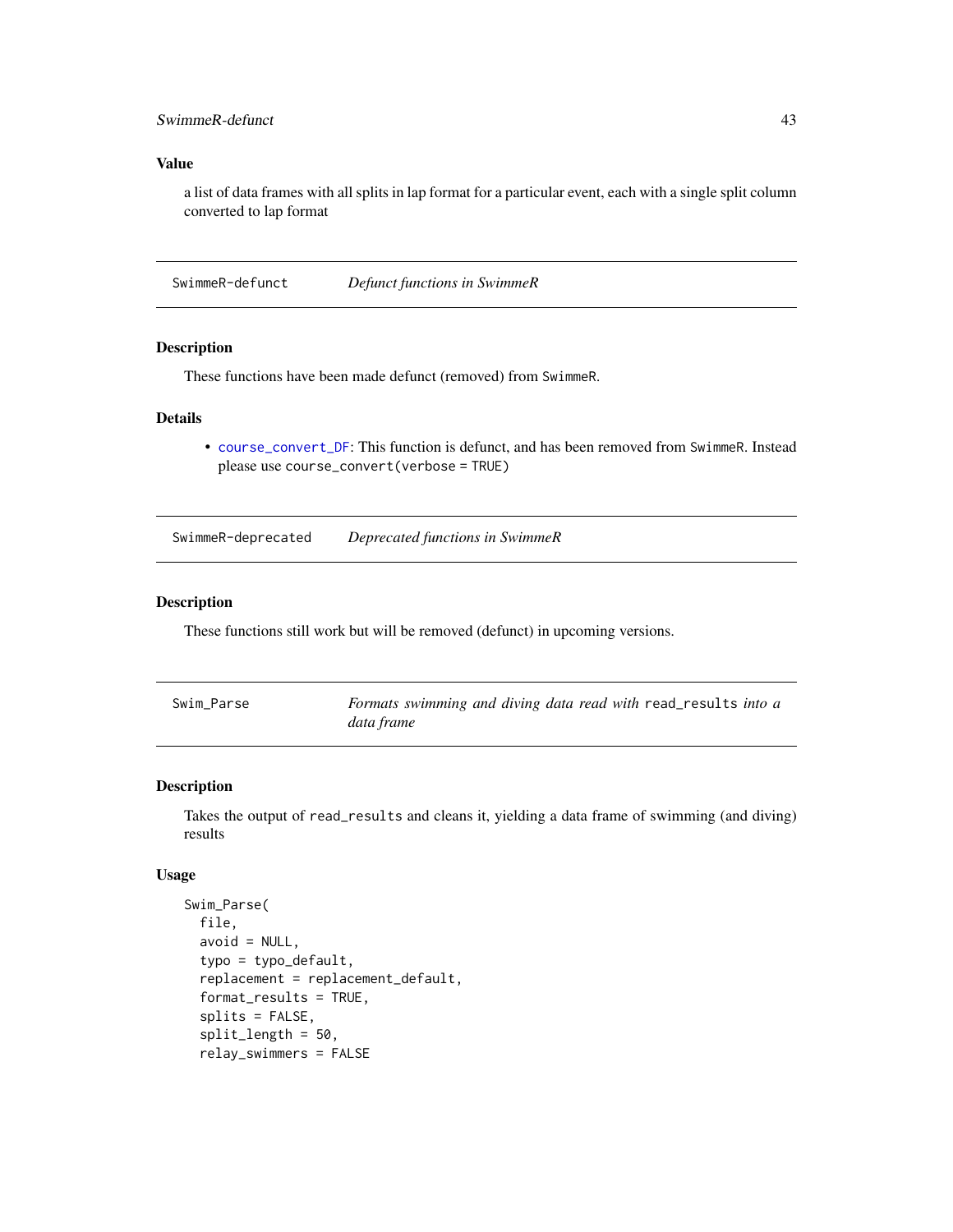## <span id="page-42-0"></span>SwimmeR-defunct 43

## Value

a list of data frames with all splits in lap format for a particular event, each with a single split column converted to lap format

SwimmeR-defunct *Defunct functions in SwimmeR*

#### Description

These functions have been made defunct (removed) from SwimmeR.

## Details

• [course\\_convert\\_DF](#page-11-1): This function is defunct, and has been removed from SwimmeR. Instead please use course\_convert(verbose = TRUE)

SwimmeR-deprecated *Deprecated functions in SwimmeR*

#### Description

These functions still work but will be removed (defunct) in upcoming versions.

| Swim Parse | Formats swimming and diving data read with read_results into a |
|------------|----------------------------------------------------------------|
|            | data frame                                                     |

#### <span id="page-42-1"></span>Description

Takes the output of read\_results and cleans it, yielding a data frame of swimming (and diving) results

#### Usage

```
Swim_Parse(
  file,
  avoid = NULL,typo = typo_default,
  replacement = replacement_default,
  format_results = TRUE,
  splits = FALSE,
  split_length = 50,
  relay_swimmers = FALSE
```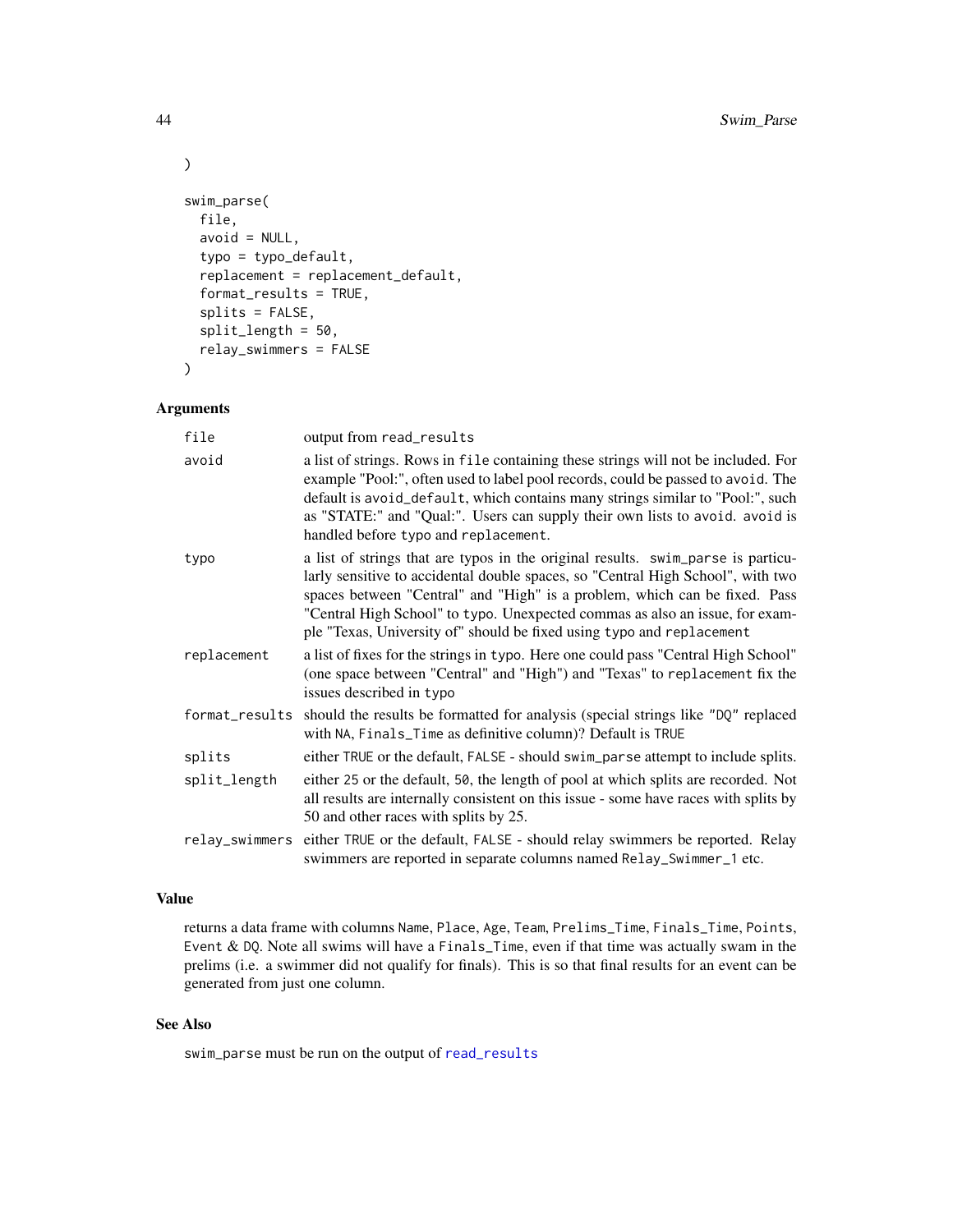```
swim_parse(
 file,
 avoid = NULL,typo = typo_default,
  replacement = replacement_default,
  format_results = TRUE,
  splits = FALSE,
  split_length = 50,
  relay_swimmers = FALSE
\mathcal{L}
```
## Arguments

| file           | output from read_results                                                                                                                                                                                                                                                                                                                                                                                   |
|----------------|------------------------------------------------------------------------------------------------------------------------------------------------------------------------------------------------------------------------------------------------------------------------------------------------------------------------------------------------------------------------------------------------------------|
| avoid          | a list of strings. Rows in file containing these strings will not be included. For<br>example "Pool:", often used to label pool records, could be passed to avoid. The<br>default is avoid_default, which contains many strings similar to "Pool:", such<br>as "STATE:" and "Qual:". Users can supply their own lists to avoid. avoid is<br>handled before typo and replacement.                           |
| typo           | a list of strings that are typos in the original results. swim_parse is particu-<br>larly sensitive to accidental double spaces, so "Central High School", with two<br>spaces between "Central" and "High" is a problem, which can be fixed. Pass<br>"Central High School" to typo. Unexpected commas as also an issue, for exam-<br>ple "Texas, University of" should be fixed using typo and replacement |
| replacement    | a list of fixes for the strings in typo. Here one could pass "Central High School"<br>(one space between "Central" and "High") and "Texas" to replacement fix the<br>issues described in typo                                                                                                                                                                                                              |
| format_results | should the results be formatted for analysis (special strings like "DQ" replaced<br>with NA, Finals_Time as definitive column)? Default is TRUE                                                                                                                                                                                                                                                            |
| splits         | either TRUE or the default, FALSE - should swim_parse attempt to include splits.                                                                                                                                                                                                                                                                                                                           |
| split_length   | either 25 or the default, 50, the length of pool at which splits are recorded. Not<br>all results are internally consistent on this issue - some have races with splits by<br>50 and other races with splits by 25.                                                                                                                                                                                        |
| relay_swimmers | either TRUE or the default, FALSE - should relay swimmers be reported. Relay<br>swimmers are reported in separate columns named Relay_Swimmer_1 etc.                                                                                                                                                                                                                                                       |

## Value

returns a data frame with columns Name, Place, Age, Team, Prelims\_Time, Finals\_Time, Points, Event & DQ. Note all swims will have a Finals\_Time, even if that time was actually swam in the prelims (i.e. a swimmer did not qualify for finals). This is so that final results for an event can be generated from just one column.

## See Also

swim\_parse must be run on the output of [read\\_results](#page-28-1)

<span id="page-43-0"></span>

 $\mathcal{L}$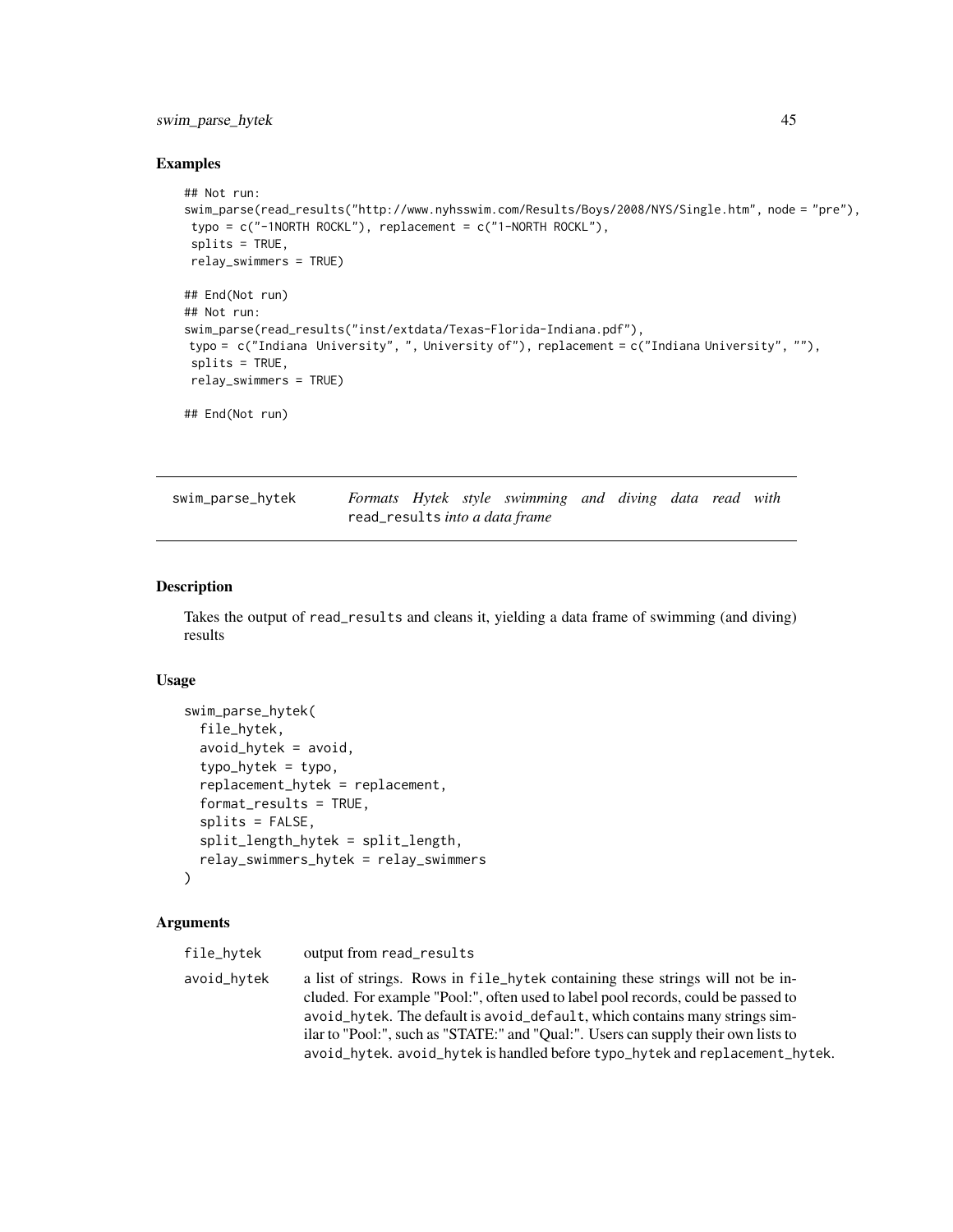## <span id="page-44-0"></span>swim\_parse\_hytek 45

#### Examples

```
## Not run:
swim_parse(read_results("http://www.nyhsswim.com/Results/Boys/2008/NYS/Single.htm", node = "pre"),
typo = c("-1NORTH ROCKL"), replacement = c("1-NORTH ROCKL"),
splits = TRUE,
relay_swimmers = TRUE)
## End(Not run)
## Not run:
swim_parse(read_results("inst/extdata/Texas-Florida-Indiana.pdf"),
typo = c("Indiana University", ", University of"), replacement = c("Indiana University", ""),
splits = TRUE,
relay_swimmers = TRUE)
## End(Not run)
```

| swim_parse_hytek |                                |  | Formats Hytek style swimming and diving data read with |  |  |  |
|------------------|--------------------------------|--|--------------------------------------------------------|--|--|--|
|                  | read_results into a data frame |  |                                                        |  |  |  |

#### Description

Takes the output of read\_results and cleans it, yielding a data frame of swimming (and diving) results

#### Usage

```
swim_parse_hytek(
  file_hytek,
  avoid_hytek = avoid,
  typo_hytek = typo,
  replacement_hytek = replacement,
  format_results = TRUE,
  splits = FALSE,
  split_length_hytek = split_length,
  relay_swimmers_hytek = relay_swimmers
)
```
#### Arguments

| file_hvtek  | output from read_results                                                                                                                                                                                                                                                                                                                                                                                                 |
|-------------|--------------------------------------------------------------------------------------------------------------------------------------------------------------------------------------------------------------------------------------------------------------------------------------------------------------------------------------------------------------------------------------------------------------------------|
| avoid_hytek | a list of strings. Rows in file_hytek containing these strings will not be in-<br>cluded. For example "Pool:", often used to label pool records, could be passed to<br>avoid hytek. The default is avoid default, which contains many strings sim-<br>ilar to "Pool:", such as "STATE:" and "Qual:". Users can supply their own lists to<br>avoid_hytek. avoid_hytek is handled before typo_hytek and replacement_hytek. |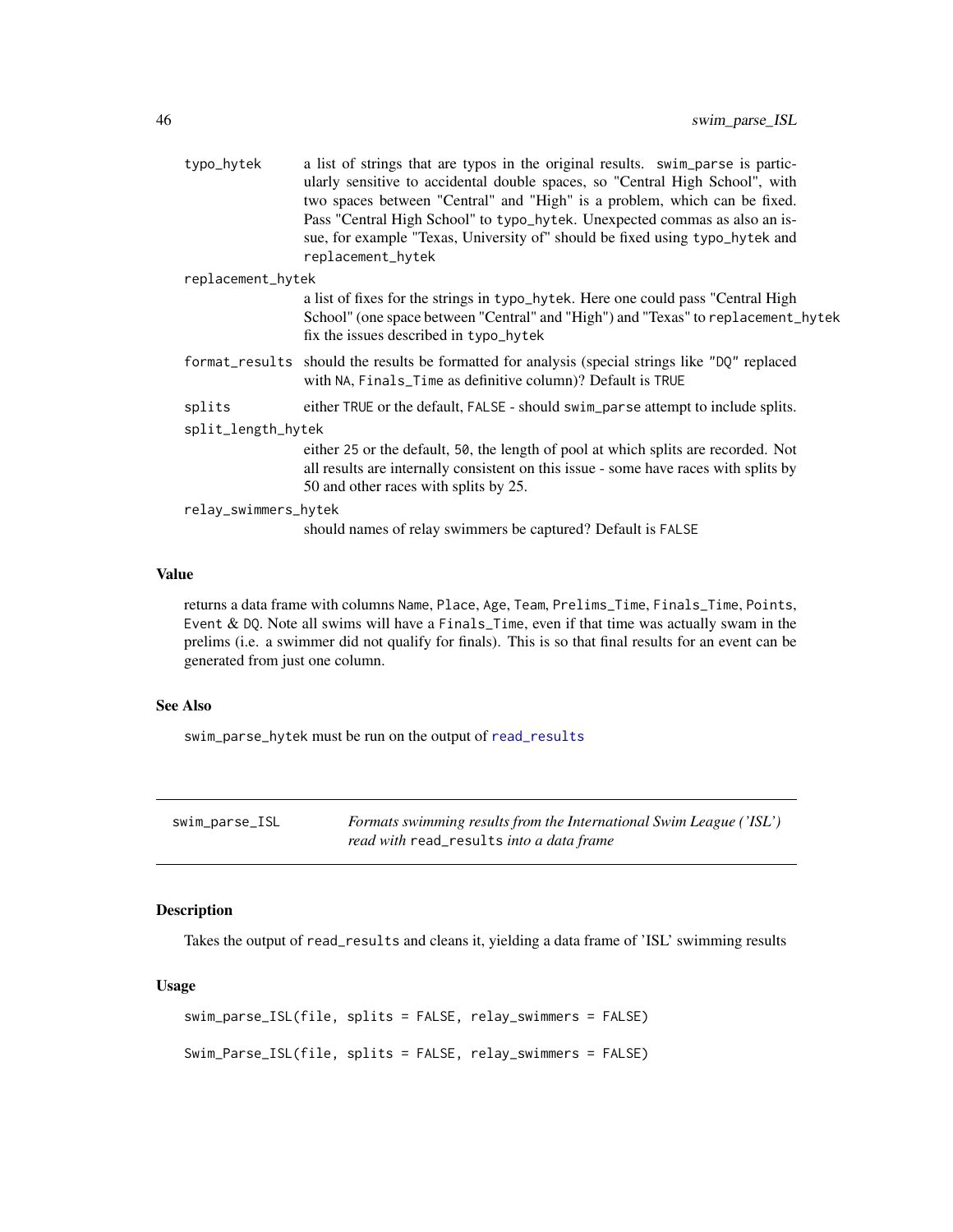<span id="page-45-0"></span>

|                    | typo_hytek           | a list of strings that are typos in the original results. swim_parse is partic-<br>ularly sensitive to accidental double spaces, so "Central High School", with<br>two spaces between "Central" and "High" is a problem, which can be fixed. |
|--------------------|----------------------|----------------------------------------------------------------------------------------------------------------------------------------------------------------------------------------------------------------------------------------------|
|                    |                      | Pass "Central High School" to typo_hytek. Unexpected commas as also an is-<br>sue, for example "Texas, University of" should be fixed using typo_hytek and                                                                                   |
|                    |                      | replacement_hytek                                                                                                                                                                                                                            |
|                    | replacement_hytek    |                                                                                                                                                                                                                                              |
|                    |                      | a list of fixes for the strings in typo_hytek. Here one could pass "Central High<br>School" (one space between "Central" and "High") and "Texas" to replacement_hytek<br>fix the issues described in typo_hytek                              |
|                    |                      | format_results should the results be formatted for analysis (special strings like "DQ" replaced<br>with NA, Finals_Time as definitive column)? Default is TRUE                                                                               |
|                    | splits               | either TRUE or the default, FALSE - should swim_parse attempt to include splits.                                                                                                                                                             |
| split_length_hytek |                      |                                                                                                                                                                                                                                              |
|                    |                      | either 25 or the default, 50, the length of pool at which splits are recorded. Not<br>all results are internally consistent on this issue - some have races with splits by<br>50 and other races with splits by 25.                          |
|                    | relay_swimmers_hytek |                                                                                                                                                                                                                                              |
|                    |                      | should names of relay swimmers be captured? Default is FALSE                                                                                                                                                                                 |
|                    |                      |                                                                                                                                                                                                                                              |

## Value

returns a data frame with columns Name, Place, Age, Team, Prelims\_Time, Finals\_Time, Points, Event & DQ. Note all swims will have a Finals\_Time, even if that time was actually swam in the prelims (i.e. a swimmer did not qualify for finals). This is so that final results for an event can be generated from just one column.

## See Also

swim\_parse\_hytek must be run on the output of [read\\_results](#page-28-1)

<span id="page-45-1"></span>

| swim_parse_ISL | Formats swimming results from the International Swim League ('ISL') |
|----------------|---------------------------------------------------------------------|
|                | read with read_results into a data frame                            |

## Description

Takes the output of read\_results and cleans it, yielding a data frame of 'ISL' swimming results

## Usage

```
swim_parse_ISL(file, splits = FALSE, relay_swimmers = FALSE)
Swim_Parse_ISL(file, splits = FALSE, relay_swimmers = FALSE)
```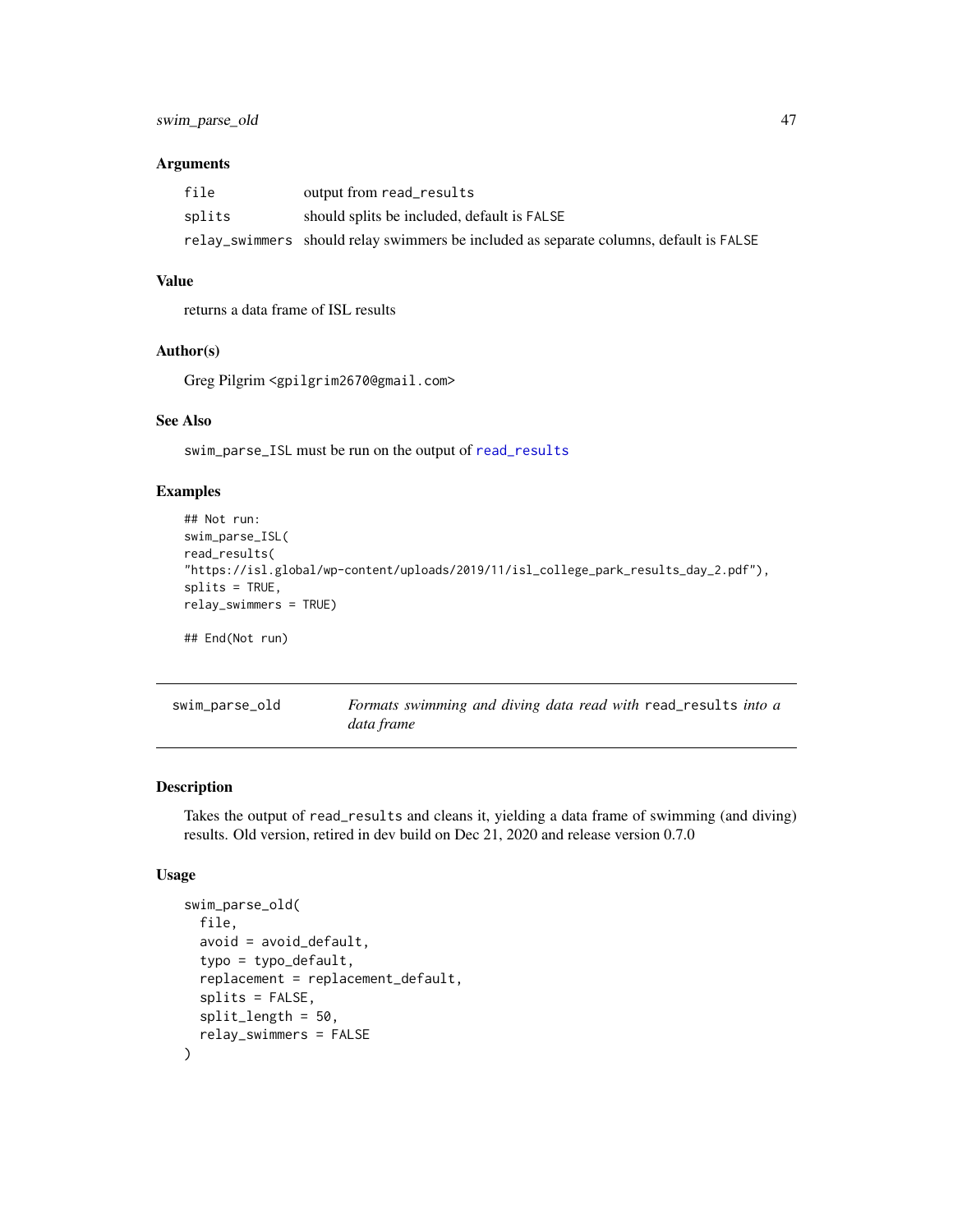## <span id="page-46-0"></span>Arguments

| file   | output from read_results                                                               |
|--------|----------------------------------------------------------------------------------------|
| splits | should splits be included, default is FALSE                                            |
|        | relay_swimmers should relay swimmers be included as separate columns, default is FALSE |

## Value

returns a data frame of ISL results

## Author(s)

Greg Pilgrim <gpilgrim2670@gmail.com>

## See Also

swim\_parse\_ISL must be run on the output of [read\\_results](#page-28-1)

## Examples

```
## Not run:
swim_parse_ISL(
read_results(
"https://isl.global/wp-content/uploads/2019/11/isl_college_park_results_day_2.pdf"),
splits = TRUE,
relay_swimmers = TRUE)
## End(Not run)
```

| swim_parse_old | Formats swimming and diving data read with read results into a |
|----------------|----------------------------------------------------------------|
|                | data frame                                                     |

## Description

Takes the output of read\_results and cleans it, yielding a data frame of swimming (and diving) results. Old version, retired in dev build on Dec 21, 2020 and release version 0.7.0

#### Usage

```
swim_parse_old(
 file,
  avoid = avoid_default,
  typo = typo_default,
  replacement = replacement_default,
  splits = FALSE,
  split_length = 50,
  relay_swimmers = FALSE
\mathcal{E}
```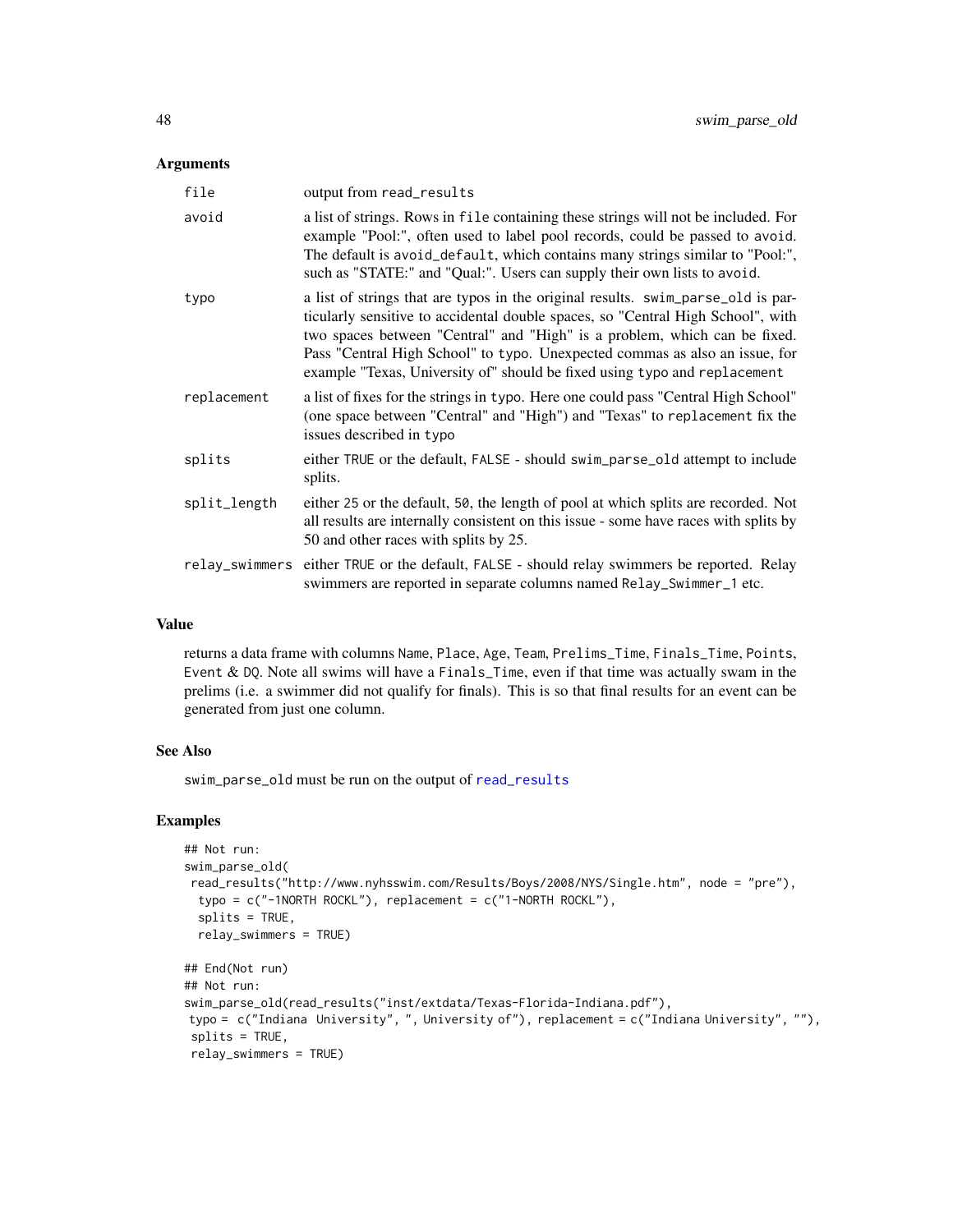#### <span id="page-47-0"></span>Arguments

| file           | output from read_results                                                                                                                                                                                                                                                                                                                                                                                     |
|----------------|--------------------------------------------------------------------------------------------------------------------------------------------------------------------------------------------------------------------------------------------------------------------------------------------------------------------------------------------------------------------------------------------------------------|
| avoid          | a list of strings. Rows in file containing these strings will not be included. For<br>example "Pool:", often used to label pool records, could be passed to avoid.<br>The default is avoid_default, which contains many strings similar to "Pool:",<br>such as "STATE:" and "Qual:". Users can supply their own lists to avoid.                                                                              |
| typo           | a list of strings that are typos in the original results. swim_parse_old is par-<br>ticularly sensitive to accidental double spaces, so "Central High School", with<br>two spaces between "Central" and "High" is a problem, which can be fixed.<br>Pass "Central High School" to typo. Unexpected commas as also an issue, for<br>example "Texas, University of" should be fixed using typo and replacement |
| replacement    | a list of fixes for the strings in typo. Here one could pass "Central High School"<br>(one space between "Central" and "High") and "Texas" to replacement fix the<br>issues described in typo                                                                                                                                                                                                                |
| splits         | either TRUE or the default, FALSE - should swim_parse_old attempt to include<br>splits.                                                                                                                                                                                                                                                                                                                      |
| split_length   | either 25 or the default, 50, the length of pool at which splits are recorded. Not<br>all results are internally consistent on this issue - some have races with splits by<br>50 and other races with splits by 25.                                                                                                                                                                                          |
| relay_swimmers | either TRUE or the default, FALSE - should relay swimmers be reported. Relay<br>swimmers are reported in separate columns named Relay_Swimmer_1 etc.                                                                                                                                                                                                                                                         |

## Value

returns a data frame with columns Name, Place, Age, Team, Prelims\_Time, Finals\_Time, Points, Event  $\&$  DQ. Note all swims will have a Finals\_Time, even if that time was actually swam in the prelims (i.e. a swimmer did not qualify for finals). This is so that final results for an event can be generated from just one column.

#### See Also

swim\_parse\_old must be run on the output of [read\\_results](#page-28-1)

## Examples

```
## Not run:
swim_parse_old(
read_results("http://www.nyhsswim.com/Results/Boys/2008/NYS/Single.htm", node = "pre"),
 typo = c("-1NORTH ROCKL"), replacement = c("1-NORTH ROCKL"),
 splits = TRUE,
 relay_swimmers = TRUE)
## End(Not run)
## Not run:
swim_parse_old(read_results("inst/extdata/Texas-Florida-Indiana.pdf"),
typo = c("Indiana University", ", University of"), replacement = c("Indiana University", ""),
splits = TRUE,
relay_swimmers = TRUE)
```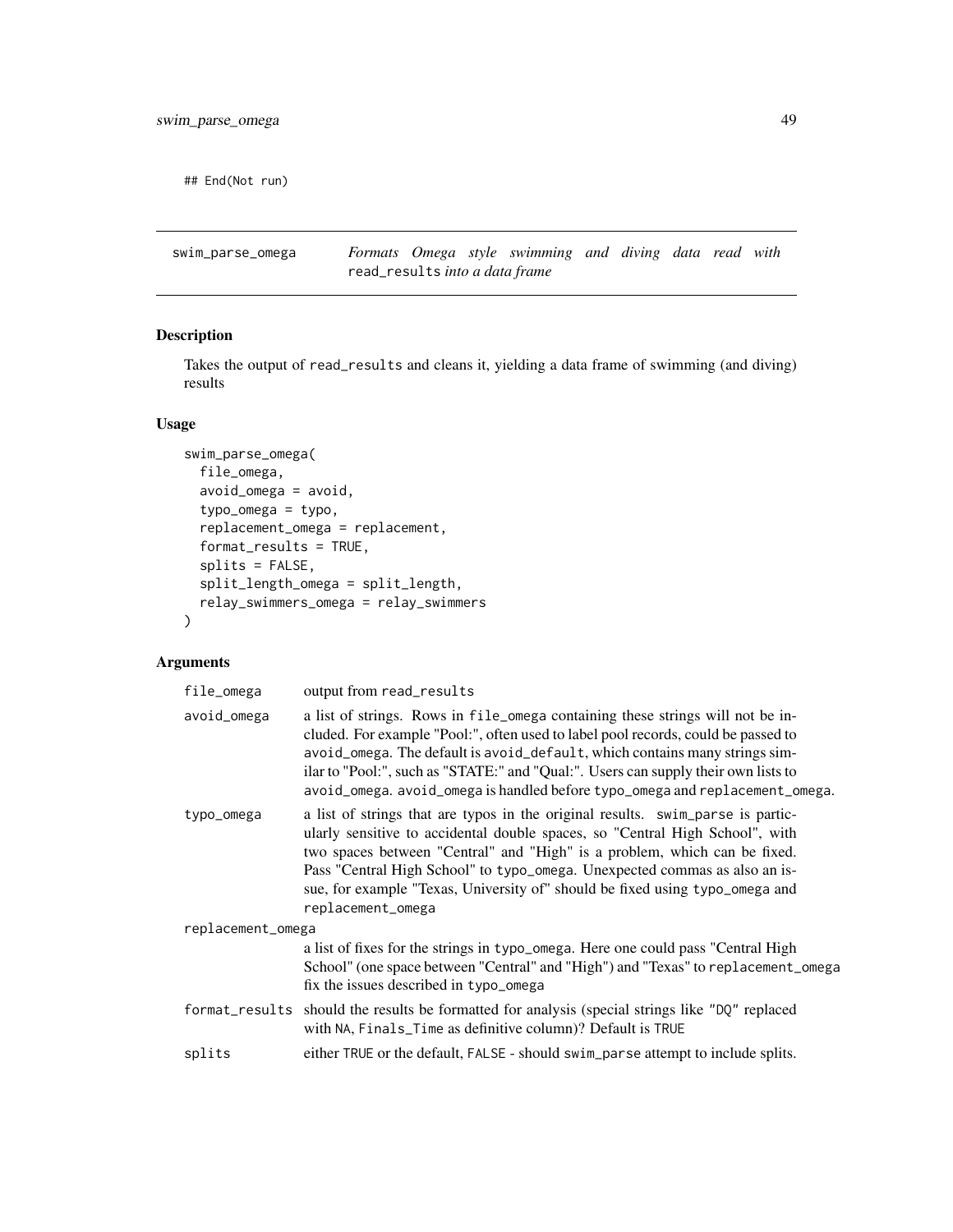<span id="page-48-0"></span>## End(Not run)

<span id="page-48-1"></span>swim\_parse\_omega *Formats Omega style swimming and diving data read with* read\_results *into a data frame*

## Description

Takes the output of read\_results and cleans it, yielding a data frame of swimming (and diving) results

#### Usage

```
swim_parse_omega(
 file_omega,
  avoid_omega = avoid,
  typo_omega = typo,
  replacement_omega = replacement,
  format_results = TRUE,
  splits = FALSE,
  split_length_omega = split_length,
 relay_swimmers_omega = relay_swimmers
\mathcal{L}
```
## Arguments

| file_omega        | output from read_results                                                                                                                                                                                                                                                                                                                                                                                                        |
|-------------------|---------------------------------------------------------------------------------------------------------------------------------------------------------------------------------------------------------------------------------------------------------------------------------------------------------------------------------------------------------------------------------------------------------------------------------|
| avoid_omega       | a list of strings. Rows in file_omega containing these strings will not be in-<br>cluded. For example "Pool:", often used to label pool records, could be passed to<br>avoid_omega. The default is avoid_default, which contains many strings sim-<br>ilar to "Pool:", such as "STATE:" and "Qual:". Users can supply their own lists to<br>avoid_omega. avoid_omega is handled before typo_omega and replacement_omega.        |
| typo_omega        | a list of strings that are typos in the original results. swim_parse is partic-<br>ularly sensitive to accidental double spaces, so "Central High School", with<br>two spaces between "Central" and "High" is a problem, which can be fixed.<br>Pass "Central High School" to typo_omega. Unexpected commas as also an is-<br>sue, for example "Texas, University of" should be fixed using typo_omega and<br>replacement_omega |
| replacement_omega |                                                                                                                                                                                                                                                                                                                                                                                                                                 |
|                   | a list of fixes for the strings in typo_omega. Here one could pass "Central High<br>School" (one space between "Central" and "High") and "Texas" to replacement_omega<br>fix the issues described in typo_omega                                                                                                                                                                                                                 |
|                   | format_results should the results be formatted for analysis (special strings like "DQ" replaced<br>with NA, Finals_Time as definitive column)? Default is TRUE                                                                                                                                                                                                                                                                  |
| splits            | either TRUE or the default, FALSE - should swim_parse attempt to include splits.                                                                                                                                                                                                                                                                                                                                                |
|                   |                                                                                                                                                                                                                                                                                                                                                                                                                                 |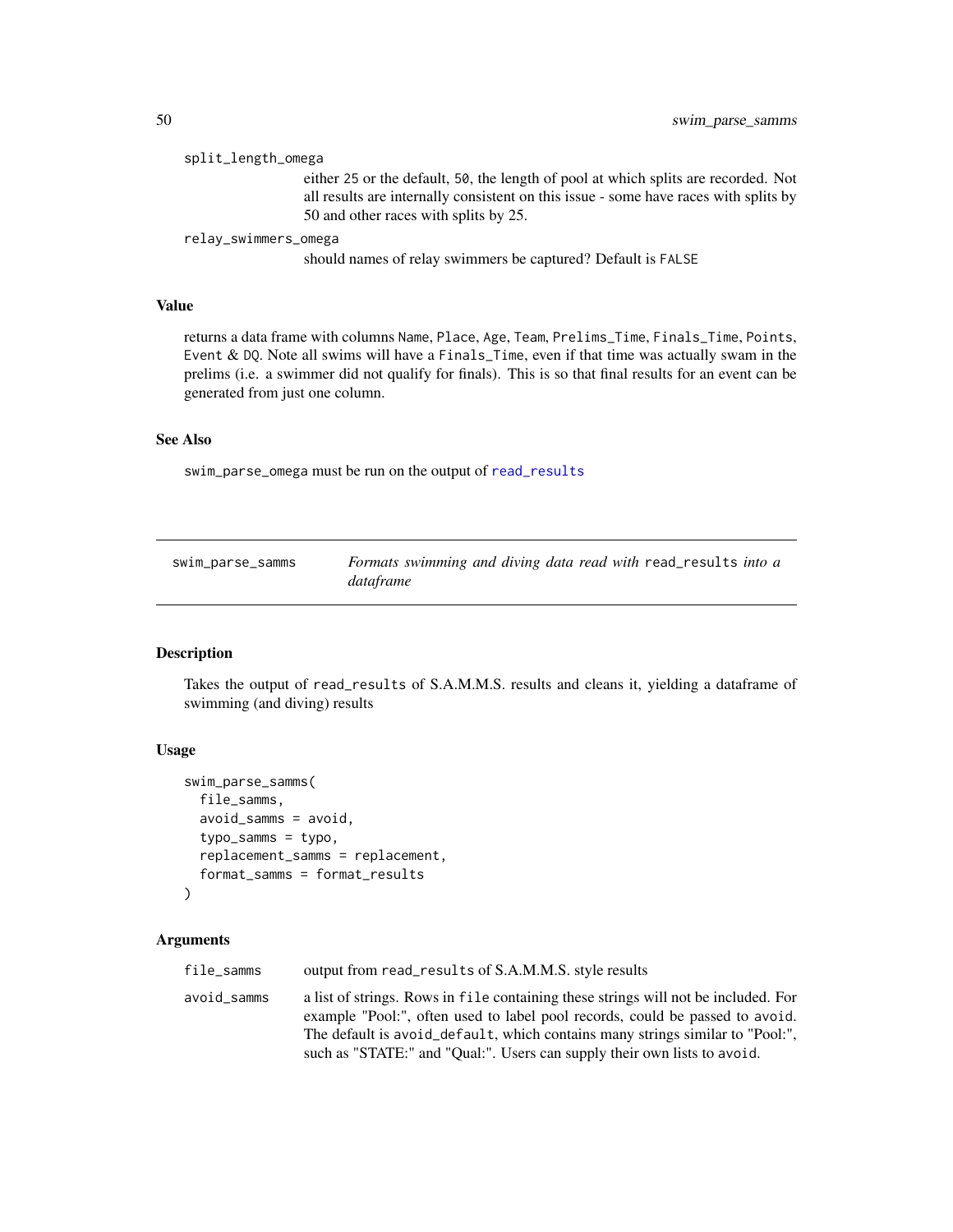#### <span id="page-49-0"></span>split\_length\_omega

either 25 or the default, 50, the length of pool at which splits are recorded. Not all results are internally consistent on this issue - some have races with splits by 50 and other races with splits by 25.

relay\_swimmers\_omega

should names of relay swimmers be captured? Default is FALSE

#### Value

returns a data frame with columns Name, Place, Age, Team, Prelims\_Time, Finals\_Time, Points, Event & DQ. Note all swims will have a Finals\_Time, even if that time was actually swam in the prelims (i.e. a swimmer did not qualify for finals). This is so that final results for an event can be generated from just one column.

#### See Also

swim\_parse\_omega must be run on the output of [read\\_results](#page-28-1)

| swim_parse_samms | Formats swimming and diving data read with read results into a |
|------------------|----------------------------------------------------------------|
|                  | dataframe                                                      |

#### Description

Takes the output of read\_results of S.A.M.M.S. results and cleans it, yielding a dataframe of swimming (and diving) results

#### Usage

```
swim_parse_samms(
  file_samms,
  avoid_samms = avoid,
  typo_samms = typo,
  replacement_samms = replacement,
  format_samms = format_results
)
```
#### Arguments

file\_samms output from read\_results of S.A.M.M.S. style results avoid\_samms a list of strings. Rows in file containing these strings will not be included. For example "Pool:", often used to label pool records, could be passed to avoid. The default is avoid\_default, which contains many strings similar to "Pool:", such as "STATE:" and "Qual:". Users can supply their own lists to avoid.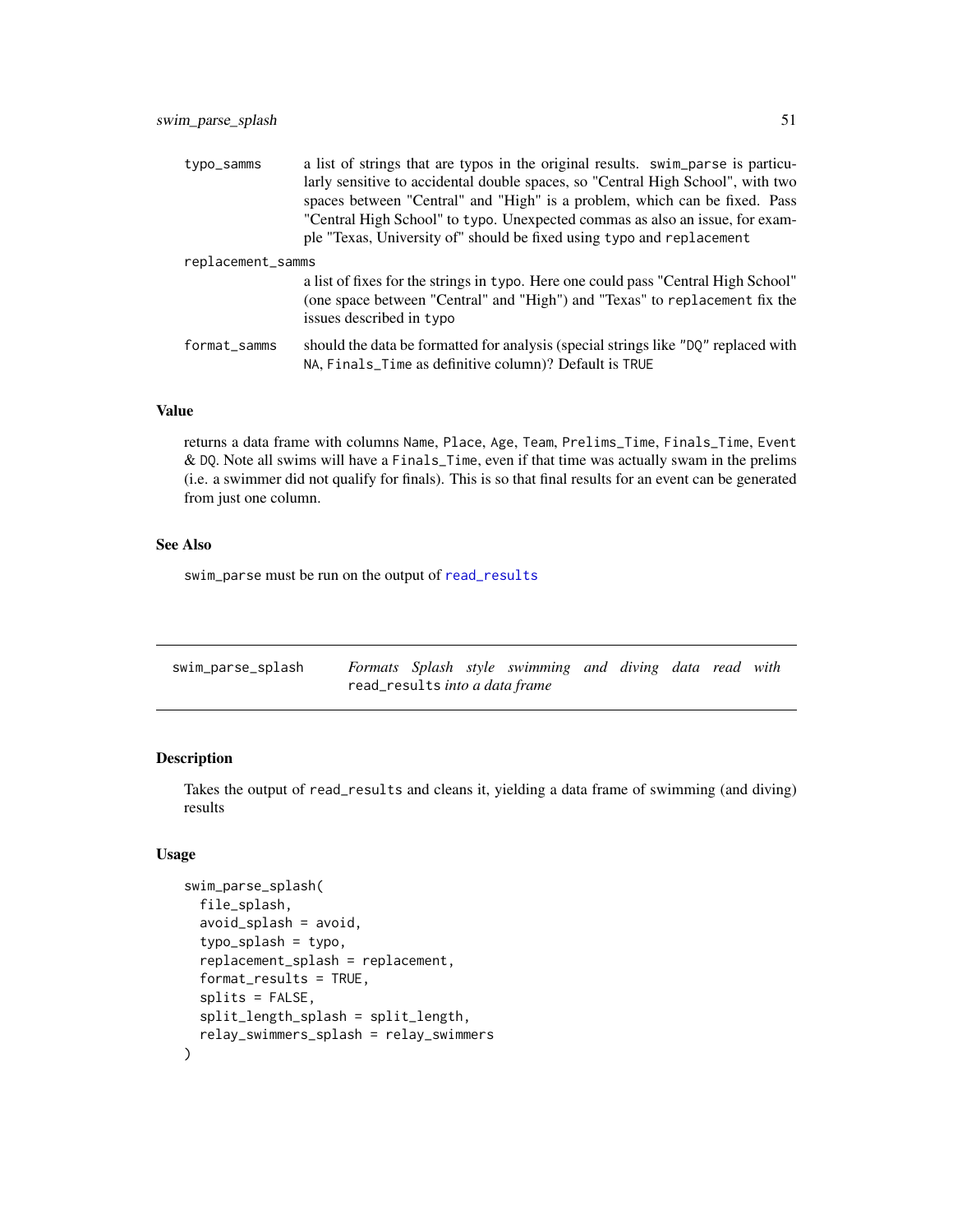<span id="page-50-0"></span>

| typo_samms        | a list of strings that are typos in the original results. swim_parse is particu-<br>larly sensitive to accidental double spaces, so "Central High School", with two<br>spaces between "Central" and "High" is a problem, which can be fixed. Pass<br>"Central High School" to typo. Unexpected commas as also an issue, for exam-<br>ple "Texas, University of" should be fixed using typo and replacement |  |
|-------------------|------------------------------------------------------------------------------------------------------------------------------------------------------------------------------------------------------------------------------------------------------------------------------------------------------------------------------------------------------------------------------------------------------------|--|
| replacement_samms |                                                                                                                                                                                                                                                                                                                                                                                                            |  |
|                   | a list of fixes for the strings in typo. Here one could pass "Central High School"<br>(one space between "Central" and "High") and "Texas" to replacement fix the<br>issues described in typo                                                                                                                                                                                                              |  |
| format_samms      | should the data be formatted for analysis (special strings like "DQ" replaced with<br>NA, Finals_Time as definitive column)? Default is TRUE                                                                                                                                                                                                                                                               |  |

## Value

returns a data frame with columns Name, Place, Age, Team, Prelims\_Time, Finals\_Time, Event & DQ. Note all swims will have a Finals\_Time, even if that time was actually swam in the prelims (i.e. a swimmer did not qualify for finals). This is so that final results for an event can be generated from just one column.

## See Also

swim\_parse must be run on the output of [read\\_results](#page-28-1)

<span id="page-50-1"></span>

| swim_parse_splash |                                |  |  | Formats Splash style swimming and diving data read with |  |  |  |
|-------------------|--------------------------------|--|--|---------------------------------------------------------|--|--|--|
|                   | read_results into a data frame |  |  |                                                         |  |  |  |

#### Description

Takes the output of read\_results and cleans it, yielding a data frame of swimming (and diving) results

## Usage

```
swim_parse_splash(
  file_splash,
  avoid_splash = avoid,
  typo_splash = typo,
  replacement_splash = replacement,
  format_results = TRUE,
  splits = FALSE,
  split_length_splash = split_length,
  relay_swimmers_splash = relay_swimmers
\mathcal{E}
```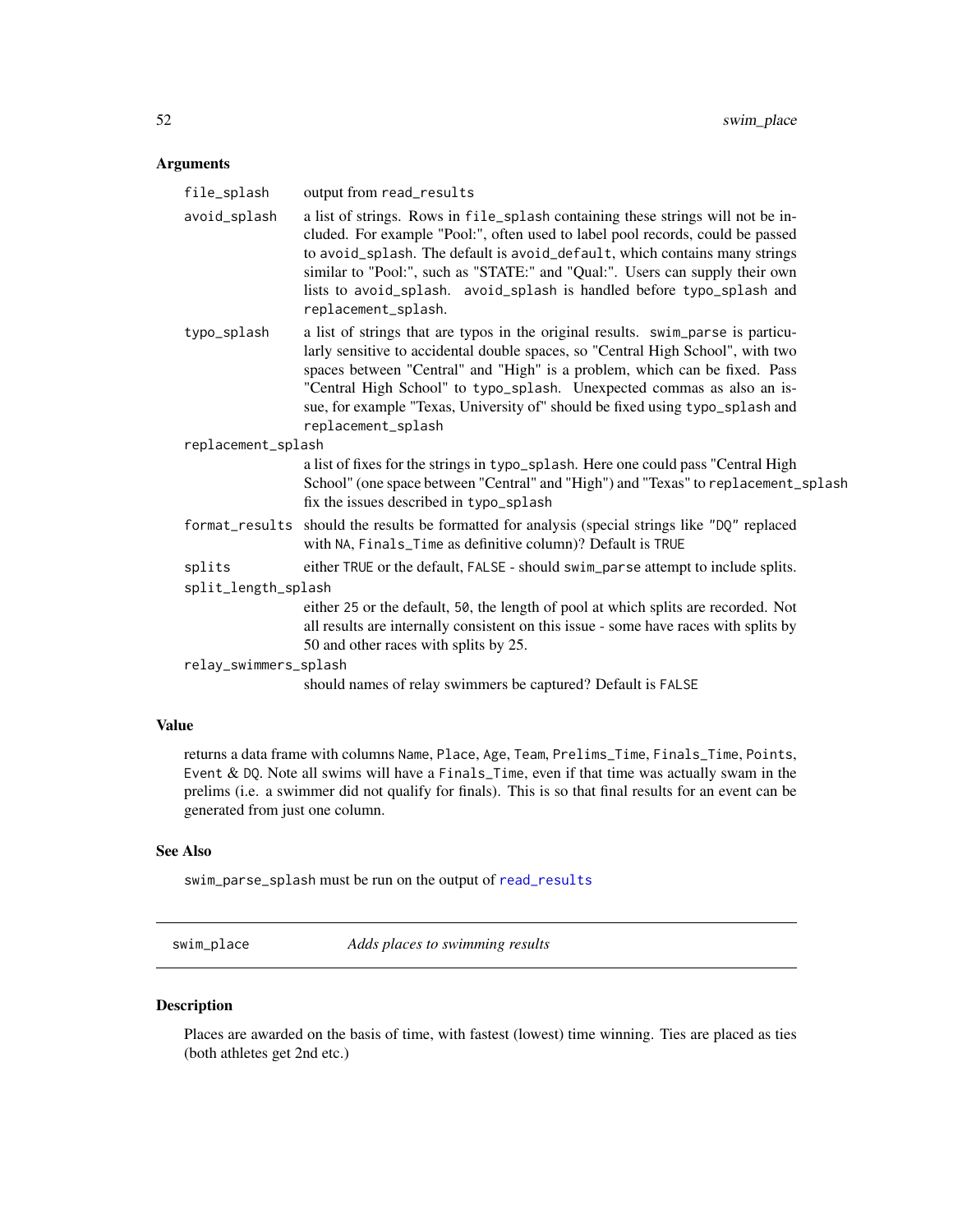## <span id="page-51-0"></span>Arguments

| file_splash           | output from read_results                                                                                                                                                                                                                                                                                                                                                                                                           |
|-----------------------|------------------------------------------------------------------------------------------------------------------------------------------------------------------------------------------------------------------------------------------------------------------------------------------------------------------------------------------------------------------------------------------------------------------------------------|
| avoid_splash          | a list of strings. Rows in file_splash containing these strings will not be in-<br>cluded. For example "Pool:", often used to label pool records, could be passed<br>to avoid_splash. The default is avoid_default, which contains many strings<br>similar to "Pool:", such as "STATE:" and "Qual:". Users can supply their own<br>lists to avoid_splash. avoid_splash is handled before typo_splash and<br>replacement_splash.    |
| typo_splash           | a list of strings that are typos in the original results. swim_parse is particu-<br>larly sensitive to accidental double spaces, so "Central High School", with two<br>spaces between "Central" and "High" is a problem, which can be fixed. Pass<br>"Central High School" to typo_splash. Unexpected commas as also an is-<br>sue, for example "Texas, University of" should be fixed using typo_splash and<br>replacement_splash |
| replacement_splash    |                                                                                                                                                                                                                                                                                                                                                                                                                                    |
|                       | a list of fixes for the strings in typo_splash. Here one could pass "Central High<br>School" (one space between "Central" and "High") and "Texas" to replacement_splash<br>fix the issues described in typo_splash                                                                                                                                                                                                                 |
|                       | format_results should the results be formatted for analysis (special strings like "DQ" replaced<br>with NA, Finals_Time as definitive column)? Default is TRUE                                                                                                                                                                                                                                                                     |
| splits                | either TRUE or the default, FALSE - should swim_parse attempt to include splits.                                                                                                                                                                                                                                                                                                                                                   |
| split_length_splash   |                                                                                                                                                                                                                                                                                                                                                                                                                                    |
|                       | either 25 or the default, 50, the length of pool at which splits are recorded. Not<br>all results are internally consistent on this issue - some have races with splits by<br>50 and other races with splits by 25.                                                                                                                                                                                                                |
| relay_swimmers_splash |                                                                                                                                                                                                                                                                                                                                                                                                                                    |
|                       | should names of relay swimmers be captured? Default is FALSE                                                                                                                                                                                                                                                                                                                                                                       |

## Value

returns a data frame with columns Name, Place, Age, Team, Prelims\_Time, Finals\_Time, Points, Event & DQ. Note all swims will have a Finals\_Time, even if that time was actually swam in the prelims (i.e. a swimmer did not qualify for finals). This is so that final results for an event can be generated from just one column.

## See Also

swim\_parse\_splash must be run on the output of [read\\_results](#page-28-1)

swim\_place *Adds places to swimming results*

## Description

Places are awarded on the basis of time, with fastest (lowest) time winning. Ties are placed as ties (both athletes get 2nd etc.)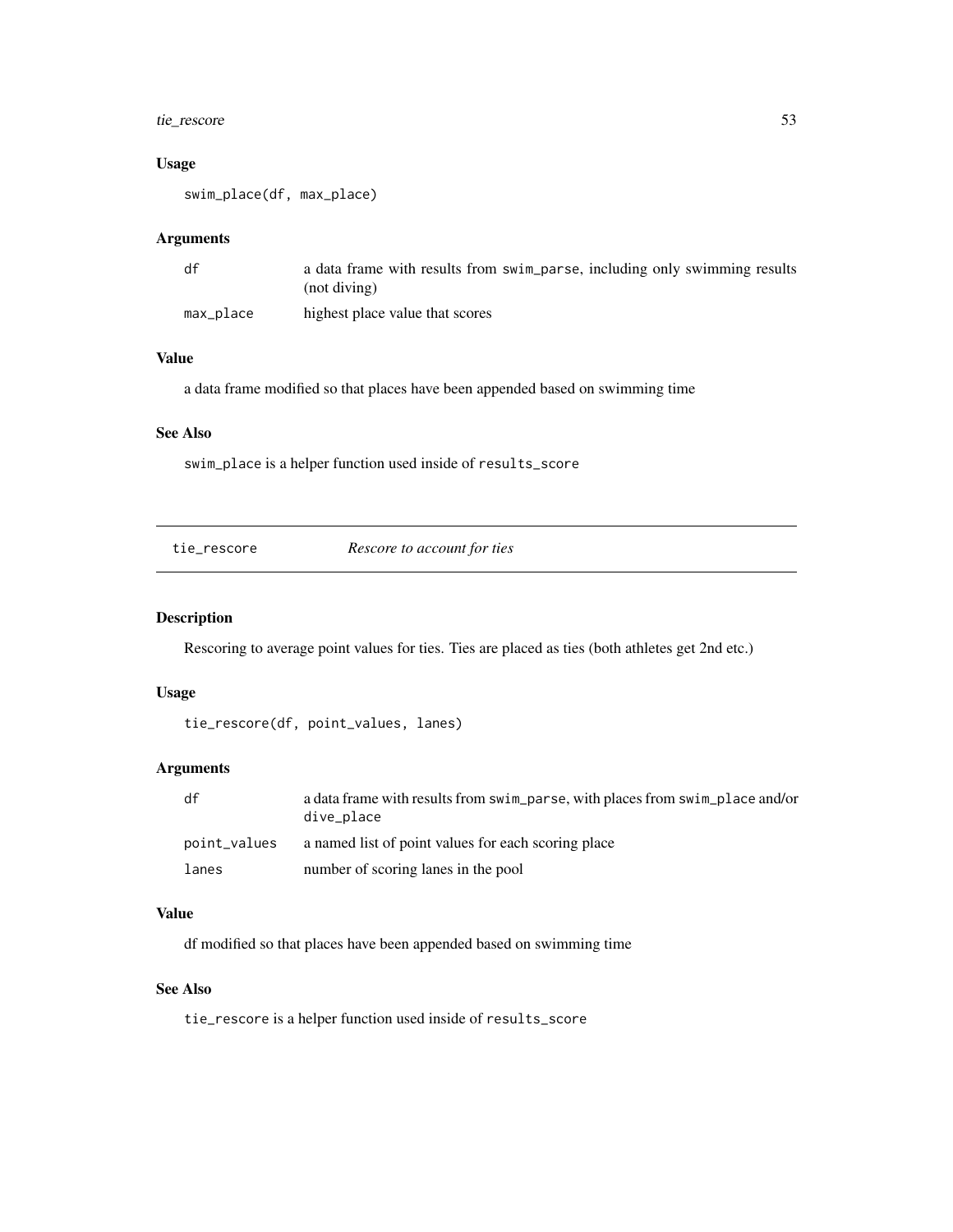## <span id="page-52-0"></span>tie\_rescore 53

## Usage

swim\_place(df, max\_place)

## Arguments

| df        | a data frame with results from swim_parse, including only swimming results<br>$(not \, divine)$ |
|-----------|-------------------------------------------------------------------------------------------------|
| max_place | highest place value that scores                                                                 |

## Value

a data frame modified so that places have been appended based on swimming time

## See Also

swim\_place is a helper function used inside of results\_score

| Rescore to account for ties<br>tie rescore |
|--------------------------------------------|
|--------------------------------------------|

## Description

Rescoring to average point values for ties. Ties are placed as ties (both athletes get 2nd etc.)

## Usage

```
tie_rescore(df, point_values, lanes)
```
## Arguments

| df           | a data frame with results from swim_parse, with places from swim_place and/or<br>dive_place |
|--------------|---------------------------------------------------------------------------------------------|
| point_values | a named list of point values for each scoring place                                         |
| lanes        | number of scoring lanes in the pool                                                         |

## Value

df modified so that places have been appended based on swimming time

## See Also

tie\_rescore is a helper function used inside of results\_score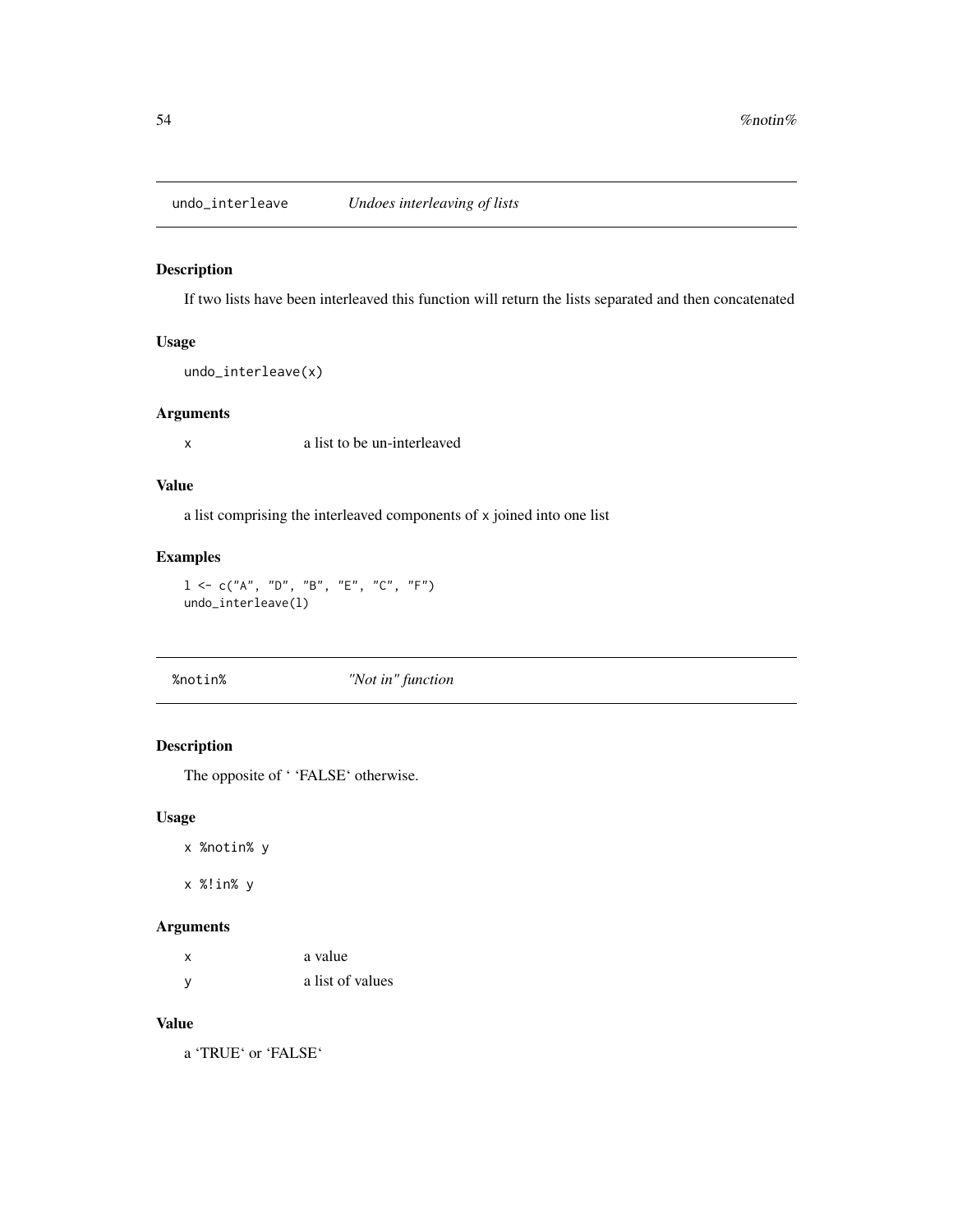<span id="page-53-0"></span>undo\_interleave *Undoes interleaving of lists*

## Description

If two lists have been interleaved this function will return the lists separated and then concatenated

## Usage

```
undo_interleave(x)
```
#### Arguments

x a list to be un-interleaved

#### Value

a list comprising the interleaved components of x joined into one list

## Examples

 $1 \leq C("A", "D", "B", "E", "C", "F")$ undo\_interleave(l)

%notin% *"Not in" function*

## Description

The opposite of ' 'FALSE' otherwise.

## Usage

x %notin% y

x %!in% y

## Arguments

| $\boldsymbol{\mathsf{x}}$ | a value          |
|---------------------------|------------------|
| y                         | a list of values |

## Value

a 'TRUE' or 'FALSE'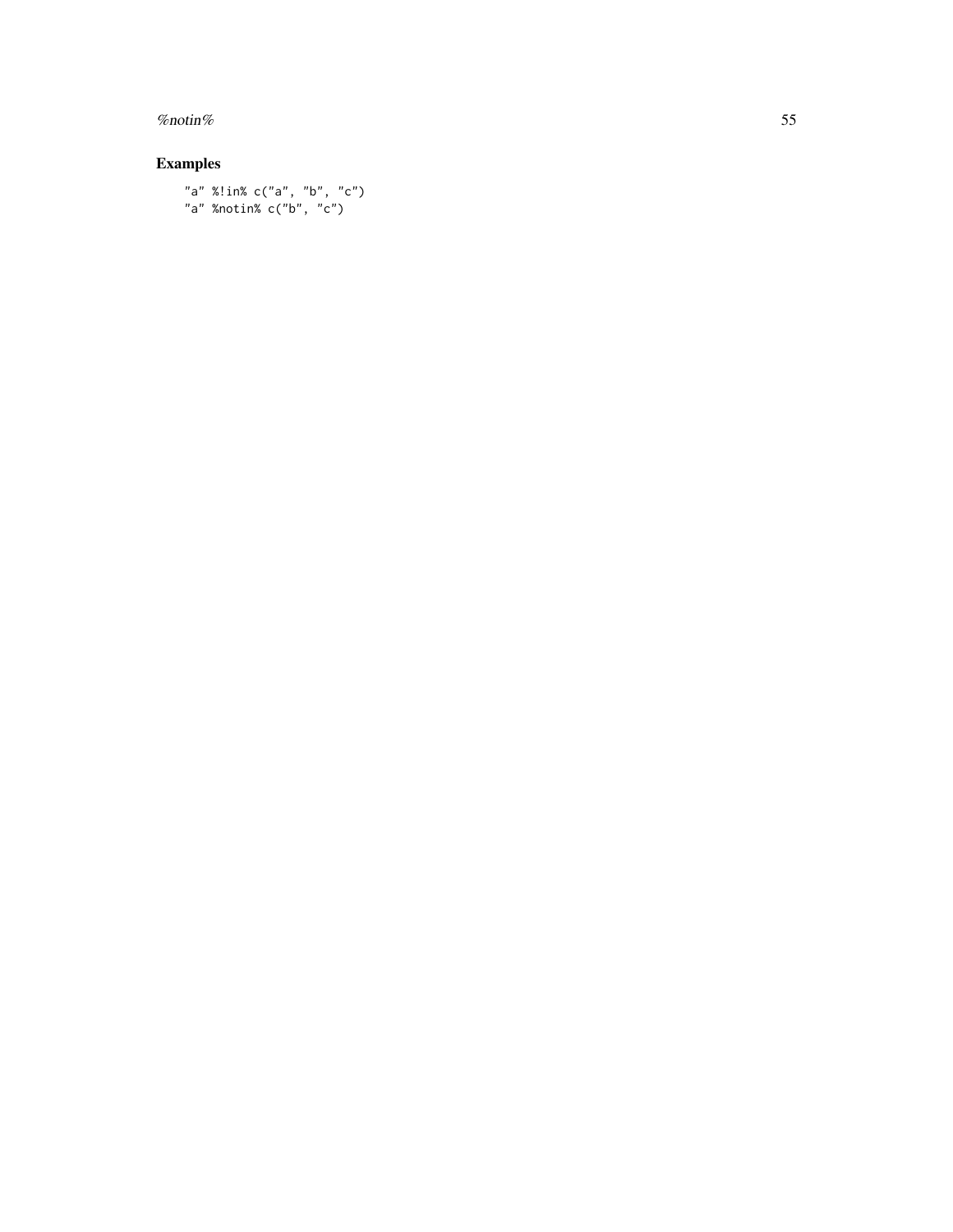#### % notin% 55

## Examples

"a" %!in% c("a", "b", "c") "a" %notin% c("b", "c")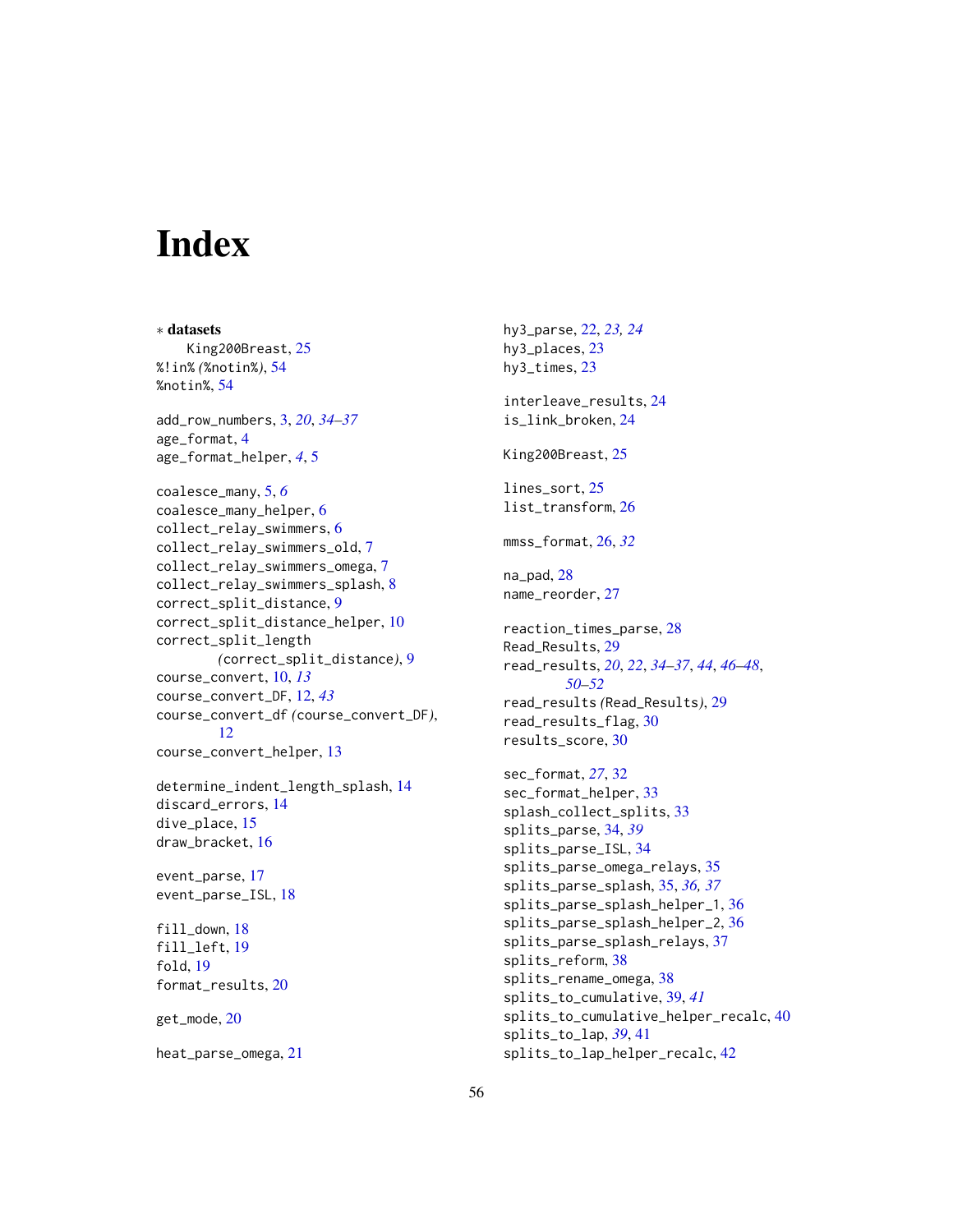# <span id="page-55-0"></span>**Index**

∗ datasets King200Breast, [25](#page-24-0) %!in% *(*%notin%*)*, [54](#page-53-0) %notin%, [54](#page-53-0) add\_row\_numbers, [3,](#page-2-0) *[20](#page-19-0)*, *[34–](#page-33-0)[37](#page-36-0)* age\_format, [4](#page-3-0) age\_format\_helper, *[4](#page-3-0)*, [5](#page-4-0) coalesce\_many, [5,](#page-4-0) *[6](#page-5-0)* coalesce\_many\_helper, [6](#page-5-0) collect\_relay\_swimmers, [6](#page-5-0) collect\_relay\_swimmers\_old, [7](#page-6-0) collect\_relay\_swimmers\_omega, [7](#page-6-0) collect\_relay\_swimmers\_splash, [8](#page-7-0) correct\_split\_distance, [9](#page-8-0) correct\_split\_distance\_helper, [10](#page-9-0) correct\_split\_length *(*correct\_split\_distance*)*, [9](#page-8-0) course\_convert, [10,](#page-9-0) *[13](#page-12-0)* course\_convert\_DF, [12,](#page-11-0) *[43](#page-42-0)* course\_convert\_df *(*course\_convert\_DF*)*, [12](#page-11-0) course\_convert\_helper, [13](#page-12-0) determine\_indent\_length\_splash, [14](#page-13-0) discard\_errors, [14](#page-13-0) dive\_place, [15](#page-14-0) draw\_bracket, [16](#page-15-0) event\_parse, [17](#page-16-0) event\_parse\_ISL, [18](#page-17-0) fill\_down, [18](#page-17-0) fill\_left, [19](#page-18-0) fold, [19](#page-18-0) format\_results, [20](#page-19-0) get\_mode, [20](#page-19-0) heat\_parse\_omega, [21](#page-20-0)

hy3\_parse, [22,](#page-21-0) *[23,](#page-22-0) [24](#page-23-0)* hy3\_places, [23](#page-22-0) hy3\_times, [23](#page-22-0) interleave\_results, [24](#page-23-0) is\_link\_broken, [24](#page-23-0) King200Breast, [25](#page-24-0) lines\_sort, [25](#page-24-0) list\_transform, [26](#page-25-0) mmss\_format, [26,](#page-25-0) *[32](#page-31-0)* na\_pad, [28](#page-27-0) name\_reorder, [27](#page-26-0) reaction\_times\_parse, [28](#page-27-0) Read\_Results, [29](#page-28-0) read\_results, *[20](#page-19-0)*, *[22](#page-21-0)*, *[34](#page-33-0)[–37](#page-36-0)*, *[44](#page-43-0)*, *[46](#page-45-0)[–48](#page-47-0)*, *[50](#page-49-0)[–52](#page-51-0)* read\_results *(*Read\_Results*)*, [29](#page-28-0) read\_results\_flag, [30](#page-29-0) results\_score, [30](#page-29-0) sec\_format, *[27](#page-26-0)*, [32](#page-31-0) sec\_format\_helper, [33](#page-32-0) splash\_collect\_splits, [33](#page-32-0) splits\_parse, [34,](#page-33-0) *[39](#page-38-0)* splits\_parse\_ISL, [34](#page-33-0) splits\_parse\_omega\_relays, [35](#page-34-0) splits\_parse\_splash, [35,](#page-34-0) *[36,](#page-35-0) [37](#page-36-0)* splits\_parse\_splash\_helper\_1, [36](#page-35-0) splits\_parse\_splash\_helper\_2, [36](#page-35-0) splits\_parse\_splash\_relays, [37](#page-36-0) splits\_reform, [38](#page-37-0) splits\_rename\_omega, [38](#page-37-0) splits\_to\_cumulative, [39,](#page-38-0) *[41](#page-40-0)* splits\_to\_cumulative\_helper\_recalc, [40](#page-39-0) splits\_to\_lap, *[39](#page-38-0)*, [41](#page-40-0) splits\_to\_lap\_helper\_recalc, [42](#page-41-0)